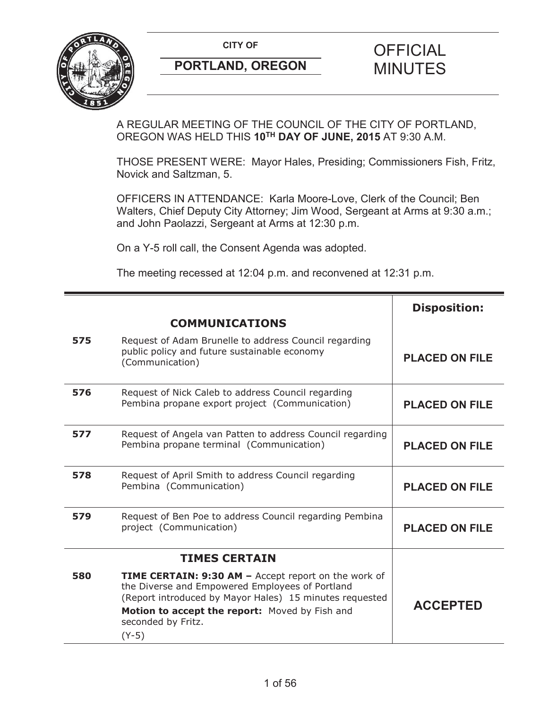

A REGULAR MEETING OF THE COUNCIL OF THE CITY OF PORTLAND, OREGON WAS HELD THIS **10TH DAY OF JUNE, 2015** AT 9:30 A.M.

THOSE PRESENT WERE: Mayor Hales, Presiding; Commissioners Fish, Fritz, Novick and Saltzman, 5.

OFFICERS IN ATTENDANCE: Karla Moore-Love, Clerk of the Council; Ben Walters, Chief Deputy City Attorney; Jim Wood, Sergeant at Arms at 9:30 a.m.; and John Paolazzi, Sergeant at Arms at 12:30 p.m.

On a Y-5 roll call, the Consent Agenda was adopted.

The meeting recessed at 12:04 p.m. and reconvened at 12:31 p.m.

|     |                                                                                                                                                                                                                                                       | <b>Disposition:</b>   |
|-----|-------------------------------------------------------------------------------------------------------------------------------------------------------------------------------------------------------------------------------------------------------|-----------------------|
|     | <b>COMMUNICATIONS</b>                                                                                                                                                                                                                                 |                       |
| 575 | Request of Adam Brunelle to address Council regarding<br>public policy and future sustainable economy<br>(Communication)                                                                                                                              | <b>PLACED ON FILE</b> |
| 576 | Request of Nick Caleb to address Council regarding<br>Pembina propane export project (Communication)                                                                                                                                                  | <b>PLACED ON FILE</b> |
| 577 | Request of Angela van Patten to address Council regarding<br>Pembina propane terminal (Communication)                                                                                                                                                 | <b>PLACED ON FILE</b> |
| 578 | Request of April Smith to address Council regarding<br>Pembina (Communication)                                                                                                                                                                        | <b>PLACED ON FILE</b> |
| 579 | Request of Ben Poe to address Council regarding Pembina<br>project (Communication)                                                                                                                                                                    | <b>PLACED ON FILE</b> |
|     | <b>TIMES CERTAIN</b>                                                                                                                                                                                                                                  |                       |
| 580 | TIME CERTAIN: 9:30 AM - Accept report on the work of<br>the Diverse and Empowered Employees of Portland<br>(Report introduced by Mayor Hales) 15 minutes requested<br>Motion to accept the report: Moved by Fish and<br>seconded by Fritz.<br>$(Y-5)$ | <b>ACCEPTED</b>       |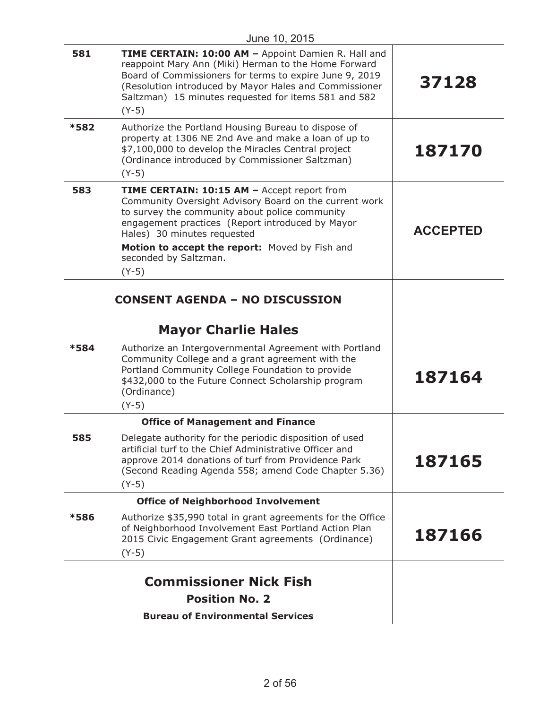| 581  | TIME CERTAIN: 10:00 AM - Appoint Damien R. Hall and<br>reappoint Mary Ann (Miki) Herman to the Home Forward<br>Board of Commissioners for terms to expire June 9, 2019<br>(Resolution introduced by Mayor Hales and Commissioner<br>Saltzman) 15 minutes requested for items 581 and 582<br>$(Y-5)$                              | 37128           |
|------|----------------------------------------------------------------------------------------------------------------------------------------------------------------------------------------------------------------------------------------------------------------------------------------------------------------------------------|-----------------|
| *582 | Authorize the Portland Housing Bureau to dispose of<br>property at 1306 NE 2nd Ave and make a loan of up to<br>\$7,100,000 to develop the Miracles Central project<br>(Ordinance introduced by Commissioner Saltzman)<br>$(Y-5)$                                                                                                 | 187170          |
| 583  | TIME CERTAIN: 10:15 AM - Accept report from<br>Community Oversight Advisory Board on the current work<br>to survey the community about police community<br>engagement practices (Report introduced by Mayor<br>Hales) 30 minutes requested<br>Motion to accept the report: Moved by Fish and<br>seconded by Saltzman.<br>$(Y-5)$ | <b>ACCEPTED</b> |
|      | <b>CONSENT AGENDA - NO DISCUSSION</b>                                                                                                                                                                                                                                                                                            |                 |
|      |                                                                                                                                                                                                                                                                                                                                  |                 |
|      | <b>Mayor Charlie Hales</b>                                                                                                                                                                                                                                                                                                       |                 |
| *584 | Authorize an Intergovernmental Agreement with Portland<br>Community College and a grant agreement with the<br>Portland Community College Foundation to provide<br>\$432,000 to the Future Connect Scholarship program<br>(Ordinance)<br>$(Y-5)$                                                                                  | 187164          |
|      | <b>Office of Management and Finance</b>                                                                                                                                                                                                                                                                                          |                 |
| 585  | Delegate authority for the periodic disposition of used<br>artificial turf to the Chief Administrative Officer and<br>approve 2014 donations of turf from Providence Park<br>(Second Reading Agenda 558; amend Code Chapter 5.36)<br>$(Y-5)$                                                                                     | 187165          |
|      | <b>Office of Neighborhood Involvement</b>                                                                                                                                                                                                                                                                                        |                 |
| *586 | Authorize \$35,990 total in grant agreements for the Office<br>of Neighborhood Involvement East Portland Action Plan<br>2015 Civic Engagement Grant agreements (Ordinance)<br>$(Y-5)$                                                                                                                                            | 187166          |
|      | <b>Commissioner Nick Fish</b>                                                                                                                                                                                                                                                                                                    |                 |
|      | <b>Position No. 2</b>                                                                                                                                                                                                                                                                                                            |                 |
|      | <b>Bureau of Environmental Services</b>                                                                                                                                                                                                                                                                                          |                 |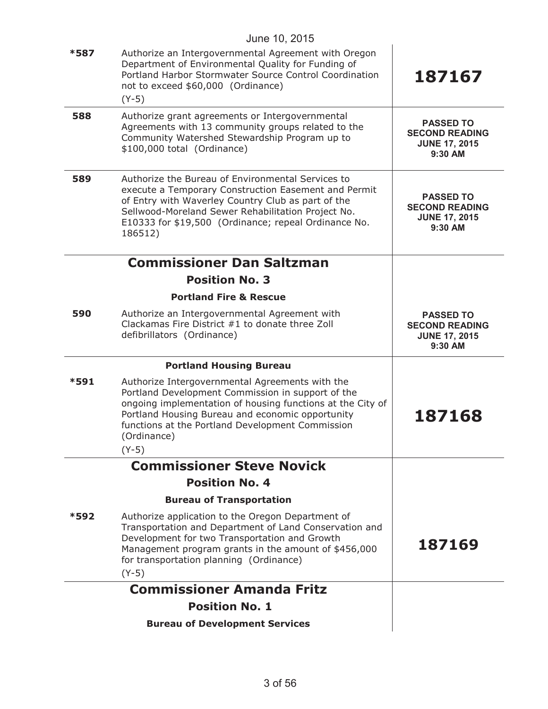|      | June 10, 2015                                                                                                                                                                                                                                                                                        |                                                                              |
|------|------------------------------------------------------------------------------------------------------------------------------------------------------------------------------------------------------------------------------------------------------------------------------------------------------|------------------------------------------------------------------------------|
| *587 | Authorize an Intergovernmental Agreement with Oregon<br>Department of Environmental Quality for Funding of<br>Portland Harbor Stormwater Source Control Coordination<br>not to exceed \$60,000 (Ordinance)<br>$(Y-5)$                                                                                | 187167                                                                       |
| 588  | Authorize grant agreements or Intergovernmental<br>Agreements with 13 community groups related to the<br>Community Watershed Stewardship Program up to<br>\$100,000 total (Ordinance)                                                                                                                | <b>PASSED TO</b><br><b>SECOND READING</b><br><b>JUNE 17, 2015</b><br>9:30 AM |
| 589  | Authorize the Bureau of Environmental Services to<br>execute a Temporary Construction Easement and Permit<br>of Entry with Waverley Country Club as part of the<br>Sellwood-Moreland Sewer Rehabilitation Project No.<br>E10333 for \$19,500 (Ordinance; repeal Ordinance No.<br>186512)             | <b>PASSED TO</b><br><b>SECOND READING</b><br><b>JUNE 17, 2015</b><br>9:30 AM |
|      | <b>Commissioner Dan Saltzman</b>                                                                                                                                                                                                                                                                     |                                                                              |
|      | <b>Position No. 3</b>                                                                                                                                                                                                                                                                                |                                                                              |
|      | <b>Portland Fire &amp; Rescue</b>                                                                                                                                                                                                                                                                    |                                                                              |
| 590  | Authorize an Intergovernmental Agreement with<br>Clackamas Fire District #1 to donate three Zoll<br>defibrillators (Ordinance)                                                                                                                                                                       | <b>PASSED TO</b><br><b>SECOND READING</b><br><b>JUNE 17, 2015</b><br>9:30 AM |
|      | <b>Portland Housing Bureau</b>                                                                                                                                                                                                                                                                       |                                                                              |
| *591 | Authorize Intergovernmental Agreements with the<br>Portland Development Commission in support of the<br>ongoing implementation of housing functions at the City of<br>Portland Housing Bureau and economic opportunity<br>functions at the Portland Development Commission<br>(Ordinance)<br>$(Y-5)$ | 187168                                                                       |
|      | <b>Commissioner Steve Novick</b>                                                                                                                                                                                                                                                                     |                                                                              |
|      | <b>Position No. 4</b>                                                                                                                                                                                                                                                                                |                                                                              |
|      | <b>Bureau of Transportation</b>                                                                                                                                                                                                                                                                      |                                                                              |
| *592 | Authorize application to the Oregon Department of<br>Transportation and Department of Land Conservation and<br>Development for two Transportation and Growth<br>Management program grants in the amount of \$456,000<br>for transportation planning (Ordinance)<br>$(Y-5)$                           | 187169                                                                       |
|      | <b>Commissioner Amanda Fritz</b>                                                                                                                                                                                                                                                                     |                                                                              |
|      | <b>Position No. 1</b>                                                                                                                                                                                                                                                                                |                                                                              |
|      | <b>Bureau of Development Services</b>                                                                                                                                                                                                                                                                |                                                                              |
|      |                                                                                                                                                                                                                                                                                                      |                                                                              |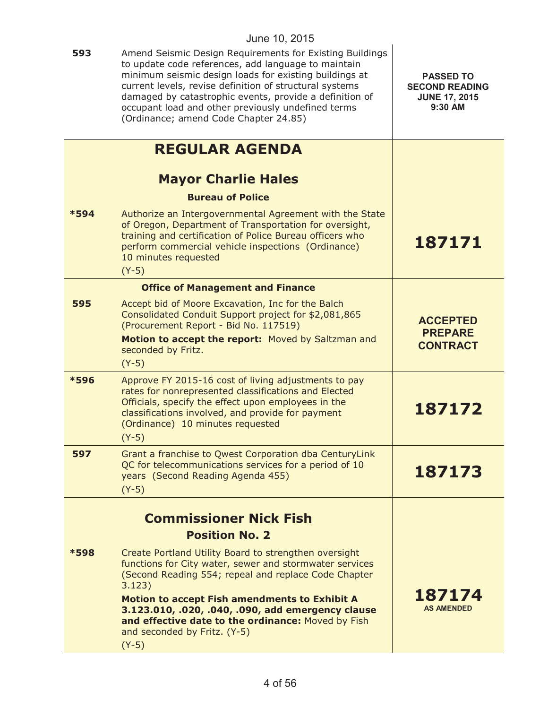| 593  | Amend Seismic Design Requirements for Existing Buildings<br>to update code references, add language to maintain<br>minimum seismic design loads for existing buildings at<br>current levels, revise definition of structural systems<br>damaged by catastrophic events, provide a definition of<br>occupant load and other previously undefined terms<br>(Ordinance; amend Code Chapter 24.85)   | <b>PASSED TO</b><br><b>SECOND READING</b><br><b>JUNE 17, 2015</b><br>9:30 AM |
|------|--------------------------------------------------------------------------------------------------------------------------------------------------------------------------------------------------------------------------------------------------------------------------------------------------------------------------------------------------------------------------------------------------|------------------------------------------------------------------------------|
|      | <b>REGULAR AGENDA</b>                                                                                                                                                                                                                                                                                                                                                                            |                                                                              |
|      | <b>Mayor Charlie Hales</b>                                                                                                                                                                                                                                                                                                                                                                       |                                                                              |
|      | <b>Bureau of Police</b>                                                                                                                                                                                                                                                                                                                                                                          |                                                                              |
| *594 | Authorize an Intergovernmental Agreement with the State<br>of Oregon, Department of Transportation for oversight,<br>training and certification of Police Bureau officers who<br>perform commercial vehicle inspections (Ordinance)<br>10 minutes requested<br>$(Y-5)$                                                                                                                           | 187171                                                                       |
|      | <b>Office of Management and Finance</b>                                                                                                                                                                                                                                                                                                                                                          |                                                                              |
| 595  | Accept bid of Moore Excavation, Inc for the Balch<br>Consolidated Conduit Support project for \$2,081,865<br>(Procurement Report - Bid No. 117519)<br>Motion to accept the report: Moved by Saltzman and<br>seconded by Fritz.                                                                                                                                                                   | <b>ACCEPTED</b><br><b>PREPARE</b><br><b>CONTRACT</b>                         |
|      | $(Y-5)$                                                                                                                                                                                                                                                                                                                                                                                          |                                                                              |
| *596 | Approve FY 2015-16 cost of living adjustments to pay<br>rates for nonrepresented classifications and Elected<br>Officials, specify the effect upon employees in the<br>classifications involved, and provide for payment<br>(Ordinance) 10 minutes requested<br>$(Y-5)$                                                                                                                          | 187172                                                                       |
| 597  | Grant a franchise to Qwest Corporation dba CenturyLink<br>QC for telecommunications services for a period of 10<br>years (Second Reading Agenda 455)<br>$(Y-5)$                                                                                                                                                                                                                                  | 187173                                                                       |
|      | <b>Commissioner Nick Fish</b>                                                                                                                                                                                                                                                                                                                                                                    |                                                                              |
|      | <b>Position No. 2</b>                                                                                                                                                                                                                                                                                                                                                                            |                                                                              |
| *598 | Create Portland Utility Board to strengthen oversight<br>functions for City water, sewer and stormwater services<br>(Second Reading 554; repeal and replace Code Chapter<br>3.123)<br><b>Motion to accept Fish amendments to Exhibit A</b><br>3.123.010, .020, .040, .090, add emergency clause<br>and effective date to the ordinance: Moved by Fish<br>and seconded by Fritz. (Y-5)<br>$(Y-5)$ | 187174<br><b>AS AMENDED</b>                                                  |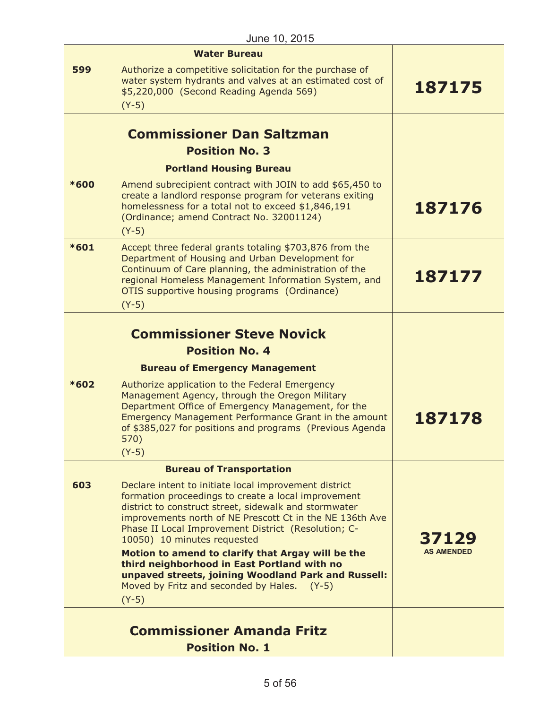|        | <b>Water Bureau</b>                                                                                                                                                                                                                                                                                                     |                   |
|--------|-------------------------------------------------------------------------------------------------------------------------------------------------------------------------------------------------------------------------------------------------------------------------------------------------------------------------|-------------------|
| 599    | Authorize a competitive solicitation for the purchase of<br>water system hydrants and valves at an estimated cost of<br>\$5,220,000 (Second Reading Agenda 569)<br>$(Y-5)$                                                                                                                                              | 187175            |
|        |                                                                                                                                                                                                                                                                                                                         |                   |
|        | <b>Commissioner Dan Saltzman</b>                                                                                                                                                                                                                                                                                        |                   |
|        | <b>Position No. 3</b>                                                                                                                                                                                                                                                                                                   |                   |
|        | <b>Portland Housing Bureau</b>                                                                                                                                                                                                                                                                                          |                   |
| *600   | Amend subrecipient contract with JOIN to add \$65,450 to<br>create a landlord response program for veterans exiting<br>homelessness for a total not to exceed \$1,846,191<br>(Ordinance; amend Contract No. 32001124)<br>$(Y-5)$                                                                                        | 187176            |
| $*601$ | Accept three federal grants totaling \$703,876 from the<br>Department of Housing and Urban Development for<br>Continuum of Care planning, the administration of the<br>regional Homeless Management Information System, and<br>OTIS supportive housing programs (Ordinance)<br>$(Y-5)$                                  | 187177            |
|        |                                                                                                                                                                                                                                                                                                                         |                   |
|        | <b>Commissioner Steve Novick</b>                                                                                                                                                                                                                                                                                        |                   |
|        | <b>Position No. 4</b>                                                                                                                                                                                                                                                                                                   |                   |
|        | <b>Bureau of Emergency Management</b>                                                                                                                                                                                                                                                                                   |                   |
| $*602$ | Authorize application to the Federal Emergency<br>Management Agency, through the Oregon Military<br>Department Office of Emergency Management, for the<br>Emergency Management Performance Grant in the amount<br>of \$385,027 for positions and programs (Previous Agenda<br>570)<br>$(Y-5)$                           | 187178            |
|        | <b>Bureau of Transportation</b>                                                                                                                                                                                                                                                                                         |                   |
| 603    | Declare intent to initiate local improvement district<br>formation proceedings to create a local improvement<br>district to construct street, sidewalk and stormwater<br>improvements north of NE Prescott Ct in the NE 136th Ave<br>Phase II Local Improvement District (Resolution; C-<br>10050) 10 minutes requested | 37129             |
|        | Motion to amend to clarify that Argay will be the<br>third neighborhood in East Portland with no<br>unpaved streets, joining Woodland Park and Russell:<br>Moved by Fritz and seconded by Hales. (Y-5)<br>$(Y-5)$                                                                                                       | <b>AS AMENDED</b> |
|        |                                                                                                                                                                                                                                                                                                                         |                   |
|        | <b>Commissioner Amanda Fritz</b><br><b>Position No. 1</b>                                                                                                                                                                                                                                                               |                   |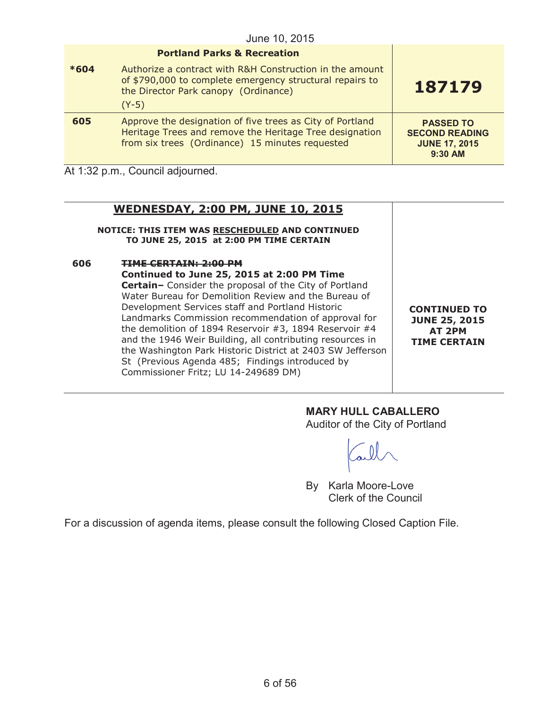|        | <b>Portland Parks &amp; Recreation</b>                                                                                                                                  |                                                                              |
|--------|-------------------------------------------------------------------------------------------------------------------------------------------------------------------------|------------------------------------------------------------------------------|
| $*604$ | Authorize a contract with R&H Construction in the amount<br>of \$790,000 to complete emergency structural repairs to<br>the Director Park canopy (Ordinance)<br>$(Y-5)$ | 187179                                                                       |
| 605    | Approve the designation of five trees as City of Portland<br>Heritage Trees and remove the Heritage Tree designation<br>from six trees (Ordinance) 15 minutes requested | <b>PASSED TO</b><br><b>SECOND READING</b><br><b>JUNE 17, 2015</b><br>9:30 AM |

At 1:32 p.m., Council adjourned.

# **WEDNESDAY, 2:00 PM, JUNE 10, 2015**

**NOTICE: THIS ITEM WAS RESCHEDULED AND CONTINUED TO JUNE 25, 2015 at 2:00 PM TIME CERTAIN**

**606 TIME CERTAIN: 2:00 PM Continued to June 25, 2015 at 2:00 PM Time Certain–** Consider the proposal of the City of Portland Water Bureau for Demolition Review and the Bureau of Development Services staff and Portland Historic Landmarks Commission recommendation of approval for the demolition of 1894 Reservoir #3, 1894 Reservoir #4 and the 1946 Weir Building, all contributing resources in the Washington Park Historic District at 2403 SW Jefferson St (Previous Agenda 485; Findings introduced by Commissioner Fritz; LU 14-249689 DM)

**CONTINUED TO JUNE 25, 2015 AT 2PM TIME CERTAIN**

# **MARY HULL CABALLERO**

Auditor of the City of Portland

By Karla Moore-Love Clerk of the Council

For a discussion of agenda items, please consult the following Closed Caption File.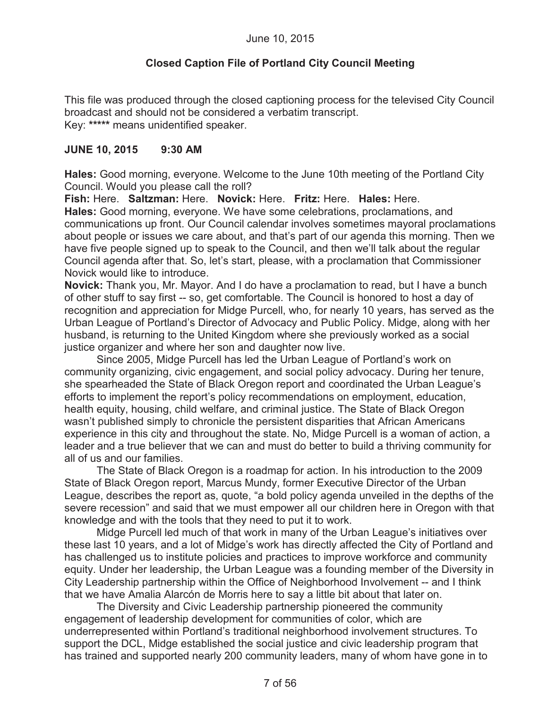# **Closed Caption File of Portland City Council Meeting**

This file was produced through the closed captioning process for the televised City Council broadcast and should not be considered a verbatim transcript. Key: **\*\*\*\*\*** means unidentified speaker.

#### **JUNE 10, 2015 9:30 AM**

**Hales:** Good morning, everyone. Welcome to the June 10th meeting of the Portland City Council. Would you please call the roll?

**Fish:** Here. **Saltzman:** Here. **Novick:** Here. **Fritz:** Here. **Hales:** Here. **Hales:** Good morning, everyone. We have some celebrations, proclamations, and communications up front. Our Council calendar involves sometimes mayoral proclamations about people or issues we care about, and that's part of our agenda this morning. Then we have five people signed up to speak to the Council, and then we'll talk about the regular Council agenda after that. So, let's start, please, with a proclamation that Commissioner Novick would like to introduce.

**Novick:** Thank you, Mr. Mayor. And I do have a proclamation to read, but I have a bunch of other stuff to say first -- so, get comfortable. The Council is honored to host a day of recognition and appreciation for Midge Purcell, who, for nearly 10 years, has served as the Urban League of Portland's Director of Advocacy and Public Policy. Midge, along with her husband, is returning to the United Kingdom where she previously worked as a social justice organizer and where her son and daughter now live.

Since 2005, Midge Purcell has led the Urban League of Portland's work on community organizing, civic engagement, and social policy advocacy. During her tenure, she spearheaded the State of Black Oregon report and coordinated the Urban League's efforts to implement the report's policy recommendations on employment, education, health equity, housing, child welfare, and criminal justice. The State of Black Oregon wasn't published simply to chronicle the persistent disparities that African Americans experience in this city and throughout the state. No, Midge Purcell is a woman of action, a leader and a true believer that we can and must do better to build a thriving community for all of us and our families.

The State of Black Oregon is a roadmap for action. In his introduction to the 2009 State of Black Oregon report, Marcus Mundy, former Executive Director of the Urban League, describes the report as, quote, "a bold policy agenda unveiled in the depths of the severe recession" and said that we must empower all our children here in Oregon with that knowledge and with the tools that they need to put it to work.

Midge Purcell led much of that work in many of the Urban League's initiatives over these last 10 years, and a lot of Midge's work has directly affected the City of Portland and has challenged us to institute policies and practices to improve workforce and community equity. Under her leadership, the Urban League was a founding member of the Diversity in City Leadership partnership within the Office of Neighborhood Involvement -- and I think that we have Amalia Alarcón de Morris here to say a little bit about that later on.

The Diversity and Civic Leadership partnership pioneered the community engagement of leadership development for communities of color, which are underrepresented within Portland's traditional neighborhood involvement structures. To support the DCL, Midge established the social justice and civic leadership program that has trained and supported nearly 200 community leaders, many of whom have gone in to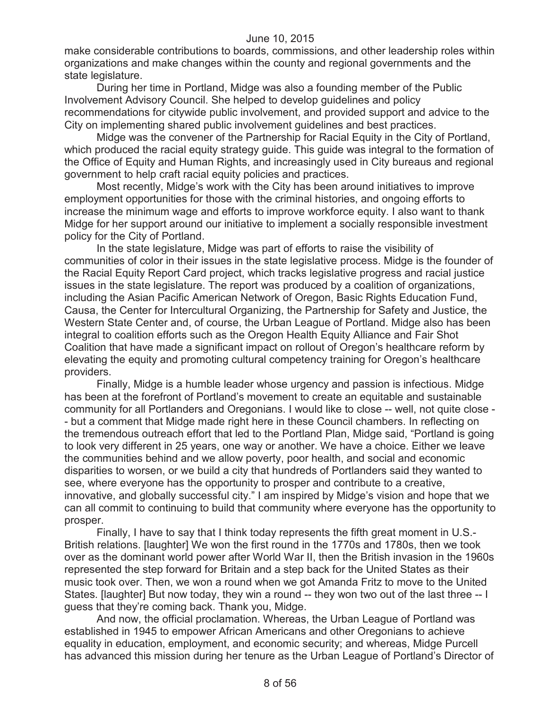make considerable contributions to boards, commissions, and other leadership roles within organizations and make changes within the county and regional governments and the state legislature.

During her time in Portland, Midge was also a founding member of the Public Involvement Advisory Council. She helped to develop guidelines and policy recommendations for citywide public involvement, and provided support and advice to the City on implementing shared public involvement guidelines and best practices.

Midge was the convener of the Partnership for Racial Equity in the City of Portland, which produced the racial equity strategy guide. This guide was integral to the formation of the Office of Equity and Human Rights, and increasingly used in City bureaus and regional government to help craft racial equity policies and practices.

Most recently, Midge's work with the City has been around initiatives to improve employment opportunities for those with the criminal histories, and ongoing efforts to increase the minimum wage and efforts to improve workforce equity. I also want to thank Midge for her support around our initiative to implement a socially responsible investment policy for the City of Portland.

In the state legislature, Midge was part of efforts to raise the visibility of communities of color in their issues in the state legislative process. Midge is the founder of the Racial Equity Report Card project, which tracks legislative progress and racial justice issues in the state legislature. The report was produced by a coalition of organizations, including the Asian Pacific American Network of Oregon, Basic Rights Education Fund, Causa, the Center for Intercultural Organizing, the Partnership for Safety and Justice, the Western State Center and, of course, the Urban League of Portland. Midge also has been integral to coalition efforts such as the Oregon Health Equity Alliance and Fair Shot Coalition that have made a significant impact on rollout of Oregon's healthcare reform by elevating the equity and promoting cultural competency training for Oregon's healthcare providers.

Finally, Midge is a humble leader whose urgency and passion is infectious. Midge has been at the forefront of Portland's movement to create an equitable and sustainable community for all Portlanders and Oregonians. I would like to close -- well, not quite close - - but a comment that Midge made right here in these Council chambers. In reflecting on the tremendous outreach effort that led to the Portland Plan, Midge said, "Portland is going to look very different in 25 years, one way or another. We have a choice. Either we leave the communities behind and we allow poverty, poor health, and social and economic disparities to worsen, or we build a city that hundreds of Portlanders said they wanted to see, where everyone has the opportunity to prosper and contribute to a creative, innovative, and globally successful city." I am inspired by Midge's vision and hope that we can all commit to continuing to build that community where everyone has the opportunity to prosper.

Finally, I have to say that I think today represents the fifth great moment in U.S.- British relations. [laughter] We won the first round in the 1770s and 1780s, then we took over as the dominant world power after World War II, then the British invasion in the 1960s represented the step forward for Britain and a step back for the United States as their music took over. Then, we won a round when we got Amanda Fritz to move to the United States. [laughter] But now today, they win a round -- they won two out of the last three -- I guess that they're coming back. Thank you, Midge.

And now, the official proclamation. Whereas, the Urban League of Portland was established in 1945 to empower African Americans and other Oregonians to achieve equality in education, employment, and economic security; and whereas, Midge Purcell has advanced this mission during her tenure as the Urban League of Portland's Director of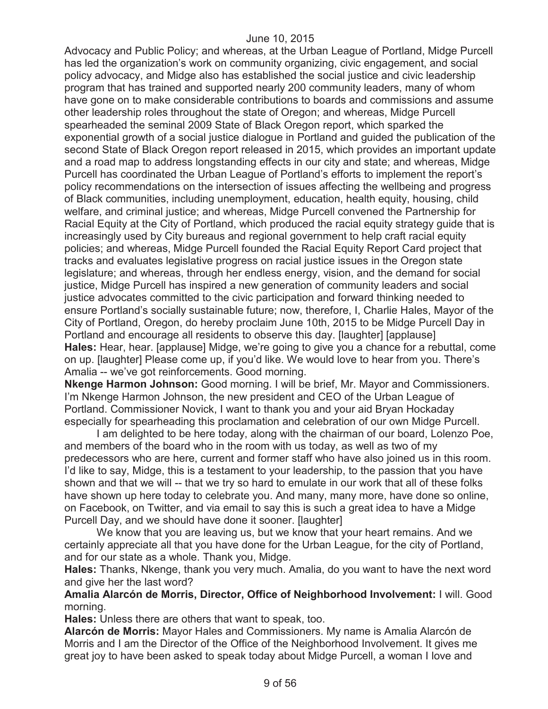Advocacy and Public Policy; and whereas, at the Urban League of Portland, Midge Purcell has led the organization's work on community organizing, civic engagement, and social policy advocacy, and Midge also has established the social justice and civic leadership program that has trained and supported nearly 200 community leaders, many of whom have gone on to make considerable contributions to boards and commissions and assume other leadership roles throughout the state of Oregon; and whereas, Midge Purcell spearheaded the seminal 2009 State of Black Oregon report, which sparked the exponential growth of a social justice dialogue in Portland and guided the publication of the second State of Black Oregon report released in 2015, which provides an important update and a road map to address longstanding effects in our city and state; and whereas, Midge Purcell has coordinated the Urban League of Portland's efforts to implement the report's policy recommendations on the intersection of issues affecting the wellbeing and progress of Black communities, including unemployment, education, health equity, housing, child welfare, and criminal justice; and whereas, Midge Purcell convened the Partnership for Racial Equity at the City of Portland, which produced the racial equity strategy guide that is increasingly used by City bureaus and regional government to help craft racial equity policies; and whereas, Midge Purcell founded the Racial Equity Report Card project that tracks and evaluates legislative progress on racial justice issues in the Oregon state legislature; and whereas, through her endless energy, vision, and the demand for social justice, Midge Purcell has inspired a new generation of community leaders and social justice advocates committed to the civic participation and forward thinking needed to ensure Portland's socially sustainable future; now, therefore, I, Charlie Hales, Mayor of the City of Portland, Oregon, do hereby proclaim June 10th, 2015 to be Midge Purcell Day in Portland and encourage all residents to observe this day. [laughter] [applause] **Hales:** Hear, hear. [applause] Midge, we're going to give you a chance for a rebuttal, come on up. [laughter] Please come up, if you'd like. We would love to hear from you. There's Amalia -- we've got reinforcements. Good morning.

**Nkenge Harmon Johnson:** Good morning. I will be brief, Mr. Mayor and Commissioners. I'm Nkenge Harmon Johnson, the new president and CEO of the Urban League of Portland. Commissioner Novick, I want to thank you and your aid Bryan Hockaday especially for spearheading this proclamation and celebration of our own Midge Purcell.

I am delighted to be here today, along with the chairman of our board, Lolenzo Poe, and members of the board who in the room with us today, as well as two of my predecessors who are here, current and former staff who have also joined us in this room. I'd like to say, Midge, this is a testament to your leadership, to the passion that you have shown and that we will -- that we try so hard to emulate in our work that all of these folks have shown up here today to celebrate you. And many, many more, have done so online, on Facebook, on Twitter, and via email to say this is such a great idea to have a Midge Purcell Day, and we should have done it sooner. [laughter]

We know that you are leaving us, but we know that your heart remains. And we certainly appreciate all that you have done for the Urban League, for the city of Portland, and for our state as a whole. Thank you, Midge.

**Hales:** Thanks, Nkenge, thank you very much. Amalia, do you want to have the next word and give her the last word?

**Amalia Alarcón de Morris, Director, Office of Neighborhood Involvement:** I will. Good morning.

**Hales:** Unless there are others that want to speak, too.

**Alarcón de Morris:** Mayor Hales and Commissioners. My name is Amalia Alarcón de Morris and I am the Director of the Office of the Neighborhood Involvement. It gives me great joy to have been asked to speak today about Midge Purcell, a woman I love and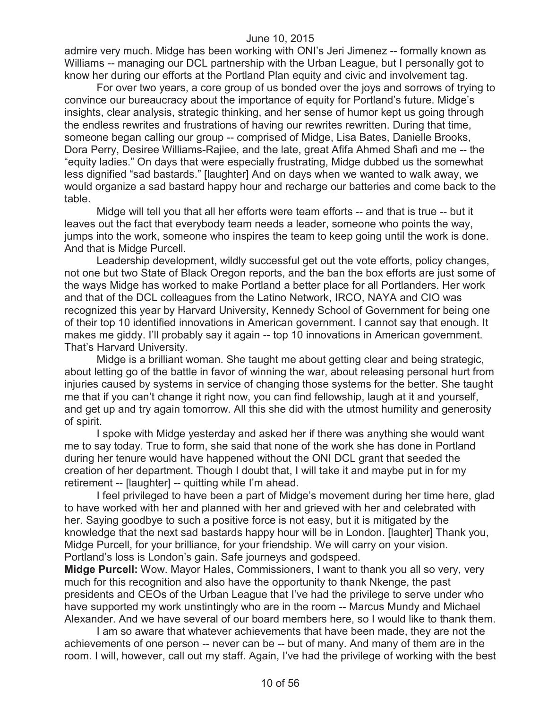admire very much. Midge has been working with ONI's Jeri Jimenez -- formally known as Williams -- managing our DCL partnership with the Urban League, but I personally got to know her during our efforts at the Portland Plan equity and civic and involvement tag.

For over two years, a core group of us bonded over the joys and sorrows of trying to convince our bureaucracy about the importance of equity for Portland's future. Midge's insights, clear analysis, strategic thinking, and her sense of humor kept us going through the endless rewrites and frustrations of having our rewrites rewritten. During that time, someone began calling our group -- comprised of Midge, Lisa Bates, Danielle Brooks, Dora Perry, Desiree Williams-Rajiee, and the late, great Afifa Ahmed Shafi and me -- the "equity ladies." On days that were especially frustrating, Midge dubbed us the somewhat less dignified "sad bastards." [laughter] And on days when we wanted to walk away, we would organize a sad bastard happy hour and recharge our batteries and come back to the table.

Midge will tell you that all her efforts were team efforts -- and that is true -- but it leaves out the fact that everybody team needs a leader, someone who points the way, jumps into the work, someone who inspires the team to keep going until the work is done. And that is Midge Purcell.

Leadership development, wildly successful get out the vote efforts, policy changes, not one but two State of Black Oregon reports, and the ban the box efforts are just some of the ways Midge has worked to make Portland a better place for all Portlanders. Her work and that of the DCL colleagues from the Latino Network, IRCO, NAYA and CIO was recognized this year by Harvard University, Kennedy School of Government for being one of their top 10 identified innovations in American government. I cannot say that enough. It makes me giddy. I'll probably say it again -- top 10 innovations in American government. That's Harvard University.

Midge is a brilliant woman. She taught me about getting clear and being strategic, about letting go of the battle in favor of winning the war, about releasing personal hurt from injuries caused by systems in service of changing those systems for the better. She taught me that if you can't change it right now, you can find fellowship, laugh at it and yourself, and get up and try again tomorrow. All this she did with the utmost humility and generosity of spirit.

I spoke with Midge yesterday and asked her if there was anything she would want me to say today. True to form, she said that none of the work she has done in Portland during her tenure would have happened without the ONI DCL grant that seeded the creation of her department. Though I doubt that, I will take it and maybe put in for my retirement -- [laughter] -- quitting while I'm ahead.

I feel privileged to have been a part of Midge's movement during her time here, glad to have worked with her and planned with her and grieved with her and celebrated with her. Saying goodbye to such a positive force is not easy, but it is mitigated by the knowledge that the next sad bastards happy hour will be in London. [laughter] Thank you, Midge Purcell, for your brilliance, for your friendship. We will carry on your vision. Portland's loss is London's gain. Safe journeys and godspeed.

**Midge Purcell:** Wow. Mayor Hales, Commissioners, I want to thank you all so very, very much for this recognition and also have the opportunity to thank Nkenge, the past presidents and CEOs of the Urban League that I've had the privilege to serve under who have supported my work unstintingly who are in the room -- Marcus Mundy and Michael Alexander. And we have several of our board members here, so I would like to thank them.

I am so aware that whatever achievements that have been made, they are not the achievements of one person -- never can be -- but of many. And many of them are in the room. I will, however, call out my staff. Again, I've had the privilege of working with the best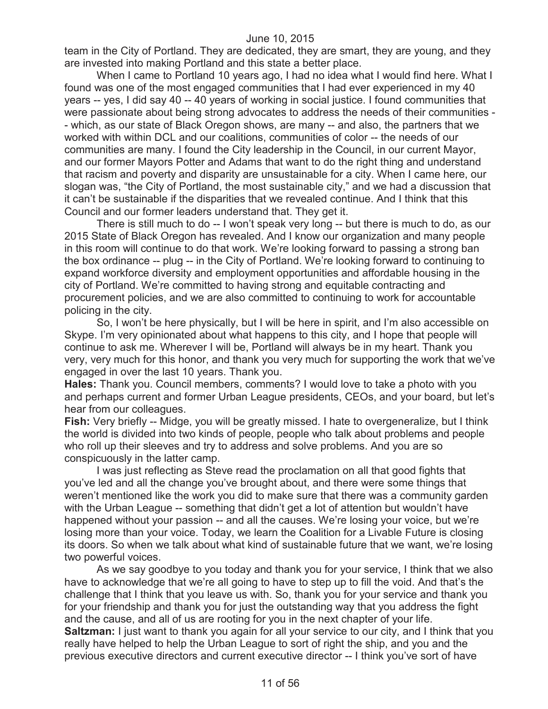team in the City of Portland. They are dedicated, they are smart, they are young, and they are invested into making Portland and this state a better place.

When I came to Portland 10 years ago, I had no idea what I would find here. What I found was one of the most engaged communities that I had ever experienced in my 40 years -- yes, I did say 40 -- 40 years of working in social justice. I found communities that were passionate about being strong advocates to address the needs of their communities - - which, as our state of Black Oregon shows, are many -- and also, the partners that we worked with within DCL and our coalitions, communities of color -- the needs of our communities are many. I found the City leadership in the Council, in our current Mayor, and our former Mayors Potter and Adams that want to do the right thing and understand that racism and poverty and disparity are unsustainable for a city. When I came here, our slogan was, "the City of Portland, the most sustainable city," and we had a discussion that it can't be sustainable if the disparities that we revealed continue. And I think that this Council and our former leaders understand that. They get it.

There is still much to do -- I won't speak very long -- but there is much to do, as our 2015 State of Black Oregon has revealed. And I know our organization and many people in this room will continue to do that work. We're looking forward to passing a strong ban the box ordinance -- plug -- in the City of Portland. We're looking forward to continuing to expand workforce diversity and employment opportunities and affordable housing in the city of Portland. We're committed to having strong and equitable contracting and procurement policies, and we are also committed to continuing to work for accountable policing in the city.

So, I won't be here physically, but I will be here in spirit, and I'm also accessible on Skype. I'm very opinionated about what happens to this city, and I hope that people will continue to ask me. Wherever I will be, Portland will always be in my heart. Thank you very, very much for this honor, and thank you very much for supporting the work that we've engaged in over the last 10 years. Thank you.

**Hales:** Thank you. Council members, comments? I would love to take a photo with you and perhaps current and former Urban League presidents, CEOs, and your board, but let's hear from our colleagues.

**Fish:** Very briefly -- Midge, you will be greatly missed. I hate to overgeneralize, but I think the world is divided into two kinds of people, people who talk about problems and people who roll up their sleeves and try to address and solve problems. And you are so conspicuously in the latter camp.

I was just reflecting as Steve read the proclamation on all that good fights that you've led and all the change you've brought about, and there were some things that weren't mentioned like the work you did to make sure that there was a community garden with the Urban League -- something that didn't get a lot of attention but wouldn't have happened without your passion -- and all the causes. We're losing your voice, but we're losing more than your voice. Today, we learn the Coalition for a Livable Future is closing its doors. So when we talk about what kind of sustainable future that we want, we're losing two powerful voices.

As we say goodbye to you today and thank you for your service, I think that we also have to acknowledge that we're all going to have to step up to fill the void. And that's the challenge that I think that you leave us with. So, thank you for your service and thank you for your friendship and thank you for just the outstanding way that you address the fight and the cause, and all of us are rooting for you in the next chapter of your life. **Saltzman:** I just want to thank you again for all your service to our city, and I think that you really have helped to help the Urban League to sort of right the ship, and you and the previous executive directors and current executive director -- I think you've sort of have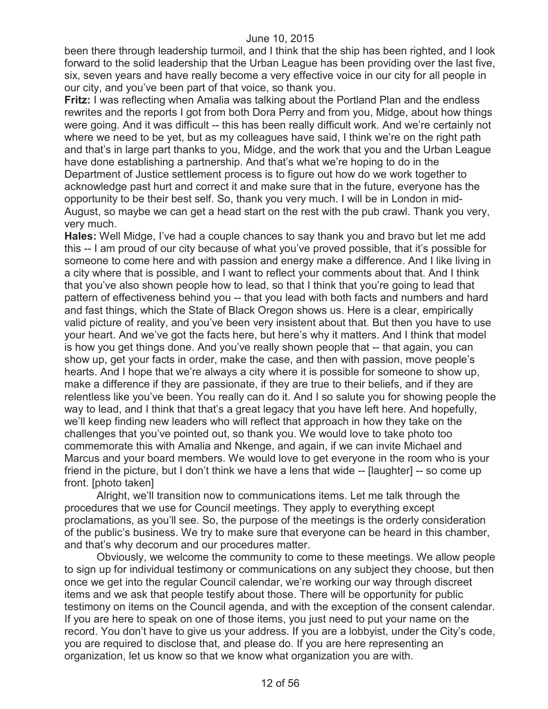been there through leadership turmoil, and I think that the ship has been righted, and I look forward to the solid leadership that the Urban League has been providing over the last five, six, seven years and have really become a very effective voice in our city for all people in our city, and you've been part of that voice, so thank you.

**Fritz:** I was reflecting when Amalia was talking about the Portland Plan and the endless rewrites and the reports I got from both Dora Perry and from you, Midge, about how things were going. And it was difficult -- this has been really difficult work. And we're certainly not where we need to be yet, but as my colleagues have said, I think we're on the right path and that's in large part thanks to you, Midge, and the work that you and the Urban League have done establishing a partnership. And that's what we're hoping to do in the Department of Justice settlement process is to figure out how do we work together to acknowledge past hurt and correct it and make sure that in the future, everyone has the opportunity to be their best self. So, thank you very much. I will be in London in mid-August, so maybe we can get a head start on the rest with the pub crawl. Thank you very, very much.

**Hales:** Well Midge, I've had a couple chances to say thank you and bravo but let me add this -- I am proud of our city because of what you've proved possible, that it's possible for someone to come here and with passion and energy make a difference. And I like living in a city where that is possible, and I want to reflect your comments about that. And I think that you've also shown people how to lead, so that I think that you're going to lead that pattern of effectiveness behind you -- that you lead with both facts and numbers and hard and fast things, which the State of Black Oregon shows us. Here is a clear, empirically valid picture of reality, and you've been very insistent about that. But then you have to use your heart. And we've got the facts here, but here's why it matters. And I think that model is how you get things done. And you've really shown people that -- that again, you can show up, get your facts in order, make the case, and then with passion, move people's hearts. And I hope that we're always a city where it is possible for someone to show up, make a difference if they are passionate, if they are true to their beliefs, and if they are relentless like you've been. You really can do it. And I so salute you for showing people the way to lead, and I think that that's a great legacy that you have left here. And hopefully, we'll keep finding new leaders who will reflect that approach in how they take on the challenges that you've pointed out, so thank you. We would love to take photo too commemorate this with Amalia and Nkenge, and again, if we can invite Michael and Marcus and your board members. We would love to get everyone in the room who is your friend in the picture, but I don't think we have a lens that wide -- [laughter] -- so come up front. [photo taken]

Alright, we'll transition now to communications items. Let me talk through the procedures that we use for Council meetings. They apply to everything except proclamations, as you'll see. So, the purpose of the meetings is the orderly consideration of the public's business. We try to make sure that everyone can be heard in this chamber, and that's why decorum and our procedures matter.

Obviously, we welcome the community to come to these meetings. We allow people to sign up for individual testimony or communications on any subject they choose, but then once we get into the regular Council calendar, we're working our way through discreet items and we ask that people testify about those. There will be opportunity for public testimony on items on the Council agenda, and with the exception of the consent calendar. If you are here to speak on one of those items, you just need to put your name on the record. You don't have to give us your address. If you are a lobbyist, under the City's code, you are required to disclose that, and please do. If you are here representing an organization, let us know so that we know what organization you are with.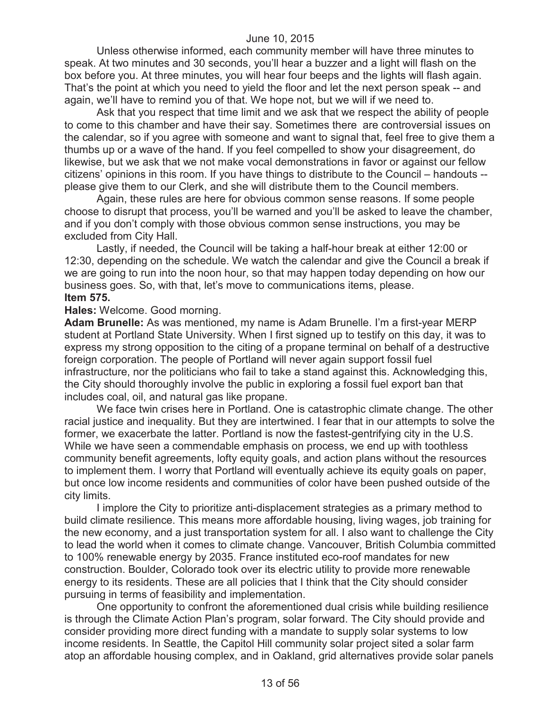Unless otherwise informed, each community member will have three minutes to speak. At two minutes and 30 seconds, you'll hear a buzzer and a light will flash on the box before you. At three minutes, you will hear four beeps and the lights will flash again. That's the point at which you need to yield the floor and let the next person speak -- and again, we'll have to remind you of that. We hope not, but we will if we need to.

Ask that you respect that time limit and we ask that we respect the ability of people to come to this chamber and have their say. Sometimes there are controversial issues on the calendar, so if you agree with someone and want to signal that, feel free to give them a thumbs up or a wave of the hand. If you feel compelled to show your disagreement, do likewise, but we ask that we not make vocal demonstrations in favor or against our fellow citizens' opinions in this room. If you have things to distribute to the Council – handouts - please give them to our Clerk, and she will distribute them to the Council members.

Again, these rules are here for obvious common sense reasons. If some people choose to disrupt that process, you'll be warned and you'll be asked to leave the chamber, and if you don't comply with those obvious common sense instructions, you may be excluded from City Hall.

Lastly, if needed, the Council will be taking a half-hour break at either 12:00 or 12:30, depending on the schedule. We watch the calendar and give the Council a break if we are going to run into the noon hour, so that may happen today depending on how our business goes. So, with that, let's move to communications items, please. **Item 575.**

#### **Hales:** Welcome. Good morning.

**Adam Brunelle:** As was mentioned, my name is Adam Brunelle. I'm a first-year MERP student at Portland State University. When I first signed up to testify on this day, it was to express my strong opposition to the citing of a propane terminal on behalf of a destructive foreign corporation. The people of Portland will never again support fossil fuel infrastructure, nor the politicians who fail to take a stand against this. Acknowledging this, the City should thoroughly involve the public in exploring a fossil fuel export ban that includes coal, oil, and natural gas like propane.

We face twin crises here in Portland. One is catastrophic climate change. The other racial justice and inequality. But they are intertwined. I fear that in our attempts to solve the former, we exacerbate the latter. Portland is now the fastest-gentrifying city in the U.S. While we have seen a commendable emphasis on process, we end up with toothless community benefit agreements, lofty equity goals, and action plans without the resources to implement them. I worry that Portland will eventually achieve its equity goals on paper, but once low income residents and communities of color have been pushed outside of the city limits.

I implore the City to prioritize anti-displacement strategies as a primary method to build climate resilience. This means more affordable housing, living wages, job training for the new economy, and a just transportation system for all. I also want to challenge the City to lead the world when it comes to climate change. Vancouver, British Columbia committed to 100% renewable energy by 2035. France instituted eco-roof mandates for new construction. Boulder, Colorado took over its electric utility to provide more renewable energy to its residents. These are all policies that I think that the City should consider pursuing in terms of feasibility and implementation.

One opportunity to confront the aforementioned dual crisis while building resilience is through the Climate Action Plan's program, solar forward. The City should provide and consider providing more direct funding with a mandate to supply solar systems to low income residents. In Seattle, the Capitol Hill community solar project sited a solar farm atop an affordable housing complex, and in Oakland, grid alternatives provide solar panels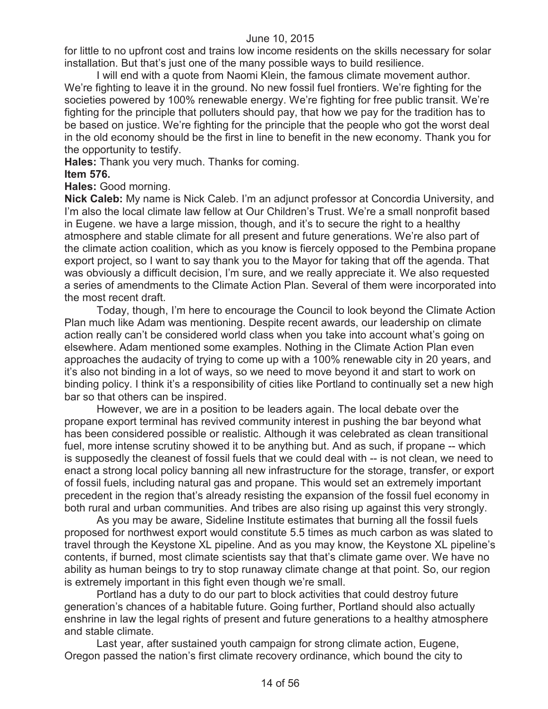for little to no upfront cost and trains low income residents on the skills necessary for solar installation. But that's just one of the many possible ways to build resilience.

I will end with a quote from Naomi Klein, the famous climate movement author. We're fighting to leave it in the ground. No new fossil fuel frontiers. We're fighting for the societies powered by 100% renewable energy. We're fighting for free public transit. We're fighting for the principle that polluters should pay, that how we pay for the tradition has to be based on justice. We're fighting for the principle that the people who got the worst deal in the old economy should be the first in line to benefit in the new economy. Thank you for the opportunity to testify.

**Hales:** Thank you very much. Thanks for coming.

#### **Item 576.**

**Hales:** Good morning.

**Nick Caleb:** My name is Nick Caleb. I'm an adjunct professor at Concordia University, and I'm also the local climate law fellow at Our Children's Trust. We're a small nonprofit based in Eugene. we have a large mission, though, and it's to secure the right to a healthy atmosphere and stable climate for all present and future generations. We're also part of the climate action coalition, which as you know is fiercely opposed to the Pembina propane export project, so I want to say thank you to the Mayor for taking that off the agenda. That was obviously a difficult decision, I'm sure, and we really appreciate it. We also requested a series of amendments to the Climate Action Plan. Several of them were incorporated into the most recent draft.

Today, though, I'm here to encourage the Council to look beyond the Climate Action Plan much like Adam was mentioning. Despite recent awards, our leadership on climate action really can't be considered world class when you take into account what's going on elsewhere. Adam mentioned some examples. Nothing in the Climate Action Plan even approaches the audacity of trying to come up with a 100% renewable city in 20 years, and it's also not binding in a lot of ways, so we need to move beyond it and start to work on binding policy. I think it's a responsibility of cities like Portland to continually set a new high bar so that others can be inspired.

However, we are in a position to be leaders again. The local debate over the propane export terminal has revived community interest in pushing the bar beyond what has been considered possible or realistic. Although it was celebrated as clean transitional fuel, more intense scrutiny showed it to be anything but. And as such, if propane -- which is supposedly the cleanest of fossil fuels that we could deal with -- is not clean, we need to enact a strong local policy banning all new infrastructure for the storage, transfer, or export of fossil fuels, including natural gas and propane. This would set an extremely important precedent in the region that's already resisting the expansion of the fossil fuel economy in both rural and urban communities. And tribes are also rising up against this very strongly.

As you may be aware, Sideline Institute estimates that burning all the fossil fuels proposed for northwest export would constitute 5.5 times as much carbon as was slated to travel through the Keystone XL pipeline. And as you may know, the Keystone XL pipeline's contents, if burned, most climate scientists say that that's climate game over. We have no ability as human beings to try to stop runaway climate change at that point. So, our region is extremely important in this fight even though we're small.

Portland has a duty to do our part to block activities that could destroy future generation's chances of a habitable future. Going further, Portland should also actually enshrine in law the legal rights of present and future generations to a healthy atmosphere and stable climate.

Last year, after sustained youth campaign for strong climate action, Eugene, Oregon passed the nation's first climate recovery ordinance, which bound the city to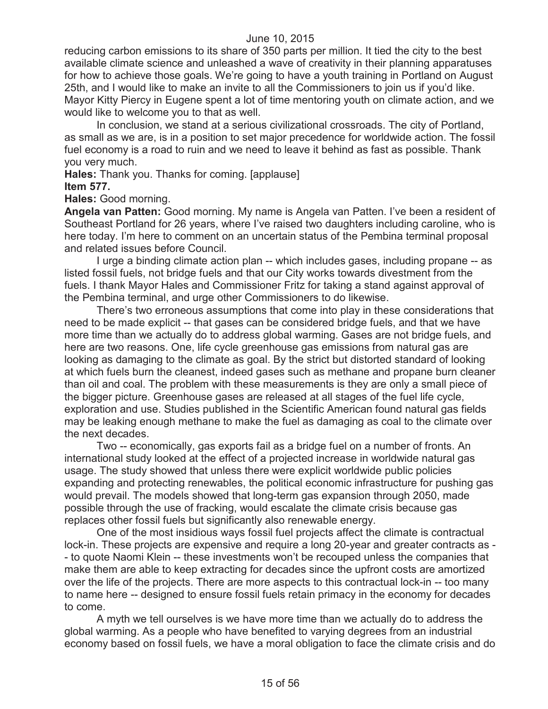reducing carbon emissions to its share of 350 parts per million. It tied the city to the best available climate science and unleashed a wave of creativity in their planning apparatuses for how to achieve those goals. We're going to have a youth training in Portland on August 25th, and I would like to make an invite to all the Commissioners to join us if you'd like. Mayor Kitty Piercy in Eugene spent a lot of time mentoring youth on climate action, and we would like to welcome you to that as well.

In conclusion, we stand at a serious civilizational crossroads. The city of Portland, as small as we are, is in a position to set major precedence for worldwide action. The fossil fuel economy is a road to ruin and we need to leave it behind as fast as possible. Thank you very much.

**Hales:** Thank you. Thanks for coming. [applause] **Item 577.**

**Hales:** Good morning.

**Angela van Patten:** Good morning. My name is Angela van Patten. I've been a resident of Southeast Portland for 26 years, where I've raised two daughters including caroline, who is here today. I'm here to comment on an uncertain status of the Pembina terminal proposal and related issues before Council.

I urge a binding climate action plan -- which includes gases, including propane -- as listed fossil fuels, not bridge fuels and that our City works towards divestment from the fuels. I thank Mayor Hales and Commissioner Fritz for taking a stand against approval of the Pembina terminal, and urge other Commissioners to do likewise.

There's two erroneous assumptions that come into play in these considerations that need to be made explicit -- that gases can be considered bridge fuels, and that we have more time than we actually do to address global warming. Gases are not bridge fuels, and here are two reasons. One, life cycle greenhouse gas emissions from natural gas are looking as damaging to the climate as goal. By the strict but distorted standard of looking at which fuels burn the cleanest, indeed gases such as methane and propane burn cleaner than oil and coal. The problem with these measurements is they are only a small piece of the bigger picture. Greenhouse gases are released at all stages of the fuel life cycle, exploration and use. Studies published in the Scientific American found natural gas fields may be leaking enough methane to make the fuel as damaging as coal to the climate over the next decades.

Two -- economically, gas exports fail as a bridge fuel on a number of fronts. An international study looked at the effect of a projected increase in worldwide natural gas usage. The study showed that unless there were explicit worldwide public policies expanding and protecting renewables, the political economic infrastructure for pushing gas would prevail. The models showed that long-term gas expansion through 2050, made possible through the use of fracking, would escalate the climate crisis because gas replaces other fossil fuels but significantly also renewable energy.

One of the most insidious ways fossil fuel projects affect the climate is contractual lock-in. These projects are expensive and require a long 20-year and greater contracts as - - to quote Naomi Klein -- these investments won't be recouped unless the companies that make them are able to keep extracting for decades since the upfront costs are amortized over the life of the projects. There are more aspects to this contractual lock-in -- too many to name here -- designed to ensure fossil fuels retain primacy in the economy for decades to come.

A myth we tell ourselves is we have more time than we actually do to address the global warming. As a people who have benefited to varying degrees from an industrial economy based on fossil fuels, we have a moral obligation to face the climate crisis and do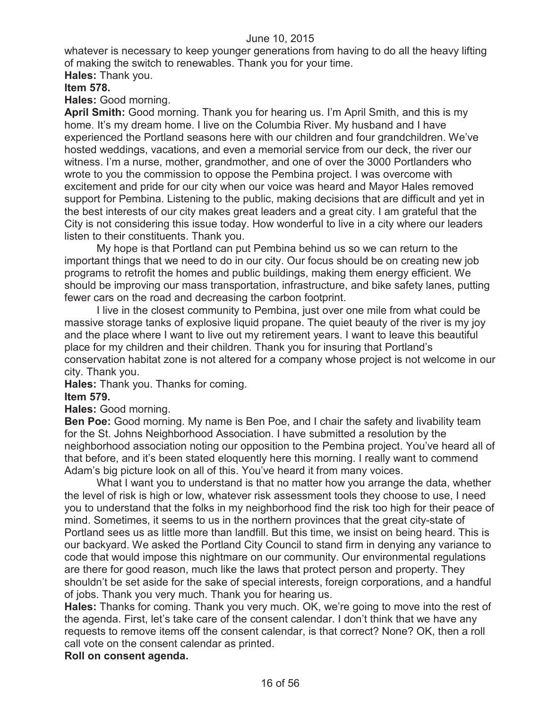whatever is necessary to keep younger generations from having to do all the heavy lifting of making the switch to renewables. Thank you for your time.

**Hales:** Thank you.

**Item 578.**

**Hales:** Good morning.

**April Smith:** Good morning. Thank you for hearing us. I'm April Smith, and this is my home. It's my dream home. I live on the Columbia River. My husband and I have experienced the Portland seasons here with our children and four grandchildren. We've hosted weddings, vacations, and even a memorial service from our deck, the river our witness. I'm a nurse, mother, grandmother, and one of over the 3000 Portlanders who wrote to you the commission to oppose the Pembina project. I was overcome with excitement and pride for our city when our voice was heard and Mayor Hales removed support for Pembina. Listening to the public, making decisions that are difficult and yet in the best interests of our city makes great leaders and a great city. I am grateful that the City is not considering this issue today. How wonderful to live in a city where our leaders listen to their constituents. Thank you.

My hope is that Portland can put Pembina behind us so we can return to the important things that we need to do in our city. Our focus should be on creating new job programs to retrofit the homes and public buildings, making them energy efficient. We should be improving our mass transportation, infrastructure, and bike safety lanes, putting fewer cars on the road and decreasing the carbon footprint.

I live in the closest community to Pembina, just over one mile from what could be massive storage tanks of explosive liquid propane. The quiet beauty of the river is my joy and the place where I want to live out my retirement years. I want to leave this beautiful place for my children and their children. Thank you for insuring that Portland's conservation habitat zone is not altered for a company whose project is not welcome in our city. Thank you.

**Hales:** Thank you. Thanks for coming.

# **Item 579.**

**Hales:** Good morning.

**Ben Poe:** Good morning. My name is Ben Poe, and I chair the safety and livability team for the St. Johns Neighborhood Association. I have submitted a resolution by the neighborhood association noting our opposition to the Pembina project. You've heard all of that before, and it's been stated eloquently here this morning. I really want to commend Adam's big picture look on all of this. You've heard it from many voices.

What I want you to understand is that no matter how you arrange the data, whether the level of risk is high or low, whatever risk assessment tools they choose to use, I need you to understand that the folks in my neighborhood find the risk too high for their peace of mind. Sometimes, it seems to us in the northern provinces that the great city-state of Portland sees us as little more than landfill. But this time, we insist on being heard. This is our backyard. We asked the Portland City Council to stand firm in denying any variance to code that would impose this nightmare on our community. Our environmental regulations are there for good reason, much like the laws that protect person and property. They shouldn't be set aside for the sake of special interests, foreign corporations, and a handful of jobs. Thank you very much. Thank you for hearing us.

**Hales:** Thanks for coming. Thank you very much. OK, we're going to move into the rest of the agenda. First, let's take care of the consent calendar. I don't think that we have any requests to remove items off the consent calendar, is that correct? None? OK, then a roll call vote on the consent calendar as printed.

# **Roll on consent agenda.**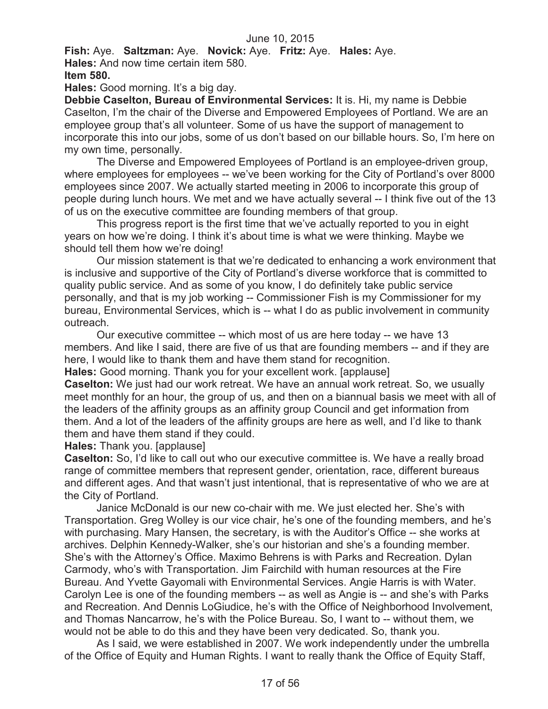**Fish:** Aye. **Saltzman:** Aye. **Novick:** Aye. **Fritz:** Aye. **Hales:** Aye.

**Hales:** And now time certain item 580.

**Item 580.**

**Hales:** Good morning. It's a big day.

**Debbie Caselton, Bureau of Environmental Services:** It is. Hi, my name is Debbie Caselton, I'm the chair of the Diverse and Empowered Employees of Portland. We are an employee group that's all volunteer. Some of us have the support of management to incorporate this into our jobs, some of us don't based on our billable hours. So, I'm here on my own time, personally.

The Diverse and Empowered Employees of Portland is an employee-driven group, where employees for employees -- we've been working for the City of Portland's over 8000 employees since 2007. We actually started meeting in 2006 to incorporate this group of people during lunch hours. We met and we have actually several -- I think five out of the 13 of us on the executive committee are founding members of that group.

This progress report is the first time that we've actually reported to you in eight years on how we're doing. I think it's about time is what we were thinking. Maybe we should tell them how we're doing!

Our mission statement is that we're dedicated to enhancing a work environment that is inclusive and supportive of the City of Portland's diverse workforce that is committed to quality public service. And as some of you know, I do definitely take public service personally, and that is my job working -- Commissioner Fish is my Commissioner for my bureau, Environmental Services, which is -- what I do as public involvement in community outreach.

Our executive committee -- which most of us are here today -- we have 13 members. And like I said, there are five of us that are founding members -- and if they are here, I would like to thank them and have them stand for recognition.

**Hales:** Good morning. Thank you for your excellent work. [applause]

**Caselton:** We just had our work retreat. We have an annual work retreat. So, we usually meet monthly for an hour, the group of us, and then on a biannual basis we meet with all of the leaders of the affinity groups as an affinity group Council and get information from them. And a lot of the leaders of the affinity groups are here as well, and I'd like to thank them and have them stand if they could.

**Hales:** Thank you. [applause]

**Caselton:** So, I'd like to call out who our executive committee is. We have a really broad range of committee members that represent gender, orientation, race, different bureaus and different ages. And that wasn't just intentional, that is representative of who we are at the City of Portland.

Janice McDonald is our new co-chair with me. We just elected her. She's with Transportation. Greg Wolley is our vice chair, he's one of the founding members, and he's with purchasing. Mary Hansen, the secretary, is with the Auditor's Office -- she works at archives. Delphin Kennedy-Walker, she's our historian and she's a founding member. She's with the Attorney's Office. Maximo Behrens is with Parks and Recreation. Dylan Carmody, who's with Transportation. Jim Fairchild with human resources at the Fire Bureau. And Yvette Gayomali with Environmental Services. Angie Harris is with Water. Carolyn Lee is one of the founding members -- as well as Angie is -- and she's with Parks and Recreation. And Dennis LoGiudice, he's with the Office of Neighborhood Involvement, and Thomas Nancarrow, he's with the Police Bureau. So, I want to -- without them, we would not be able to do this and they have been very dedicated. So, thank you.

As I said, we were established in 2007. We work independently under the umbrella of the Office of Equity and Human Rights. I want to really thank the Office of Equity Staff,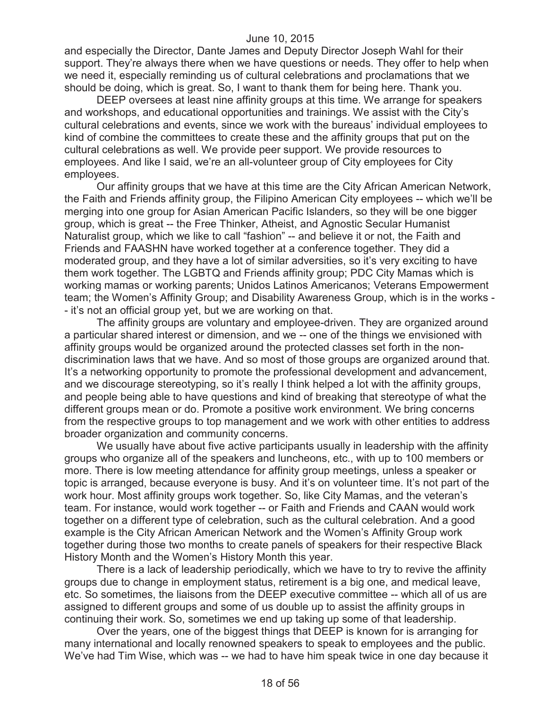and especially the Director, Dante James and Deputy Director Joseph Wahl for their support. They're always there when we have questions or needs. They offer to help when we need it, especially reminding us of cultural celebrations and proclamations that we should be doing, which is great. So, I want to thank them for being here. Thank you.

DEEP oversees at least nine affinity groups at this time. We arrange for speakers and workshops, and educational opportunities and trainings. We assist with the City's cultural celebrations and events, since we work with the bureaus' individual employees to kind of combine the committees to create these and the affinity groups that put on the cultural celebrations as well. We provide peer support. We provide resources to employees. And like I said, we're an all-volunteer group of City employees for City employees.

Our affinity groups that we have at this time are the City African American Network, the Faith and Friends affinity group, the Filipino American City employees -- which we'll be merging into one group for Asian American Pacific Islanders, so they will be one bigger group, which is great -- the Free Thinker, Atheist, and Agnostic Secular Humanist Naturalist group, which we like to call "fashion" -- and believe it or not, the Faith and Friends and FAASHN have worked together at a conference together. They did a moderated group, and they have a lot of similar adversities, so it's very exciting to have them work together. The LGBTQ and Friends affinity group; PDC City Mamas which is working mamas or working parents; Unidos Latinos Americanos; Veterans Empowerment team; the Women's Affinity Group; and Disability Awareness Group, which is in the works - - it's not an official group yet, but we are working on that.

The affinity groups are voluntary and employee-driven. They are organized around a particular shared interest or dimension, and we -- one of the things we envisioned with affinity groups would be organized around the protected classes set forth in the nondiscrimination laws that we have. And so most of those groups are organized around that. It's a networking opportunity to promote the professional development and advancement, and we discourage stereotyping, so it's really I think helped a lot with the affinity groups, and people being able to have questions and kind of breaking that stereotype of what the different groups mean or do. Promote a positive work environment. We bring concerns from the respective groups to top management and we work with other entities to address broader organization and community concerns.

We usually have about five active participants usually in leadership with the affinity groups who organize all of the speakers and luncheons, etc., with up to 100 members or more. There is low meeting attendance for affinity group meetings, unless a speaker or topic is arranged, because everyone is busy. And it's on volunteer time. It's not part of the work hour. Most affinity groups work together. So, like City Mamas, and the veteran's team. For instance, would work together -- or Faith and Friends and CAAN would work together on a different type of celebration, such as the cultural celebration. And a good example is the City African American Network and the Women's Affinity Group work together during those two months to create panels of speakers for their respective Black History Month and the Women's History Month this year.

There is a lack of leadership periodically, which we have to try to revive the affinity groups due to change in employment status, retirement is a big one, and medical leave, etc. So sometimes, the liaisons from the DEEP executive committee -- which all of us are assigned to different groups and some of us double up to assist the affinity groups in continuing their work. So, sometimes we end up taking up some of that leadership.

Over the years, one of the biggest things that DEEP is known for is arranging for many international and locally renowned speakers to speak to employees and the public. We've had Tim Wise, which was -- we had to have him speak twice in one day because it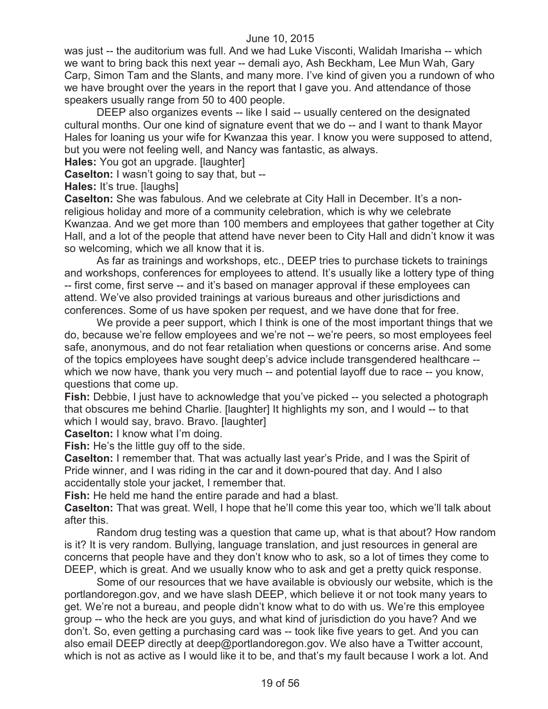was just -- the auditorium was full. And we had Luke Visconti, Walidah Imarisha -- which we want to bring back this next year -- demali ayo, Ash Beckham, Lee Mun Wah, Gary Carp, Simon Tam and the Slants, and many more. I've kind of given you a rundown of who we have brought over the years in the report that I gave you. And attendance of those speakers usually range from 50 to 400 people.

DEEP also organizes events -- like I said -- usually centered on the designated cultural months. Our one kind of signature event that we do -- and I want to thank Mayor Hales for loaning us your wife for Kwanzaa this year. I know you were supposed to attend, but you were not feeling well, and Nancy was fantastic, as always.

**Hales:** You got an upgrade. [laughter]

**Caselton:** I wasn't going to say that, but --

**Hales:** It's true. [laughs]

**Caselton:** She was fabulous. And we celebrate at City Hall in December. It's a nonreligious holiday and more of a community celebration, which is why we celebrate Kwanzaa. And we get more than 100 members and employees that gather together at City Hall, and a lot of the people that attend have never been to City Hall and didn't know it was so welcoming, which we all know that it is.

As far as trainings and workshops, etc., DEEP tries to purchase tickets to trainings and workshops, conferences for employees to attend. It's usually like a lottery type of thing -- first come, first serve -- and it's based on manager approval if these employees can attend. We've also provided trainings at various bureaus and other jurisdictions and conferences. Some of us have spoken per request, and we have done that for free.

We provide a peer support, which I think is one of the most important things that we do, because we're fellow employees and we're not -- we're peers, so most employees feel safe, anonymous, and do not fear retaliation when questions or concerns arise. And some of the topics employees have sought deep's advice include transgendered healthcare - which we now have, thank you very much -- and potential layoff due to race -- you know, questions that come up.

**Fish:** Debbie, I just have to acknowledge that you've picked -- you selected a photograph that obscures me behind Charlie. [laughter] It highlights my son, and I would -- to that which I would say, bravo. Bravo. [laughter]

**Caselton:** I know what I'm doing.

**Fish:** He's the little guy off to the side.

**Caselton:** I remember that. That was actually last year's Pride, and I was the Spirit of Pride winner, and I was riding in the car and it down-poured that day. And I also accidentally stole your jacket, I remember that.

**Fish:** He held me hand the entire parade and had a blast.

**Caselton:** That was great. Well, I hope that he'll come this year too, which we'll talk about after this.

Random drug testing was a question that came up, what is that about? How random is it? It is very random. Bullying, language translation, and just resources in general are concerns that people have and they don't know who to ask, so a lot of times they come to DEEP, which is great. And we usually know who to ask and get a pretty quick response.

Some of our resources that we have available is obviously our website, which is the portlandoregon.gov, and we have slash DEEP, which believe it or not took many years to get. We're not a bureau, and people didn't know what to do with us. We're this employee group -- who the heck are you guys, and what kind of jurisdiction do you have? And we don't. So, even getting a purchasing card was -- took like five years to get. And you can also email DEEP directly at deep@portlandoregon.gov. We also have a Twitter account, which is not as active as I would like it to be, and that's my fault because I work a lot. And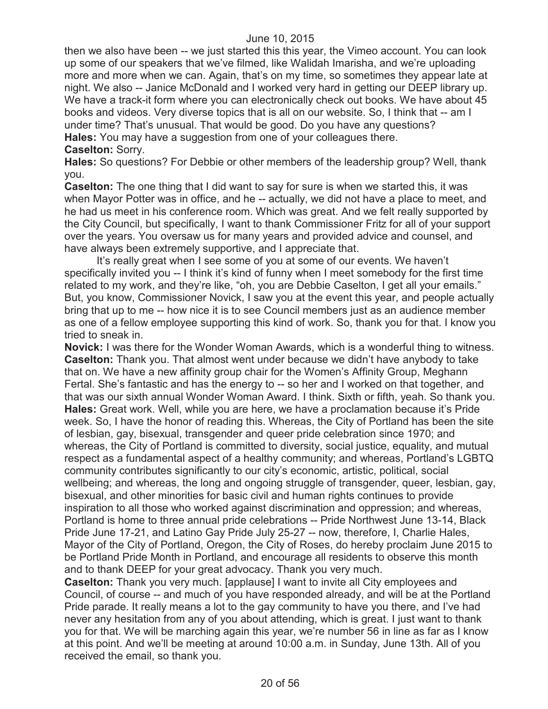then we also have been -- we just started this this year, the Vimeo account. You can look up some of our speakers that we've filmed, like Walidah Imarisha, and we're uploading more and more when we can. Again, that's on my time, so sometimes they appear late at night. We also -- Janice McDonald and I worked very hard in getting our DEEP library up. We have a track-it form where you can electronically check out books. We have about 45 books and videos. Very diverse topics that is all on our website. So, I think that -- am I under time? That's unusual. That would be good. Do you have any questions? **Hales:** You may have a suggestion from one of your colleagues there. **Caselton:** Sorry.

**Hales:** So questions? For Debbie or other members of the leadership group? Well, thank you.

**Caselton:** The one thing that I did want to say for sure is when we started this, it was when Mayor Potter was in office, and he -- actually, we did not have a place to meet, and he had us meet in his conference room. Which was great. And we felt really supported by the City Council, but specifically, I want to thank Commissioner Fritz for all of your support over the years. You oversaw us for many years and provided advice and counsel, and have always been extremely supportive, and I appreciate that.

It's really great when I see some of you at some of our events. We haven't specifically invited you -- I think it's kind of funny when I meet somebody for the first time related to my work, and they're like, "oh, you are Debbie Caselton, I get all your emails." But, you know, Commissioner Novick, I saw you at the event this year, and people actually bring that up to me -- how nice it is to see Council members just as an audience member as one of a fellow employee supporting this kind of work. So, thank you for that. I know you tried to sneak in.

**Novick:** I was there for the Wonder Woman Awards, which is a wonderful thing to witness. **Caselton:** Thank you. That almost went under because we didn't have anybody to take that on. We have a new affinity group chair for the Women's Affinity Group, Meghann Fertal. She's fantastic and has the energy to -- so her and I worked on that together, and that was our sixth annual Wonder Woman Award. I think. Sixth or fifth, yeah. So thank you. **Hales:** Great work. Well, while you are here, we have a proclamation because it's Pride week. So, I have the honor of reading this. Whereas, the City of Portland has been the site of lesbian, gay, bisexual, transgender and queer pride celebration since 1970; and whereas, the City of Portland is committed to diversity, social justice, equality, and mutual respect as a fundamental aspect of a healthy community; and whereas, Portland's LGBTQ community contributes significantly to our city's economic, artistic, political, social wellbeing; and whereas, the long and ongoing struggle of transgender, queer, lesbian, gay, bisexual, and other minorities for basic civil and human rights continues to provide inspiration to all those who worked against discrimination and oppression; and whereas, Portland is home to three annual pride celebrations -- Pride Northwest June 13-14, Black Pride June 17-21, and Latino Gay Pride July 25-27 -- now, therefore, I, Charlie Hales, Mayor of the City of Portland, Oregon, the City of Roses, do hereby proclaim June 2015 to be Portland Pride Month in Portland, and encourage all residents to observe this month and to thank DEEP for your great advocacy. Thank you very much.

**Caselton:** Thank you very much. [applause] I want to invite all City employees and Council, of course -- and much of you have responded already, and will be at the Portland Pride parade. It really means a lot to the gay community to have you there, and I've had never any hesitation from any of you about attending, which is great. I just want to thank you for that. We will be marching again this year, we're number 56 in line as far as I know at this point. And we'll be meeting at around 10:00 a.m. in Sunday, June 13th. All of you received the email, so thank you.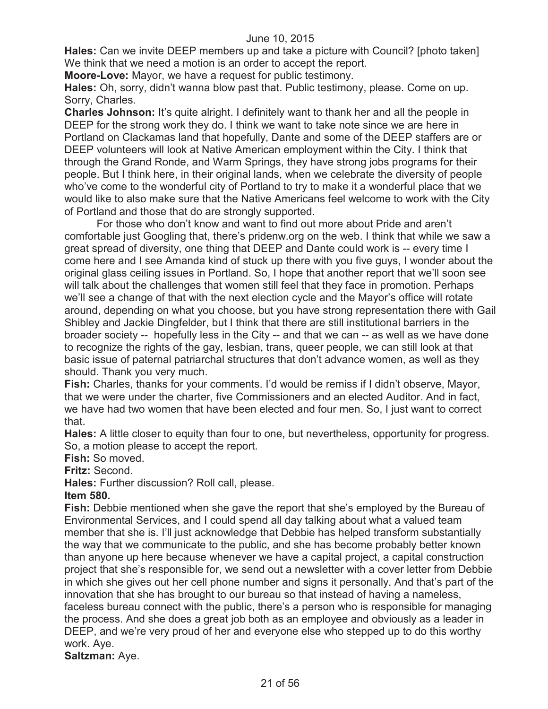**Hales:** Can we invite DEEP members up and take a picture with Council? [photo taken] We think that we need a motion is an order to accept the report.

**Moore-Love:** Mayor, we have a request for public testimony.

**Hales:** Oh, sorry, didn't wanna blow past that. Public testimony, please. Come on up. Sorry, Charles.

**Charles Johnson:** It's quite alright. I definitely want to thank her and all the people in DEEP for the strong work they do. I think we want to take note since we are here in Portland on Clackamas land that hopefully, Dante and some of the DEEP staffers are or DEEP volunteers will look at Native American employment within the City. I think that through the Grand Ronde, and Warm Springs, they have strong jobs programs for their people. But I think here, in their original lands, when we celebrate the diversity of people who've come to the wonderful city of Portland to try to make it a wonderful place that we would like to also make sure that the Native Americans feel welcome to work with the City of Portland and those that do are strongly supported.

For those who don't know and want to find out more about Pride and aren't comfortable just Googling that, there's pridenw.org on the web. I think that while we saw a great spread of diversity, one thing that DEEP and Dante could work is -- every time I come here and I see Amanda kind of stuck up there with you five guys, I wonder about the original glass ceiling issues in Portland. So, I hope that another report that we'll soon see will talk about the challenges that women still feel that they face in promotion. Perhaps we'll see a change of that with the next election cycle and the Mayor's office will rotate around, depending on what you choose, but you have strong representation there with Gail Shibley and Jackie Dingfelder, but I think that there are still institutional barriers in the broader society -- hopefully less in the City -- and that we can -- as well as we have done to recognize the rights of the gay, lesbian, trans, queer people, we can still look at that basic issue of paternal patriarchal structures that don't advance women, as well as they should. Thank you very much.

**Fish:** Charles, thanks for your comments. I'd would be remiss if I didn't observe, Mayor, that we were under the charter, five Commissioners and an elected Auditor. And in fact, we have had two women that have been elected and four men. So, I just want to correct that.

**Hales:** A little closer to equity than four to one, but nevertheless, opportunity for progress. So, a motion please to accept the report.

**Fish:** So moved.

**Fritz:** Second.

**Hales:** Further discussion? Roll call, please.

**Item 580.**

**Fish:** Debbie mentioned when she gave the report that she's employed by the Bureau of Environmental Services, and I could spend all day talking about what a valued team member that she is. I'll just acknowledge that Debbie has helped transform substantially the way that we communicate to the public, and she has become probably better known than anyone up here because whenever we have a capital project, a capital construction project that she's responsible for, we send out a newsletter with a cover letter from Debbie in which she gives out her cell phone number and signs it personally. And that's part of the innovation that she has brought to our bureau so that instead of having a nameless, faceless bureau connect with the public, there's a person who is responsible for managing the process. And she does a great job both as an employee and obviously as a leader in DEEP, and we're very proud of her and everyone else who stepped up to do this worthy work. Aye.

**Saltzman:** Aye.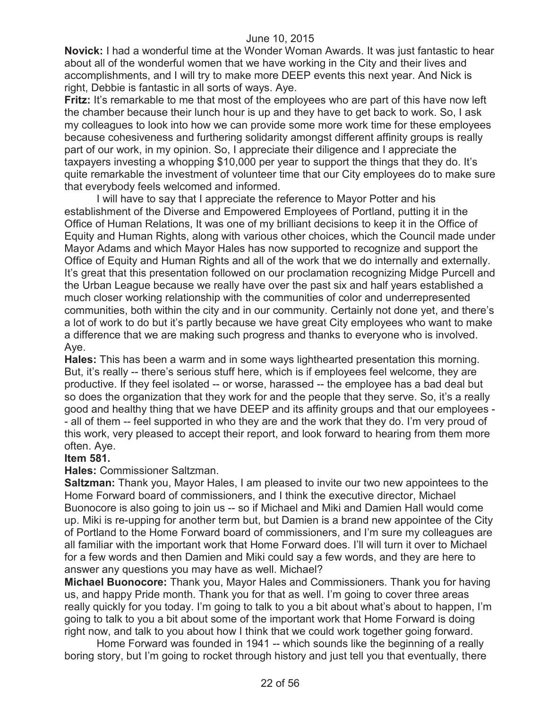**Novick:** I had a wonderful time at the Wonder Woman Awards. It was just fantastic to hear about all of the wonderful women that we have working in the City and their lives and accomplishments, and I will try to make more DEEP events this next year. And Nick is right, Debbie is fantastic in all sorts of ways. Aye.

**Fritz:** It's remarkable to me that most of the employees who are part of this have now left the chamber because their lunch hour is up and they have to get back to work. So, I ask my colleagues to look into how we can provide some more work time for these employees because cohesiveness and furthering solidarity amongst different affinity groups is really part of our work, in my opinion. So, I appreciate their diligence and I appreciate the taxpayers investing a whopping \$10,000 per year to support the things that they do. It's quite remarkable the investment of volunteer time that our City employees do to make sure that everybody feels welcomed and informed.

I will have to say that I appreciate the reference to Mayor Potter and his establishment of the Diverse and Empowered Employees of Portland, putting it in the Office of Human Relations, It was one of my brilliant decisions to keep it in the Office of Equity and Human Rights, along with various other choices, which the Council made under Mayor Adams and which Mayor Hales has now supported to recognize and support the Office of Equity and Human Rights and all of the work that we do internally and externally. It's great that this presentation followed on our proclamation recognizing Midge Purcell and the Urban League because we really have over the past six and half years established a much closer working relationship with the communities of color and underrepresented communities, both within the city and in our community. Certainly not done yet, and there's a lot of work to do but it's partly because we have great City employees who want to make a difference that we are making such progress and thanks to everyone who is involved. Aye.

**Hales:** This has been a warm and in some ways lighthearted presentation this morning. But, it's really -- there's serious stuff here, which is if employees feel welcome, they are productive. If they feel isolated -- or worse, harassed -- the employee has a bad deal but so does the organization that they work for and the people that they serve. So, it's a really good and healthy thing that we have DEEP and its affinity groups and that our employees - - all of them -- feel supported in who they are and the work that they do. I'm very proud of this work, very pleased to accept their report, and look forward to hearing from them more often. Aye.

# **Item 581.**

#### **Hales:** Commissioner Saltzman.

**Saltzman:** Thank you, Mayor Hales, I am pleased to invite our two new appointees to the Home Forward board of commissioners, and I think the executive director, Michael Buonocore is also going to join us -- so if Michael and Miki and Damien Hall would come up. Miki is re-upping for another term but, but Damien is a brand new appointee of the City of Portland to the Home Forward board of commissioners, and I'm sure my colleagues are all familiar with the important work that Home Forward does. I'll will turn it over to Michael for a few words and then Damien and Miki could say a few words, and they are here to answer any questions you may have as well. Michael?

**Michael Buonocore:** Thank you, Mayor Hales and Commissioners. Thank you for having us, and happy Pride month. Thank you for that as well. I'm going to cover three areas really quickly for you today. I'm going to talk to you a bit about what's about to happen, I'm going to talk to you a bit about some of the important work that Home Forward is doing right now, and talk to you about how I think that we could work together going forward.

Home Forward was founded in 1941 -- which sounds like the beginning of a really boring story, but I'm going to rocket through history and just tell you that eventually, there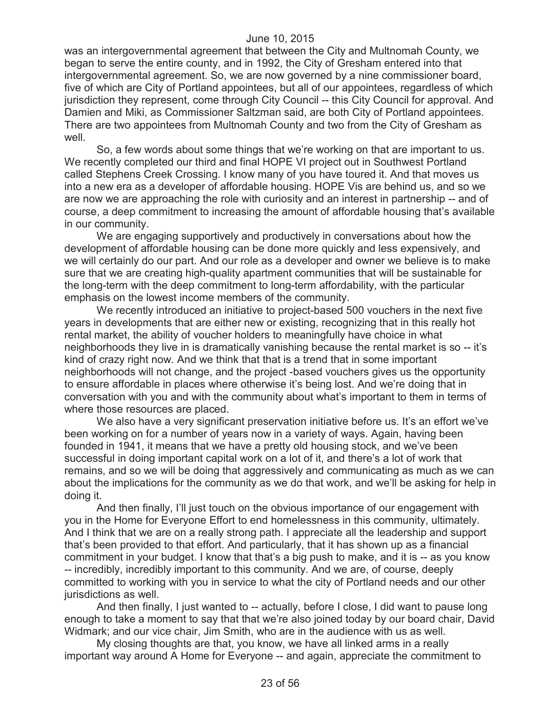was an intergovernmental agreement that between the City and Multnomah County, we began to serve the entire county, and in 1992, the City of Gresham entered into that intergovernmental agreement. So, we are now governed by a nine commissioner board, five of which are City of Portland appointees, but all of our appointees, regardless of which jurisdiction they represent, come through City Council -- this City Council for approval. And Damien and Miki, as Commissioner Saltzman said, are both City of Portland appointees. There are two appointees from Multnomah County and two from the City of Gresham as well.

So, a few words about some things that we're working on that are important to us. We recently completed our third and final HOPE VI project out in Southwest Portland called Stephens Creek Crossing. I know many of you have toured it. And that moves us into a new era as a developer of affordable housing. HOPE Vis are behind us, and so we are now we are approaching the role with curiosity and an interest in partnership -- and of course, a deep commitment to increasing the amount of affordable housing that's available in our community.

We are engaging supportively and productively in conversations about how the development of affordable housing can be done more quickly and less expensively, and we will certainly do our part. And our role as a developer and owner we believe is to make sure that we are creating high-quality apartment communities that will be sustainable for the long-term with the deep commitment to long-term affordability, with the particular emphasis on the lowest income members of the community.

We recently introduced an initiative to project-based 500 vouchers in the next five years in developments that are either new or existing, recognizing that in this really hot rental market, the ability of voucher holders to meaningfully have choice in what neighborhoods they live in is dramatically vanishing because the rental market is so -- it's kind of crazy right now. And we think that that is a trend that in some important neighborhoods will not change, and the project -based vouchers gives us the opportunity to ensure affordable in places where otherwise it's being lost. And we're doing that in conversation with you and with the community about what's important to them in terms of where those resources are placed.

We also have a very significant preservation initiative before us. It's an effort we've been working on for a number of years now in a variety of ways. Again, having been founded in 1941, it means that we have a pretty old housing stock, and we've been successful in doing important capital work on a lot of it, and there's a lot of work that remains, and so we will be doing that aggressively and communicating as much as we can about the implications for the community as we do that work, and we'll be asking for help in doing it.

And then finally, I'll just touch on the obvious importance of our engagement with you in the Home for Everyone Effort to end homelessness in this community, ultimately. And I think that we are on a really strong path. I appreciate all the leadership and support that's been provided to that effort. And particularly, that it has shown up as a financial commitment in your budget. I know that that's a big push to make, and it is -- as you know -- incredibly, incredibly important to this community. And we are, of course, deeply committed to working with you in service to what the city of Portland needs and our other jurisdictions as well.

And then finally, I just wanted to -- actually, before I close, I did want to pause long enough to take a moment to say that that we're also joined today by our board chair, David Widmark; and our vice chair, Jim Smith, who are in the audience with us as well.

My closing thoughts are that, you know, we have all linked arms in a really important way around A Home for Everyone -- and again, appreciate the commitment to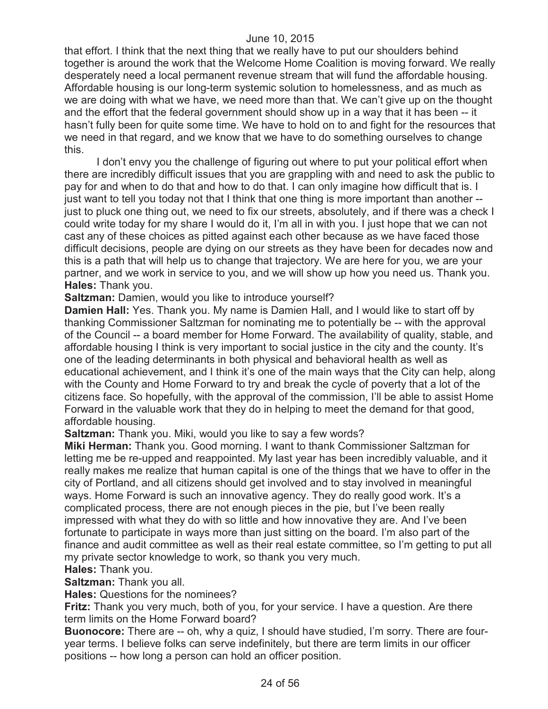that effort. I think that the next thing that we really have to put our shoulders behind together is around the work that the Welcome Home Coalition is moving forward. We really desperately need a local permanent revenue stream that will fund the affordable housing. Affordable housing is our long-term systemic solution to homelessness, and as much as we are doing with what we have, we need more than that. We can't give up on the thought and the effort that the federal government should show up in a way that it has been -- it hasn't fully been for quite some time. We have to hold on to and fight for the resources that we need in that regard, and we know that we have to do something ourselves to change this.

I don't envy you the challenge of figuring out where to put your political effort when there are incredibly difficult issues that you are grappling with and need to ask the public to pay for and when to do that and how to do that. I can only imagine how difficult that is. I just want to tell you today not that I think that one thing is more important than another - just to pluck one thing out, we need to fix our streets, absolutely, and if there was a check I could write today for my share I would do it, I'm all in with you. I just hope that we can not cast any of these choices as pitted against each other because as we have faced those difficult decisions, people are dying on our streets as they have been for decades now and this is a path that will help us to change that trajectory. We are here for you, we are your partner, and we work in service to you, and we will show up how you need us. Thank you. **Hales:** Thank you.

**Saltzman: Damien, would you like to introduce yourself?** 

**Damien Hall:** Yes. Thank you. My name is Damien Hall, and I would like to start off by thanking Commissioner Saltzman for nominating me to potentially be -- with the approval of the Council -- a board member for Home Forward. The availability of quality, stable, and affordable housing I think is very important to social justice in the city and the county. It's one of the leading determinants in both physical and behavioral health as well as educational achievement, and I think it's one of the main ways that the City can help, along with the County and Home Forward to try and break the cycle of poverty that a lot of the citizens face. So hopefully, with the approval of the commission, I'll be able to assist Home Forward in the valuable work that they do in helping to meet the demand for that good, affordable housing.

**Saltzman:** Thank you. Miki, would you like to say a few words?

**Miki Herman:** Thank you. Good morning. I want to thank Commissioner Saltzman for letting me be re-upped and reappointed. My last year has been incredibly valuable, and it really makes me realize that human capital is one of the things that we have to offer in the city of Portland, and all citizens should get involved and to stay involved in meaningful ways. Home Forward is such an innovative agency. They do really good work. It's a complicated process, there are not enough pieces in the pie, but I've been really impressed with what they do with so little and how innovative they are. And I've been fortunate to participate in ways more than just sitting on the board. I'm also part of the finance and audit committee as well as their real estate committee, so I'm getting to put all my private sector knowledge to work, so thank you very much.

#### **Hales:** Thank you.

**Saltzman:** Thank you all.

**Hales:** Questions for the nominees?

**Fritz:** Thank you very much, both of you, for your service. I have a question. Are there term limits on the Home Forward board?

**Buonocore:** There are -- oh, why a quiz, I should have studied, I'm sorry. There are fouryear terms. I believe folks can serve indefinitely, but there are term limits in our officer positions -- how long a person can hold an officer position.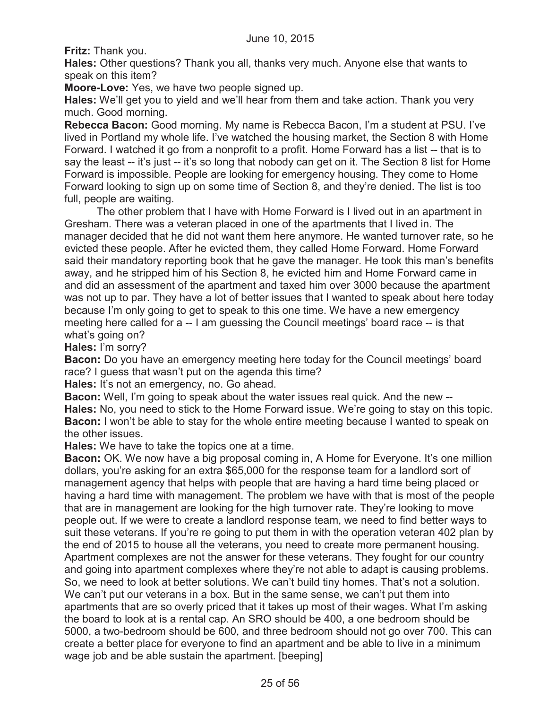**Fritz:** Thank you.

**Hales:** Other questions? Thank you all, thanks very much. Anyone else that wants to speak on this item?

**Moore-Love:** Yes, we have two people signed up.

**Hales:** We'll get you to yield and we'll hear from them and take action. Thank you very much. Good morning.

**Rebecca Bacon:** Good morning. My name is Rebecca Bacon, I'm a student at PSU. I've lived in Portland my whole life. I've watched the housing market, the Section 8 with Home Forward. I watched it go from a nonprofit to a profit. Home Forward has a list -- that is to say the least -- it's just -- it's so long that nobody can get on it. The Section 8 list for Home Forward is impossible. People are looking for emergency housing. They come to Home Forward looking to sign up on some time of Section 8, and they're denied. The list is too full, people are waiting.

The other problem that I have with Home Forward is I lived out in an apartment in Gresham. There was a veteran placed in one of the apartments that I lived in. The manager decided that he did not want them here anymore. He wanted turnover rate, so he evicted these people. After he evicted them, they called Home Forward. Home Forward said their mandatory reporting book that he gave the manager. He took this man's benefits away, and he stripped him of his Section 8, he evicted him and Home Forward came in and did an assessment of the apartment and taxed him over 3000 because the apartment was not up to par. They have a lot of better issues that I wanted to speak about here today because I'm only going to get to speak to this one time. We have a new emergency meeting here called for a -- I am guessing the Council meetings' board race -- is that what's going on?

**Hales:** I'm sorry?

**Bacon:** Do you have an emergency meeting here today for the Council meetings' board race? I guess that wasn't put on the agenda this time?

**Hales:** It's not an emergency, no. Go ahead.

**Bacon:** Well, I'm going to speak about the water issues real quick. And the new -- **Hales:** No, you need to stick to the Home Forward issue. We're going to stay on this topic. **Bacon:** I won't be able to stay for the whole entire meeting because I wanted to speak on the other issues.

**Hales:** We have to take the topics one at a time.

**Bacon:** OK. We now have a big proposal coming in, A Home for Everyone. It's one million dollars, you're asking for an extra \$65,000 for the response team for a landlord sort of management agency that helps with people that are having a hard time being placed or having a hard time with management. The problem we have with that is most of the people that are in management are looking for the high turnover rate. They're looking to move people out. If we were to create a landlord response team, we need to find better ways to suit these veterans. If you're re going to put them in with the operation veteran 402 plan by the end of 2015 to house all the veterans, you need to create more permanent housing. Apartment complexes are not the answer for these veterans. They fought for our country and going into apartment complexes where they're not able to adapt is causing problems. So, we need to look at better solutions. We can't build tiny homes. That's not a solution. We can't put our veterans in a box. But in the same sense, we can't put them into apartments that are so overly priced that it takes up most of their wages. What I'm asking the board to look at is a rental cap. An SRO should be 400, a one bedroom should be 5000, a two-bedroom should be 600, and three bedroom should not go over 700. This can create a better place for everyone to find an apartment and be able to live in a minimum wage job and be able sustain the apartment. [beeping]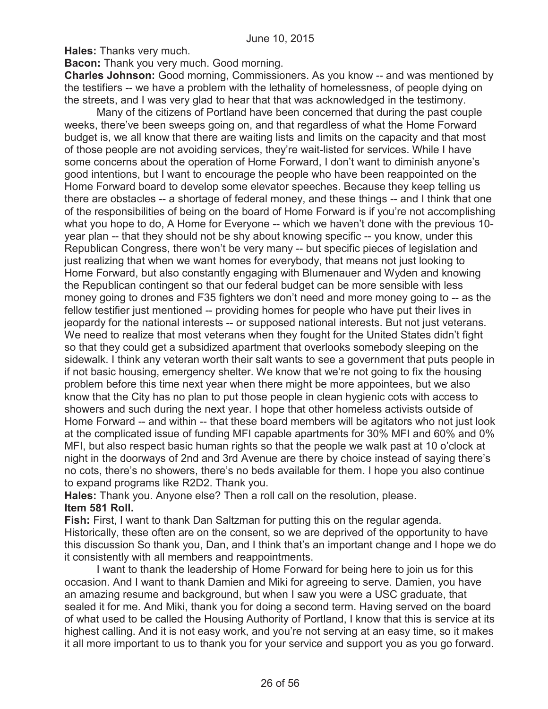**Hales:** Thanks very much.

**Bacon:** Thank you very much. Good morning.

**Charles Johnson:** Good morning, Commissioners. As you know -- and was mentioned by the testifiers -- we have a problem with the lethality of homelessness, of people dying on the streets, and I was very glad to hear that that was acknowledged in the testimony.

Many of the citizens of Portland have been concerned that during the past couple weeks, there've been sweeps going on, and that regardless of what the Home Forward budget is, we all know that there are waiting lists and limits on the capacity and that most of those people are not avoiding services, they're wait-listed for services. While I have some concerns about the operation of Home Forward, I don't want to diminish anyone's good intentions, but I want to encourage the people who have been reappointed on the Home Forward board to develop some elevator speeches. Because they keep telling us there are obstacles -- a shortage of federal money, and these things -- and I think that one of the responsibilities of being on the board of Home Forward is if you're not accomplishing what you hope to do, A Home for Everyone -- which we haven't done with the previous 10 year plan -- that they should not be shy about knowing specific -- you know, under this Republican Congress, there won't be very many -- but specific pieces of legislation and just realizing that when we want homes for everybody, that means not just looking to Home Forward, but also constantly engaging with Blumenauer and Wyden and knowing the Republican contingent so that our federal budget can be more sensible with less money going to drones and F35 fighters we don't need and more money going to -- as the fellow testifier just mentioned -- providing homes for people who have put their lives in jeopardy for the national interests -- or supposed national interests. But not just veterans. We need to realize that most veterans when they fought for the United States didn't fight so that they could get a subsidized apartment that overlooks somebody sleeping on the sidewalk. I think any veteran worth their salt wants to see a government that puts people in if not basic housing, emergency shelter. We know that we're not going to fix the housing problem before this time next year when there might be more appointees, but we also know that the City has no plan to put those people in clean hygienic cots with access to showers and such during the next year. I hope that other homeless activists outside of Home Forward -- and within -- that these board members will be agitators who not just look at the complicated issue of funding MFI capable apartments for 30% MFI and 60% and 0% MFI, but also respect basic human rights so that the people we walk past at 10 o'clock at night in the doorways of 2nd and 3rd Avenue are there by choice instead of saying there's no cots, there's no showers, there's no beds available for them. I hope you also continue to expand programs like R2D2. Thank you.

**Hales:** Thank you. Anyone else? Then a roll call on the resolution, please. **Item 581 Roll.**

**Fish:** First, I want to thank Dan Saltzman for putting this on the regular agenda. Historically, these often are on the consent, so we are deprived of the opportunity to have this discussion So thank you, Dan, and I think that's an important change and I hope we do it consistently with all members and reappointments.

I want to thank the leadership of Home Forward for being here to join us for this occasion. And I want to thank Damien and Miki for agreeing to serve. Damien, you have an amazing resume and background, but when I saw you were a USC graduate, that sealed it for me. And Miki, thank you for doing a second term. Having served on the board of what used to be called the Housing Authority of Portland, I know that this is service at its highest calling. And it is not easy work, and you're not serving at an easy time, so it makes it all more important to us to thank you for your service and support you as you go forward.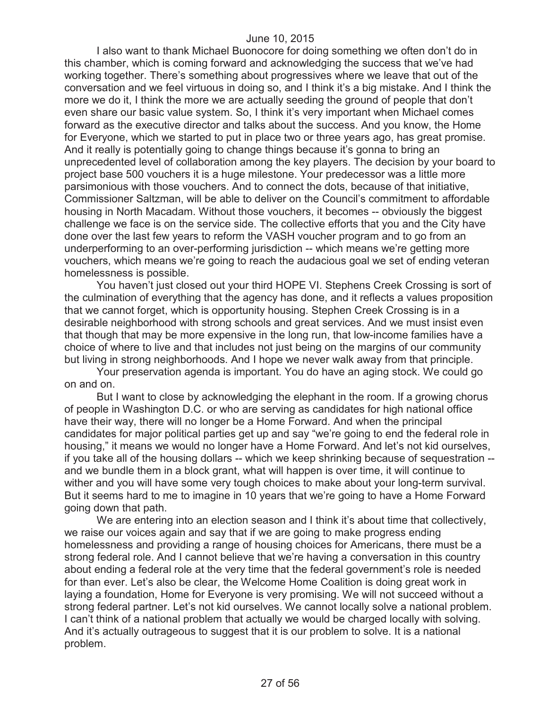I also want to thank Michael Buonocore for doing something we often don't do in this chamber, which is coming forward and acknowledging the success that we've had working together. There's something about progressives where we leave that out of the conversation and we feel virtuous in doing so, and I think it's a big mistake. And I think the more we do it, I think the more we are actually seeding the ground of people that don't even share our basic value system. So, I think it's very important when Michael comes forward as the executive director and talks about the success. And you know, the Home for Everyone, which we started to put in place two or three years ago, has great promise. And it really is potentially going to change things because it's gonna to bring an unprecedented level of collaboration among the key players. The decision by your board to project base 500 vouchers it is a huge milestone. Your predecessor was a little more parsimonious with those vouchers. And to connect the dots, because of that initiative, Commissioner Saltzman, will be able to deliver on the Council's commitment to affordable housing in North Macadam. Without those vouchers, it becomes -- obviously the biggest challenge we face is on the service side. The collective efforts that you and the City have done over the last few years to reform the VASH voucher program and to go from an underperforming to an over-performing jurisdiction -- which means we're getting more vouchers, which means we're going to reach the audacious goal we set of ending veteran homelessness is possible.

You haven't just closed out your third HOPE VI. Stephens Creek Crossing is sort of the culmination of everything that the agency has done, and it reflects a values proposition that we cannot forget, which is opportunity housing. Stephen Creek Crossing is in a desirable neighborhood with strong schools and great services. And we must insist even that though that may be more expensive in the long run, that low-income families have a choice of where to live and that includes not just being on the margins of our community but living in strong neighborhoods. And I hope we never walk away from that principle.

Your preservation agenda is important. You do have an aging stock. We could go on and on.

But I want to close by acknowledging the elephant in the room. If a growing chorus of people in Washington D.C. or who are serving as candidates for high national office have their way, there will no longer be a Home Forward. And when the principal candidates for major political parties get up and say "we're going to end the federal role in housing," it means we would no longer have a Home Forward. And let's not kid ourselves, if you take all of the housing dollars -- which we keep shrinking because of sequestration - and we bundle them in a block grant, what will happen is over time, it will continue to wither and you will have some very tough choices to make about your long-term survival. But it seems hard to me to imagine in 10 years that we're going to have a Home Forward going down that path.

We are entering into an election season and I think it's about time that collectively, we raise our voices again and say that if we are going to make progress ending homelessness and providing a range of housing choices for Americans, there must be a strong federal role. And I cannot believe that we're having a conversation in this country about ending a federal role at the very time that the federal government's role is needed for than ever. Let's also be clear, the Welcome Home Coalition is doing great work in laying a foundation, Home for Everyone is very promising. We will not succeed without a strong federal partner. Let's not kid ourselves. We cannot locally solve a national problem. I can't think of a national problem that actually we would be charged locally with solving. And it's actually outrageous to suggest that it is our problem to solve. It is a national problem.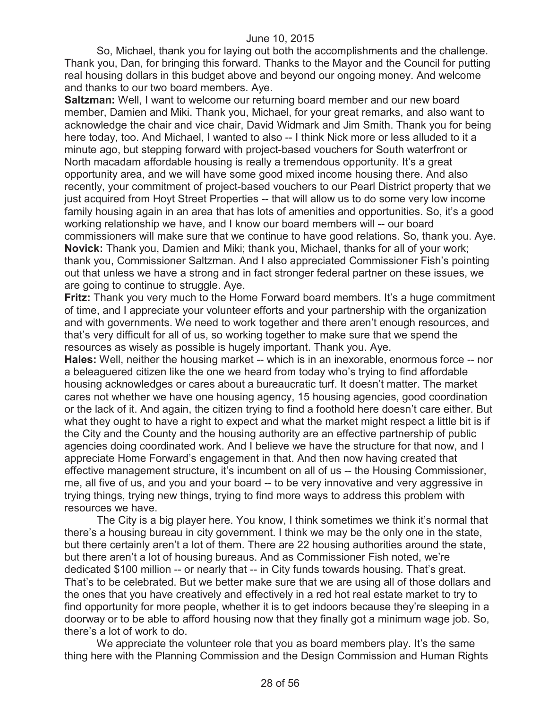So, Michael, thank you for laying out both the accomplishments and the challenge. Thank you, Dan, for bringing this forward. Thanks to the Mayor and the Council for putting real housing dollars in this budget above and beyond our ongoing money. And welcome and thanks to our two board members. Aye.

**Saltzman:** Well, I want to welcome our returning board member and our new board member, Damien and Miki. Thank you, Michael, for your great remarks, and also want to acknowledge the chair and vice chair, David Widmark and Jim Smith. Thank you for being here today, too. And Michael, I wanted to also -- I think Nick more or less alluded to it a minute ago, but stepping forward with project-based vouchers for South waterfront or North macadam affordable housing is really a tremendous opportunity. It's a great opportunity area, and we will have some good mixed income housing there. And also recently, your commitment of project-based vouchers to our Pearl District property that we just acquired from Hoyt Street Properties -- that will allow us to do some very low income family housing again in an area that has lots of amenities and opportunities. So, it's a good working relationship we have, and I know our board members will -- our board commissioners will make sure that we continue to have good relations. So, thank you. Aye. **Novick:** Thank you, Damien and Miki; thank you, Michael, thanks for all of your work; thank you, Commissioner Saltzman. And I also appreciated Commissioner Fish's pointing out that unless we have a strong and in fact stronger federal partner on these issues, we are going to continue to struggle. Aye.

**Fritz:** Thank you very much to the Home Forward board members. It's a huge commitment of time, and I appreciate your volunteer efforts and your partnership with the organization and with governments. We need to work together and there aren't enough resources, and that's very difficult for all of us, so working together to make sure that we spend the resources as wisely as possible is hugely important. Thank you. Aye.

**Hales:** Well, neither the housing market -- which is in an inexorable, enormous force -- nor a beleaguered citizen like the one we heard from today who's trying to find affordable housing acknowledges or cares about a bureaucratic turf. It doesn't matter. The market cares not whether we have one housing agency, 15 housing agencies, good coordination or the lack of it. And again, the citizen trying to find a foothold here doesn't care either. But what they ought to have a right to expect and what the market might respect a little bit is if the City and the County and the housing authority are an effective partnership of public agencies doing coordinated work. And I believe we have the structure for that now, and I appreciate Home Forward's engagement in that. And then now having created that effective management structure, it's incumbent on all of us -- the Housing Commissioner, me, all five of us, and you and your board -- to be very innovative and very aggressive in trying things, trying new things, trying to find more ways to address this problem with resources we have.

The City is a big player here. You know, I think sometimes we think it's normal that there's a housing bureau in city government. I think we may be the only one in the state, but there certainly aren't a lot of them. There are 22 housing authorities around the state, but there aren't a lot of housing bureaus. And as Commissioner Fish noted, we're dedicated \$100 million -- or nearly that -- in City funds towards housing. That's great. That's to be celebrated. But we better make sure that we are using all of those dollars and the ones that you have creatively and effectively in a red hot real estate market to try to find opportunity for more people, whether it is to get indoors because they're sleeping in a doorway or to be able to afford housing now that they finally got a minimum wage job. So, there's a lot of work to do.

We appreciate the volunteer role that you as board members play. It's the same thing here with the Planning Commission and the Design Commission and Human Rights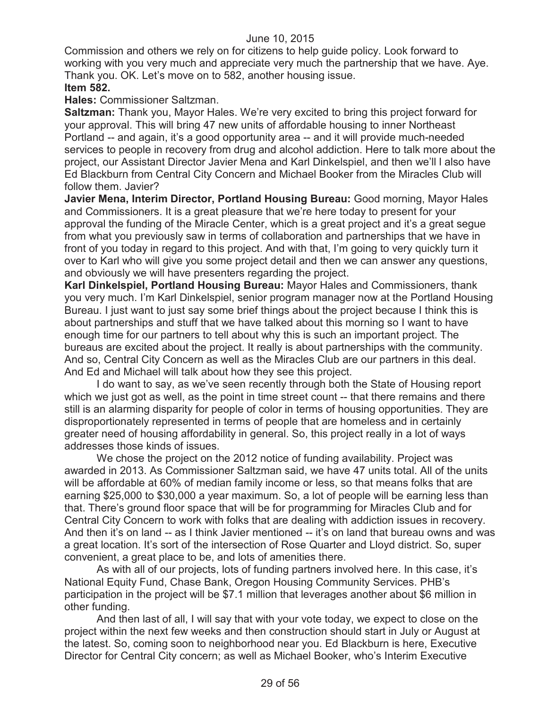Commission and others we rely on for citizens to help guide policy. Look forward to working with you very much and appreciate very much the partnership that we have. Aye. Thank you. OK. Let's move on to 582, another housing issue.

# **Item 582.**

**Hales:** Commissioner Saltzman.

**Saltzman:** Thank you, Mayor Hales. We're very excited to bring this project forward for your approval. This will bring 47 new units of affordable housing to inner Northeast Portland -- and again, it's a good opportunity area -- and it will provide much-needed services to people in recovery from drug and alcohol addiction. Here to talk more about the project, our Assistant Director Javier Mena and Karl Dinkelspiel, and then we'll l also have Ed Blackburn from Central City Concern and Michael Booker from the Miracles Club will follow them. Javier?

**Javier Mena, Interim Director, Portland Housing Bureau:** Good morning, Mayor Hales and Commissioners. It is a great pleasure that we're here today to present for your approval the funding of the Miracle Center, which is a great project and it's a great segue from what you previously saw in terms of collaboration and partnerships that we have in front of you today in regard to this project. And with that, I'm going to very quickly turn it over to Karl who will give you some project detail and then we can answer any questions, and obviously we will have presenters regarding the project.

**Karl Dinkelspiel, Portland Housing Bureau:** Mayor Hales and Commissioners, thank you very much. I'm Karl Dinkelspiel, senior program manager now at the Portland Housing Bureau. I just want to just say some brief things about the project because I think this is about partnerships and stuff that we have talked about this morning so I want to have enough time for our partners to tell about why this is such an important project. The bureaus are excited about the project. It really is about partnerships with the community. And so, Central City Concern as well as the Miracles Club are our partners in this deal. And Ed and Michael will talk about how they see this project.

I do want to say, as we've seen recently through both the State of Housing report which we just got as well, as the point in time street count -- that there remains and there still is an alarming disparity for people of color in terms of housing opportunities. They are disproportionately represented in terms of people that are homeless and in certainly greater need of housing affordability in general. So, this project really in a lot of ways addresses those kinds of issues.

We chose the project on the 2012 notice of funding availability. Project was awarded in 2013. As Commissioner Saltzman said, we have 47 units total. All of the units will be affordable at 60% of median family income or less, so that means folks that are earning \$25,000 to \$30,000 a year maximum. So, a lot of people will be earning less than that. There's ground floor space that will be for programming for Miracles Club and for Central City Concern to work with folks that are dealing with addiction issues in recovery. And then it's on land -- as I think Javier mentioned -- it's on land that bureau owns and was a great location. It's sort of the intersection of Rose Quarter and Lloyd district. So, super convenient, a great place to be, and lots of amenities there.

As with all of our projects, lots of funding partners involved here. In this case, it's National Equity Fund, Chase Bank, Oregon Housing Community Services. PHB's participation in the project will be \$7.1 million that leverages another about \$6 million in other funding.

And then last of all, I will say that with your vote today, we expect to close on the project within the next few weeks and then construction should start in July or August at the latest. So, coming soon to neighborhood near you. Ed Blackburn is here, Executive Director for Central City concern; as well as Michael Booker, who's Interim Executive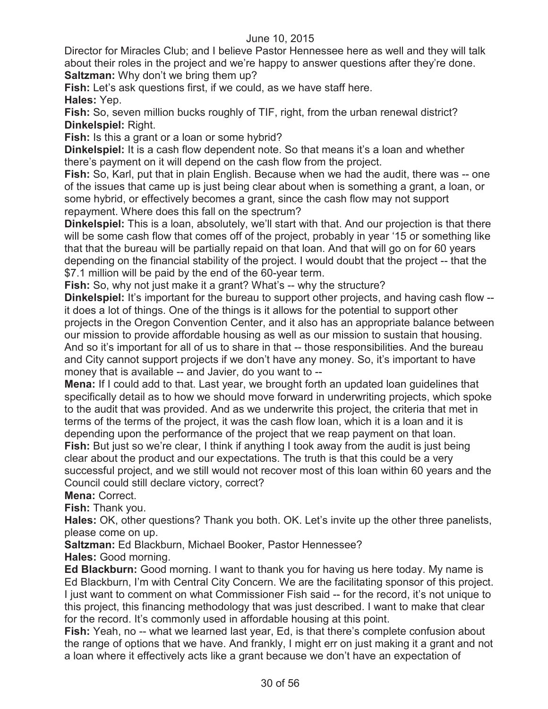Director for Miracles Club; and I believe Pastor Hennessee here as well and they will talk about their roles in the project and we're happy to answer questions after they're done. **Saltzman:** Why don't we bring them up?

**Fish:** Let's ask questions first, if we could, as we have staff here.

**Hales:** Yep.

**Fish:** So, seven million bucks roughly of TIF, right, from the urban renewal district? **Dinkelspiel:** Right.

**Fish:** Is this a grant or a loan or some hybrid?

**Dinkelspiel:** It is a cash flow dependent note. So that means it's a loan and whether there's payment on it will depend on the cash flow from the project.

**Fish:** So, Karl, put that in plain English. Because when we had the audit, there was -- one of the issues that came up is just being clear about when is something a grant, a loan, or some hybrid, or effectively becomes a grant, since the cash flow may not support repayment. Where does this fall on the spectrum?

**Dinkelspiel:** This is a loan, absolutely, we'll start with that. And our projection is that there will be some cash flow that comes off of the project, probably in year '15 or something like that that the bureau will be partially repaid on that loan. And that will go on for 60 years depending on the financial stability of the project. I would doubt that the project -- that the \$7.1 million will be paid by the end of the 60-year term.

**Fish:** So, why not just make it a grant? What's -- why the structure?

**Dinkelspiel:** It's important for the bureau to support other projects, and having cash flow -it does a lot of things. One of the things is it allows for the potential to support other projects in the Oregon Convention Center, and it also has an appropriate balance between our mission to provide affordable housing as well as our mission to sustain that housing. And so it's important for all of us to share in that -- those responsibilities. And the bureau and City cannot support projects if we don't have any money. So, it's important to have money that is available -- and Javier, do you want to --

**Mena:** If I could add to that. Last year, we brought forth an updated loan guidelines that specifically detail as to how we should move forward in underwriting projects, which spoke to the audit that was provided. And as we underwrite this project, the criteria that met in terms of the terms of the project, it was the cash flow loan, which it is a loan and it is depending upon the performance of the project that we reap payment on that loan. **Fish:** But just so we're clear, I think if anything I took away from the audit is just being clear about the product and our expectations. The truth is that this could be a very successful project, and we still would not recover most of this loan within 60 years and the Council could still declare victory, correct?

**Mena:** Correct.

**Fish:** Thank you.

**Hales:** OK, other questions? Thank you both. OK. Let's invite up the other three panelists, please come on up.

**Saltzman:** Ed Blackburn, Michael Booker, Pastor Hennessee?

**Hales:** Good morning.

**Ed Blackburn:** Good morning. I want to thank you for having us here today. My name is Ed Blackburn, I'm with Central City Concern. We are the facilitating sponsor of this project. I just want to comment on what Commissioner Fish said -- for the record, it's not unique to this project, this financing methodology that was just described. I want to make that clear for the record. It's commonly used in affordable housing at this point.

Fish: Yeah, no -- what we learned last year, Ed, is that there's complete confusion about the range of options that we have. And frankly, I might err on just making it a grant and not a loan where it effectively acts like a grant because we don't have an expectation of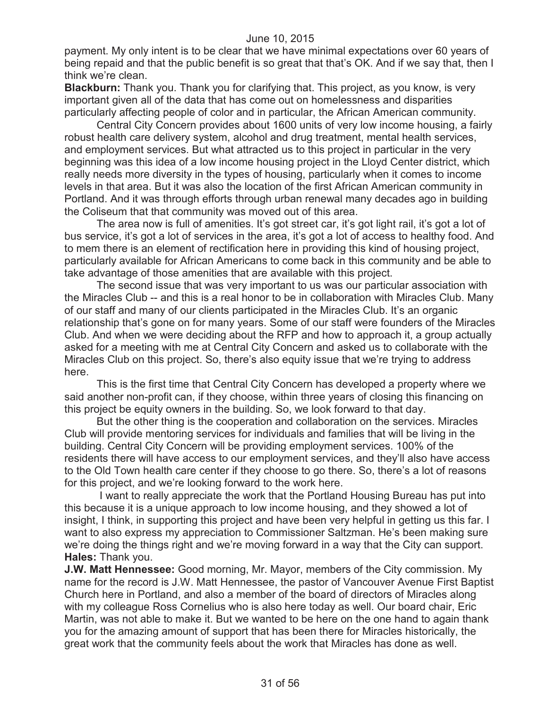payment. My only intent is to be clear that we have minimal expectations over 60 years of being repaid and that the public benefit is so great that that's OK. And if we say that, then I think we're clean.

**Blackburn:** Thank you. Thank you for clarifying that. This project, as you know, is very important given all of the data that has come out on homelessness and disparities particularly affecting people of color and in particular, the African American community.

Central City Concern provides about 1600 units of very low income housing, a fairly robust health care delivery system, alcohol and drug treatment, mental health services, and employment services. But what attracted us to this project in particular in the very beginning was this idea of a low income housing project in the Lloyd Center district, which really needs more diversity in the types of housing, particularly when it comes to income levels in that area. But it was also the location of the first African American community in Portland. And it was through efforts through urban renewal many decades ago in building the Coliseum that that community was moved out of this area.

The area now is full of amenities. It's got street car, it's got light rail, it's got a lot of bus service, it's got a lot of services in the area, it's got a lot of access to healthy food. And to mem there is an element of rectification here in providing this kind of housing project, particularly available for African Americans to come back in this community and be able to take advantage of those amenities that are available with this project.

The second issue that was very important to us was our particular association with the Miracles Club -- and this is a real honor to be in collaboration with Miracles Club. Many of our staff and many of our clients participated in the Miracles Club. It's an organic relationship that's gone on for many years. Some of our staff were founders of the Miracles Club. And when we were deciding about the RFP and how to approach it, a group actually asked for a meeting with me at Central City Concern and asked us to collaborate with the Miracles Club on this project. So, there's also equity issue that we're trying to address here.

This is the first time that Central City Concern has developed a property where we said another non-profit can, if they choose, within three years of closing this financing on this project be equity owners in the building. So, we look forward to that day.

But the other thing is the cooperation and collaboration on the services. Miracles Club will provide mentoring services for individuals and families that will be living in the building. Central City Concern will be providing employment services. 100% of the residents there will have access to our employment services, and they'll also have access to the Old Town health care center if they choose to go there. So, there's a lot of reasons for this project, and we're looking forward to the work here.

I want to really appreciate the work that the Portland Housing Bureau has put into this because it is a unique approach to low income housing, and they showed a lot of insight, I think, in supporting this project and have been very helpful in getting us this far. I want to also express my appreciation to Commissioner Saltzman. He's been making sure we're doing the things right and we're moving forward in a way that the City can support. **Hales:** Thank you.

**J.W. Matt Hennessee:** Good morning, Mr. Mayor, members of the City commission. My name for the record is J.W. Matt Hennessee, the pastor of Vancouver Avenue First Baptist Church here in Portland, and also a member of the board of directors of Miracles along with my colleague Ross Cornelius who is also here today as well. Our board chair, Eric Martin, was not able to make it. But we wanted to be here on the one hand to again thank you for the amazing amount of support that has been there for Miracles historically, the great work that the community feels about the work that Miracles has done as well.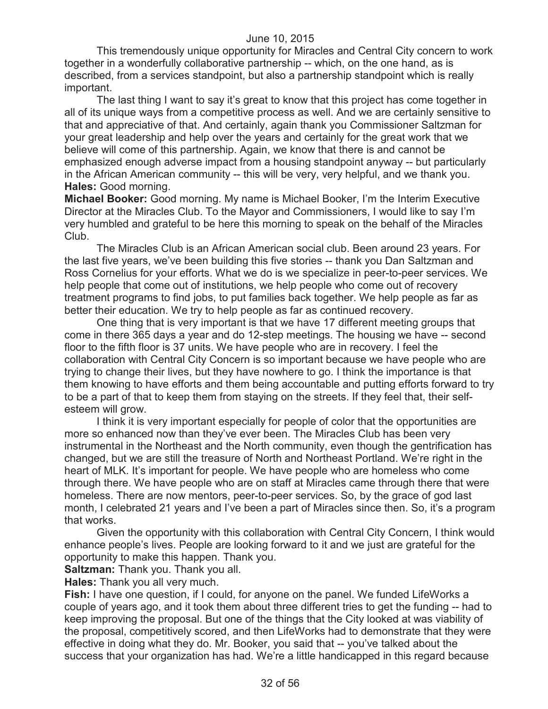This tremendously unique opportunity for Miracles and Central City concern to work together in a wonderfully collaborative partnership -- which, on the one hand, as is described, from a services standpoint, but also a partnership standpoint which is really important.

The last thing I want to say it's great to know that this project has come together in all of its unique ways from a competitive process as well. And we are certainly sensitive to that and appreciative of that. And certainly, again thank you Commissioner Saltzman for your great leadership and help over the years and certainly for the great work that we believe will come of this partnership. Again, we know that there is and cannot be emphasized enough adverse impact from a housing standpoint anyway -- but particularly in the African American community -- this will be very, very helpful, and we thank you. **Hales:** Good morning.

**Michael Booker:** Good morning. My name is Michael Booker, I'm the Interim Executive Director at the Miracles Club. To the Mayor and Commissioners, I would like to say I'm very humbled and grateful to be here this morning to speak on the behalf of the Miracles Club.

The Miracles Club is an African American social club. Been around 23 years. For the last five years, we've been building this five stories -- thank you Dan Saltzman and Ross Cornelius for your efforts. What we do is we specialize in peer-to-peer services. We help people that come out of institutions, we help people who come out of recovery treatment programs to find jobs, to put families back together. We help people as far as better their education. We try to help people as far as continued recovery.

One thing that is very important is that we have 17 different meeting groups that come in there 365 days a year and do 12-step meetings. The housing we have -- second floor to the fifth floor is 37 units. We have people who are in recovery. I feel the collaboration with Central City Concern is so important because we have people who are trying to change their lives, but they have nowhere to go. I think the importance is that them knowing to have efforts and them being accountable and putting efforts forward to try to be a part of that to keep them from staying on the streets. If they feel that, their selfesteem will grow.

I think it is very important especially for people of color that the opportunities are more so enhanced now than they've ever been. The Miracles Club has been very instrumental in the Northeast and the North community, even though the gentrification has changed, but we are still the treasure of North and Northeast Portland. We're right in the heart of MLK. It's important for people. We have people who are homeless who come through there. We have people who are on staff at Miracles came through there that were homeless. There are now mentors, peer-to-peer services. So, by the grace of god last month, I celebrated 21 years and I've been a part of Miracles since then. So, it's a program that works.

Given the opportunity with this collaboration with Central City Concern, I think would enhance people's lives. People are looking forward to it and we just are grateful for the opportunity to make this happen. Thank you.

**Saltzman:** Thank you. Thank you all.

**Hales:** Thank you all very much.

**Fish:** I have one question, if I could, for anyone on the panel. We funded LifeWorks a couple of years ago, and it took them about three different tries to get the funding -- had to keep improving the proposal. But one of the things that the City looked at was viability of the proposal, competitively scored, and then LifeWorks had to demonstrate that they were effective in doing what they do. Mr. Booker, you said that -- you've talked about the success that your organization has had. We're a little handicapped in this regard because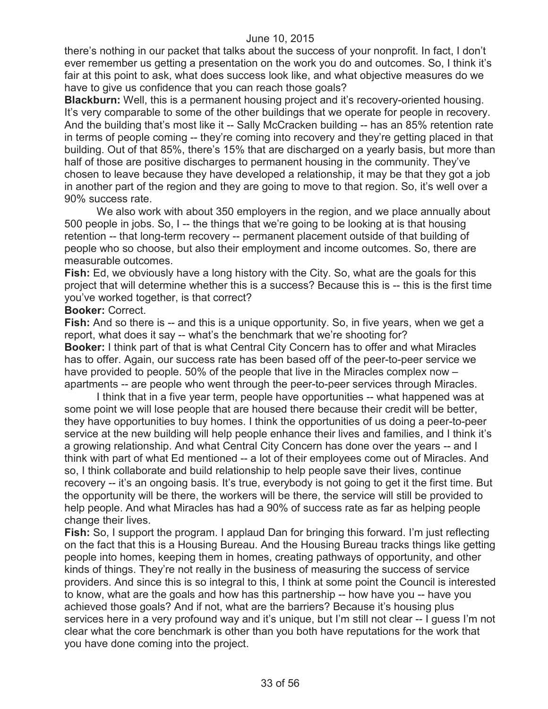there's nothing in our packet that talks about the success of your nonprofit. In fact, I don't ever remember us getting a presentation on the work you do and outcomes. So, I think it's fair at this point to ask, what does success look like, and what objective measures do we have to give us confidence that you can reach those goals?

**Blackburn:** Well, this is a permanent housing project and it's recovery-oriented housing. It's very comparable to some of the other buildings that we operate for people in recovery. And the building that's most like it -- Sally McCracken building -- has an 85% retention rate in terms of people coming -- they're coming into recovery and they're getting placed in that building. Out of that 85%, there's 15% that are discharged on a yearly basis, but more than half of those are positive discharges to permanent housing in the community. They've chosen to leave because they have developed a relationship, it may be that they got a job in another part of the region and they are going to move to that region. So, it's well over a 90% success rate.

We also work with about 350 employers in the region, and we place annually about 500 people in jobs. So, I -- the things that we're going to be looking at is that housing retention -- that long-term recovery -- permanent placement outside of that building of people who so choose, but also their employment and income outcomes. So, there are measurable outcomes.

**Fish:** Ed, we obviously have a long history with the City. So, what are the goals for this project that will determine whether this is a success? Because this is -- this is the first time you've worked together, is that correct?

#### **Booker:** Correct.

**Fish:** And so there is -- and this is a unique opportunity. So, in five years, when we get a report, what does it say -- what's the benchmark that we're shooting for? **Booker:** I think part of that is what Central City Concern has to offer and what Miracles has to offer. Again, our success rate has been based off of the peer-to-peer service we have provided to people. 50% of the people that live in the Miracles complex now – apartments -- are people who went through the peer-to-peer services through Miracles.

I think that in a five year term, people have opportunities -- what happened was at some point we will lose people that are housed there because their credit will be better, they have opportunities to buy homes. I think the opportunities of us doing a peer-to-peer service at the new building will help people enhance their lives and families, and I think it's a growing relationship. And what Central City Concern has done over the years -- and I think with part of what Ed mentioned -- a lot of their employees come out of Miracles. And so, I think collaborate and build relationship to help people save their lives, continue recovery -- it's an ongoing basis. It's true, everybody is not going to get it the first time. But the opportunity will be there, the workers will be there, the service will still be provided to help people. And what Miracles has had a 90% of success rate as far as helping people change their lives.

**Fish:** So, I support the program. I applaud Dan for bringing this forward. I'm just reflecting on the fact that this is a Housing Bureau. And the Housing Bureau tracks things like getting people into homes, keeping them in homes, creating pathways of opportunity, and other kinds of things. They're not really in the business of measuring the success of service providers. And since this is so integral to this, I think at some point the Council is interested to know, what are the goals and how has this partnership -- how have you -- have you achieved those goals? And if not, what are the barriers? Because it's housing plus services here in a very profound way and it's unique, but I'm still not clear -- I guess I'm not clear what the core benchmark is other than you both have reputations for the work that you have done coming into the project.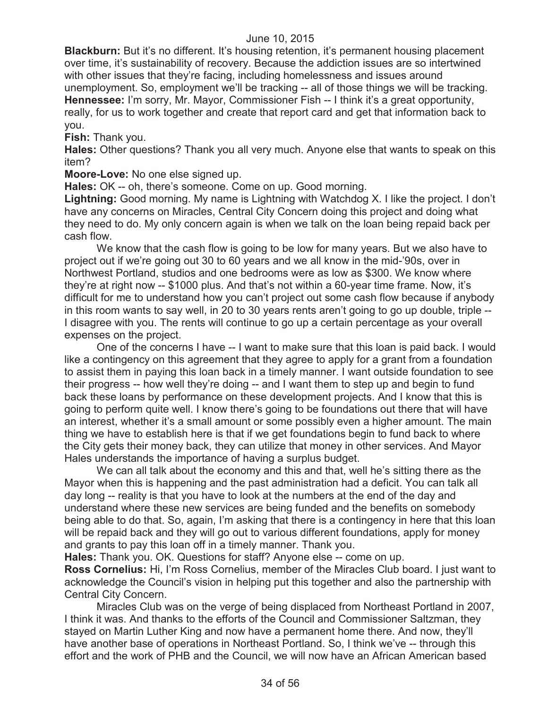**Blackburn:** But it's no different. It's housing retention, it's permanent housing placement over time, it's sustainability of recovery. Because the addiction issues are so intertwined with other issues that they're facing, including homelessness and issues around unemployment. So, employment we'll be tracking -- all of those things we will be tracking. **Hennessee:** I'm sorry, Mr. Mayor, Commissioner Fish -- I think it's a great opportunity, really, for us to work together and create that report card and get that information back to you.

**Fish:** Thank you.

**Hales:** Other questions? Thank you all very much. Anyone else that wants to speak on this item?

**Moore-Love:** No one else signed up.

**Hales:** OK -- oh, there's someone. Come on up. Good morning.

**Lightning:** Good morning. My name is Lightning with Watchdog X. I like the project. I don't have any concerns on Miracles, Central City Concern doing this project and doing what they need to do. My only concern again is when we talk on the loan being repaid back per cash flow.

We know that the cash flow is going to be low for many years. But we also have to project out if we're going out 30 to 60 years and we all know in the mid-'90s, over in Northwest Portland, studios and one bedrooms were as low as \$300. We know where they're at right now -- \$1000 plus. And that's not within a 60-year time frame. Now, it's difficult for me to understand how you can't project out some cash flow because if anybody in this room wants to say well, in 20 to 30 years rents aren't going to go up double, triple -- I disagree with you. The rents will continue to go up a certain percentage as your overall expenses on the project.

One of the concerns I have -- I want to make sure that this loan is paid back. I would like a contingency on this agreement that they agree to apply for a grant from a foundation to assist them in paying this loan back in a timely manner. I want outside foundation to see their progress -- how well they're doing -- and I want them to step up and begin to fund back these loans by performance on these development projects. And I know that this is going to perform quite well. I know there's going to be foundations out there that will have an interest, whether it's a small amount or some possibly even a higher amount. The main thing we have to establish here is that if we get foundations begin to fund back to where the City gets their money back, they can utilize that money in other services. And Mayor Hales understands the importance of having a surplus budget.

We can all talk about the economy and this and that, well he's sitting there as the Mayor when this is happening and the past administration had a deficit. You can talk all day long -- reality is that you have to look at the numbers at the end of the day and understand where these new services are being funded and the benefits on somebody being able to do that. So, again, I'm asking that there is a contingency in here that this loan will be repaid back and they will go out to various different foundations, apply for money and grants to pay this loan off in a timely manner. Thank you.

**Hales:** Thank you. OK. Questions for staff? Anyone else -- come on up.

**Ross Cornelius:** Hi, I'm Ross Cornelius, member of the Miracles Club board. I just want to acknowledge the Council's vision in helping put this together and also the partnership with Central City Concern.

Miracles Club was on the verge of being displaced from Northeast Portland in 2007, I think it was. And thanks to the efforts of the Council and Commissioner Saltzman, they stayed on Martin Luther King and now have a permanent home there. And now, they'll have another base of operations in Northeast Portland. So, I think we've -- through this effort and the work of PHB and the Council, we will now have an African American based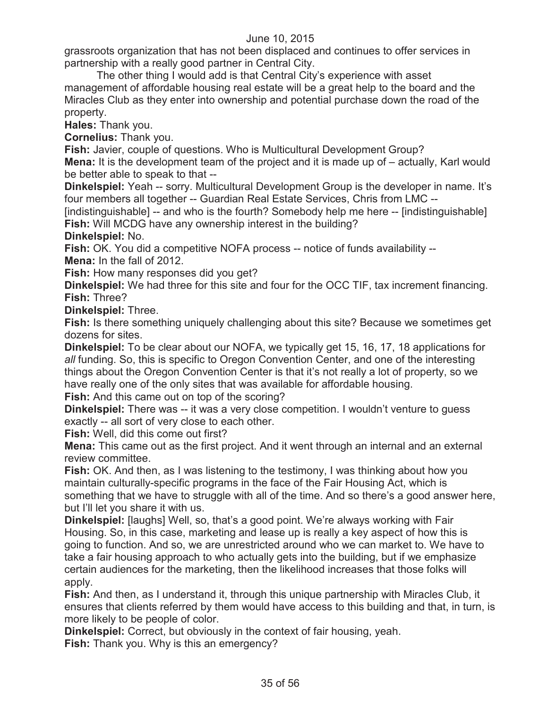grassroots organization that has not been displaced and continues to offer services in partnership with a really good partner in Central City.

The other thing I would add is that Central City's experience with asset management of affordable housing real estate will be a great help to the board and the Miracles Club as they enter into ownership and potential purchase down the road of the property.

**Hales:** Thank you.

**Cornelius:** Thank you.

**Fish:** Javier, couple of questions. Who is Multicultural Development Group?

**Mena:** It is the development team of the project and it is made up of – actually, Karl would be better able to speak to that --

**Dinkelspiel:** Yeah -- sorry. Multicultural Development Group is the developer in name. It's four members all together -- Guardian Real Estate Services, Chris from LMC --

[indistinguishable] -- and who is the fourth? Somebody help me here -- [indistinguishable] **Fish:** Will MCDG have any ownership interest in the building?

**Dinkelspiel:** No.

**Fish:** OK. You did a competitive NOFA process -- notice of funds availability -- **Mena:** In the fall of 2012.

**Fish:** How many responses did you get?

**Dinkelspiel:** We had three for this site and four for the OCC TIF, tax increment financing. **Fish:** Three?

**Dinkelspiel:** Three.

**Fish:** Is there something uniquely challenging about this site? Because we sometimes get dozens for sites.

**Dinkelspiel:** To be clear about our NOFA, we typically get 15, 16, 17, 18 applications for *all* funding. So, this is specific to Oregon Convention Center, and one of the interesting things about the Oregon Convention Center is that it's not really a lot of property, so we have really one of the only sites that was available for affordable housing. **Fish:** And this came out on top of the scoring?

**Dinkelspiel:** There was -- it was a very close competition. I wouldn't venture to guess exactly -- all sort of very close to each other.

**Fish:** Well, did this come out first?

**Mena:** This came out as the first project. And it went through an internal and an external review committee.

**Fish:** OK. And then, as I was listening to the testimony, I was thinking about how you maintain culturally-specific programs in the face of the Fair Housing Act, which is something that we have to struggle with all of the time. And so there's a good answer here, but I'll let you share it with us.

**Dinkelspiel:** [laughs] Well, so, that's a good point. We're always working with Fair Housing. So, in this case, marketing and lease up is really a key aspect of how this is going to function. And so, we are unrestricted around who we can market to. We have to take a fair housing approach to who actually gets into the building, but if we emphasize certain audiences for the marketing, then the likelihood increases that those folks will apply.

**Fish:** And then, as I understand it, through this unique partnership with Miracles Club, it ensures that clients referred by them would have access to this building and that, in turn, is more likely to be people of color.

**Dinkelspiel:** Correct, but obviously in the context of fair housing, yeah. **Fish:** Thank you. Why is this an emergency?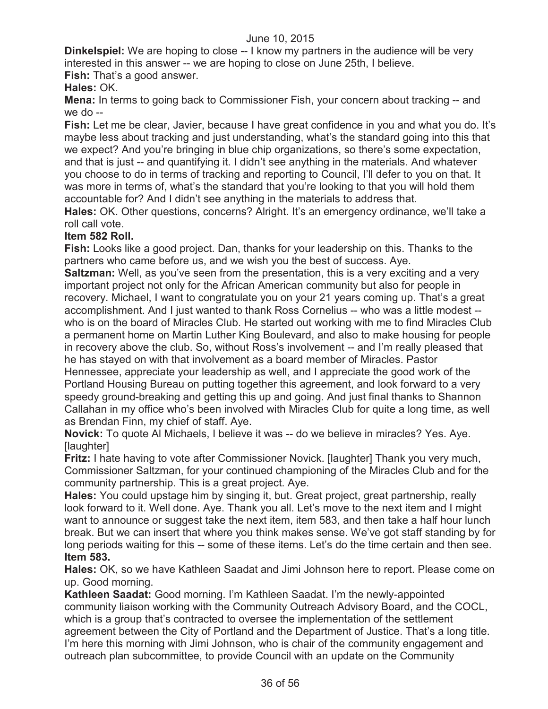**Dinkelspiel:** We are hoping to close -- I know my partners in the audience will be very interested in this answer -- we are hoping to close on June 25th, I believe. **Fish:** That's a good answer.

**Hales:** OK.

**Mena:** In terms to going back to Commissioner Fish, your concern about tracking -- and we do --

**Fish:** Let me be clear, Javier, because I have great confidence in you and what you do. It's maybe less about tracking and just understanding, what's the standard going into this that we expect? And you're bringing in blue chip organizations, so there's some expectation, and that is just -- and quantifying it. I didn't see anything in the materials. And whatever you choose to do in terms of tracking and reporting to Council, I'll defer to you on that. It was more in terms of, what's the standard that you're looking to that you will hold them accountable for? And I didn't see anything in the materials to address that.

**Hales:** OK. Other questions, concerns? Alright. It's an emergency ordinance, we'll take a roll call vote.

# **Item 582 Roll.**

**Fish:** Looks like a good project. Dan, thanks for your leadership on this. Thanks to the partners who came before us, and we wish you the best of success. Aye.

**Saltzman:** Well, as you've seen from the presentation, this is a very exciting and a very important project not only for the African American community but also for people in recovery. Michael, I want to congratulate you on your 21 years coming up. That's a great accomplishment. And I just wanted to thank Ross Cornelius -- who was a little modest - who is on the board of Miracles Club. He started out working with me to find Miracles Club a permanent home on Martin Luther King Boulevard, and also to make housing for people in recovery above the club. So, without Ross's involvement -- and I'm really pleased that he has stayed on with that involvement as a board member of Miracles. Pastor Hennessee, appreciate your leadership as well, and I appreciate the good work of the Portland Housing Bureau on putting together this agreement, and look forward to a very speedy ground-breaking and getting this up and going. And just final thanks to Shannon Callahan in my office who's been involved with Miracles Club for quite a long time, as well as Brendan Finn, my chief of staff. Aye.

**Novick:** To quote Al Michaels, I believe it was -- do we believe in miracles? Yes. Aye. [laughter]

**Fritz:** I hate having to vote after Commissioner Novick. [laughter] Thank you very much, Commissioner Saltzman, for your continued championing of the Miracles Club and for the community partnership. This is a great project. Aye.

**Hales:** You could upstage him by singing it, but. Great project, great partnership, really look forward to it. Well done. Aye. Thank you all. Let's move to the next item and I might want to announce or suggest take the next item, item 583, and then take a half hour lunch break. But we can insert that where you think makes sense. We've got staff standing by for long periods waiting for this -- some of these items. Let's do the time certain and then see. **Item 583.**

**Hales:** OK, so we have Kathleen Saadat and Jimi Johnson here to report. Please come on up. Good morning.

**Kathleen Saadat:** Good morning. I'm Kathleen Saadat. I'm the newly-appointed community liaison working with the Community Outreach Advisory Board, and the COCL, which is a group that's contracted to oversee the implementation of the settlement agreement between the City of Portland and the Department of Justice. That's a long title. I'm here this morning with Jimi Johnson, who is chair of the community engagement and outreach plan subcommittee, to provide Council with an update on the Community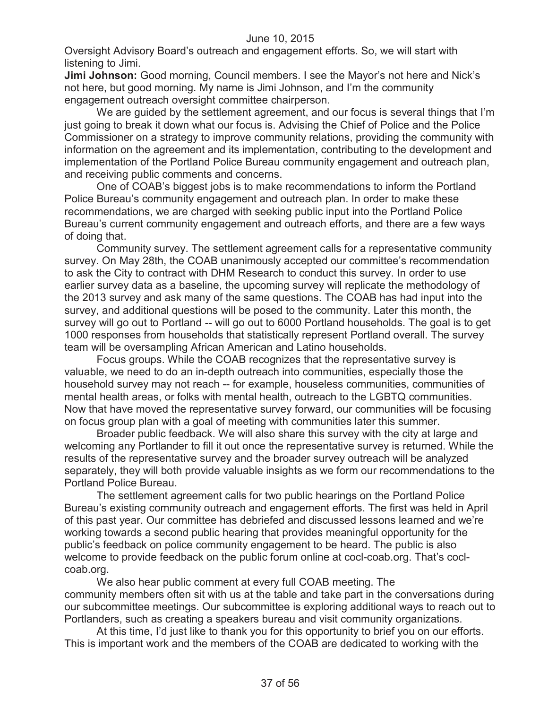Oversight Advisory Board's outreach and engagement efforts. So, we will start with listening to Jimi.

**Jimi Johnson:** Good morning, Council members. I see the Mayor's not here and Nick's not here, but good morning. My name is Jimi Johnson, and I'm the community engagement outreach oversight committee chairperson.

We are guided by the settlement agreement, and our focus is several things that I'm just going to break it down what our focus is. Advising the Chief of Police and the Police Commissioner on a strategy to improve community relations, providing the community with information on the agreement and its implementation, contributing to the development and implementation of the Portland Police Bureau community engagement and outreach plan, and receiving public comments and concerns.

One of COAB's biggest jobs is to make recommendations to inform the Portland Police Bureau's community engagement and outreach plan. In order to make these recommendations, we are charged with seeking public input into the Portland Police Bureau's current community engagement and outreach efforts, and there are a few ways of doing that.

Community survey. The settlement agreement calls for a representative community survey. On May 28th, the COAB unanimously accepted our committee's recommendation to ask the City to contract with DHM Research to conduct this survey. In order to use earlier survey data as a baseline, the upcoming survey will replicate the methodology of the 2013 survey and ask many of the same questions. The COAB has had input into the survey, and additional questions will be posed to the community. Later this month, the survey will go out to Portland -- will go out to 6000 Portland households. The goal is to get 1000 responses from households that statistically represent Portland overall. The survey team will be oversampling African American and Latino households.

Focus groups. While the COAB recognizes that the representative survey is valuable, we need to do an in-depth outreach into communities, especially those the household survey may not reach -- for example, houseless communities, communities of mental health areas, or folks with mental health, outreach to the LGBTQ communities. Now that have moved the representative survey forward, our communities will be focusing on focus group plan with a goal of meeting with communities later this summer.

Broader public feedback. We will also share this survey with the city at large and welcoming any Portlander to fill it out once the representative survey is returned. While the results of the representative survey and the broader survey outreach will be analyzed separately, they will both provide valuable insights as we form our recommendations to the Portland Police Bureau.

The settlement agreement calls for two public hearings on the Portland Police Bureau's existing community outreach and engagement efforts. The first was held in April of this past year. Our committee has debriefed and discussed lessons learned and we're working towards a second public hearing that provides meaningful opportunity for the public's feedback on police community engagement to be heard. The public is also welcome to provide feedback on the public forum online at cocl-coab.org. That's coclcoab.org.

We also hear public comment at every full COAB meeting. The community members often sit with us at the table and take part in the conversations during our subcommittee meetings. Our subcommittee is exploring additional ways to reach out to Portlanders, such as creating a speakers bureau and visit community organizations.

At this time, I'd just like to thank you for this opportunity to brief you on our efforts. This is important work and the members of the COAB are dedicated to working with the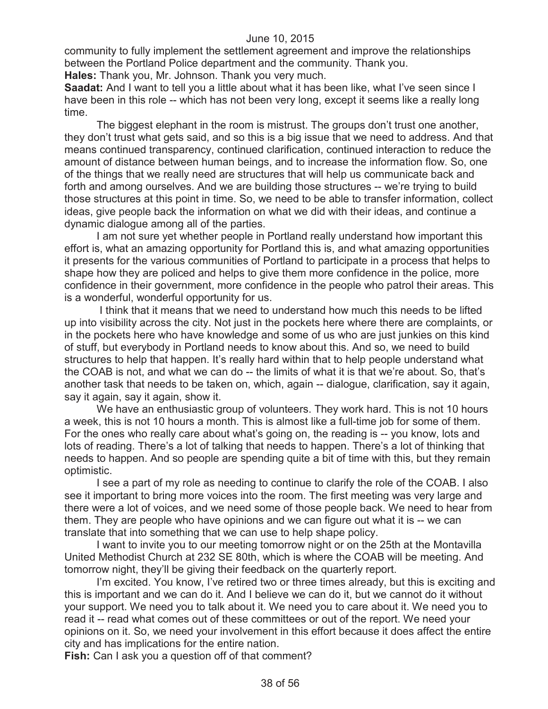community to fully implement the settlement agreement and improve the relationships between the Portland Police department and the community. Thank you.

**Hales:** Thank you, Mr. Johnson. Thank you very much.

**Saadat:** And I want to tell you a little about what it has been like, what I've seen since I have been in this role -- which has not been very long, except it seems like a really long time.

The biggest elephant in the room is mistrust. The groups don't trust one another, they don't trust what gets said, and so this is a big issue that we need to address. And that means continued transparency, continued clarification, continued interaction to reduce the amount of distance between human beings, and to increase the information flow. So, one of the things that we really need are structures that will help us communicate back and forth and among ourselves. And we are building those structures -- we're trying to build those structures at this point in time. So, we need to be able to transfer information, collect ideas, give people back the information on what we did with their ideas, and continue a dynamic dialogue among all of the parties.

I am not sure yet whether people in Portland really understand how important this effort is, what an amazing opportunity for Portland this is, and what amazing opportunities it presents for the various communities of Portland to participate in a process that helps to shape how they are policed and helps to give them more confidence in the police, more confidence in their government, more confidence in the people who patrol their areas. This is a wonderful, wonderful opportunity for us.

I think that it means that we need to understand how much this needs to be lifted up into visibility across the city. Not just in the pockets here where there are complaints, or in the pockets here who have knowledge and some of us who are just junkies on this kind of stuff, but everybody in Portland needs to know about this. And so, we need to build structures to help that happen. It's really hard within that to help people understand what the COAB is not, and what we can do -- the limits of what it is that we're about. So, that's another task that needs to be taken on, which, again -- dialogue, clarification, say it again, say it again, say it again, show it.

We have an enthusiastic group of volunteers. They work hard. This is not 10 hours a week, this is not 10 hours a month. This is almost like a full-time job for some of them. For the ones who really care about what's going on, the reading is -- you know, lots and lots of reading. There's a lot of talking that needs to happen. There's a lot of thinking that needs to happen. And so people are spending quite a bit of time with this, but they remain optimistic.

I see a part of my role as needing to continue to clarify the role of the COAB. I also see it important to bring more voices into the room. The first meeting was very large and there were a lot of voices, and we need some of those people back. We need to hear from them. They are people who have opinions and we can figure out what it is -- we can translate that into something that we can use to help shape policy.

I want to invite you to our meeting tomorrow night or on the 25th at the Montavilla United Methodist Church at 232 SE 80th, which is where the COAB will be meeting. And tomorrow night, they'll be giving their feedback on the quarterly report.

I'm excited. You know, I've retired two or three times already, but this is exciting and this is important and we can do it. And I believe we can do it, but we cannot do it without your support. We need you to talk about it. We need you to care about it. We need you to read it -- read what comes out of these committees or out of the report. We need your opinions on it. So, we need your involvement in this effort because it does affect the entire city and has implications for the entire nation.

**Fish:** Can I ask you a question off of that comment?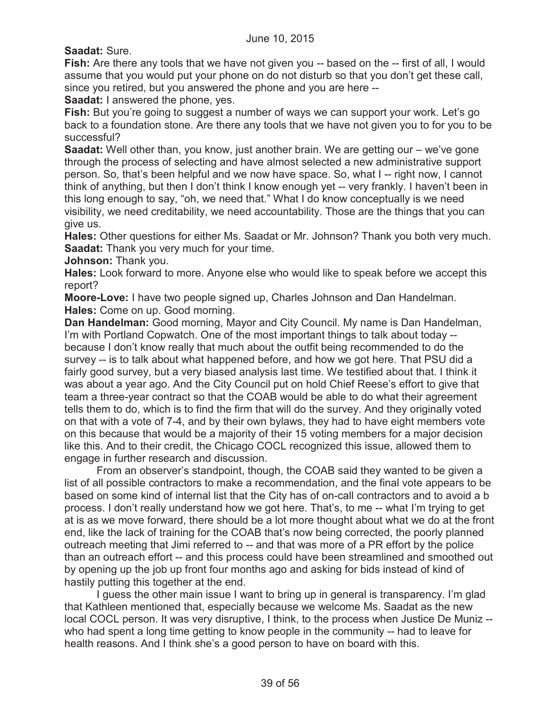**Saadat:** Sure.

**Fish:** Are there any tools that we have not given you -- based on the -- first of all, I would assume that you would put your phone on do not disturb so that you don't get these call, since you retired, but you answered the phone and you are here --

**Saadat:** I answered the phone, yes.

**Fish:** But you're going to suggest a number of ways we can support your work. Let's go back to a foundation stone. Are there any tools that we have not given you to for you to be successful?

**Saadat:** Well other than, you know, just another brain. We are getting our – we've gone through the process of selecting and have almost selected a new administrative support person. So, that's been helpful and we now have space. So, what I -- right now, I cannot think of anything, but then I don't think I know enough yet -- very frankly. I haven't been in this long enough to say, "oh, we need that." What I do know conceptually is we need visibility, we need creditability, we need accountability. Those are the things that you can give us.

**Hales:** Other questions for either Ms. Saadat or Mr. Johnson? Thank you both very much. **Saadat:** Thank you very much for your time.

**Johnson:** Thank you.

**Hales:** Look forward to more. Anyone else who would like to speak before we accept this report?

**Moore-Love:** I have two people signed up, Charles Johnson and Dan Handelman. **Hales:** Come on up. Good morning.

**Dan Handelman:** Good morning, Mayor and City Council. My name is Dan Handelman, I'm with Portland Copwatch. One of the most important things to talk about today - because I don't know really that much about the outfit being recommended to do the survey -- is to talk about what happened before, and how we got here. That PSU did a fairly good survey, but a very biased analysis last time. We testified about that. I think it was about a year ago. And the City Council put on hold Chief Reese's effort to give that team a three-year contract so that the COAB would be able to do what their agreement tells them to do, which is to find the firm that will do the survey. And they originally voted on that with a vote of 7-4, and by their own bylaws, they had to have eight members vote on this because that would be a majority of their 15 voting members for a major decision like this. And to their credit, the Chicago COCL recognized this issue, allowed them to engage in further research and discussion.

From an observer's standpoint, though, the COAB said they wanted to be given a list of all possible contractors to make a recommendation, and the final vote appears to be based on some kind of internal list that the City has of on-call contractors and to avoid a b process. I don't really understand how we got here. That's, to me -- what I'm trying to get at is as we move forward, there should be a lot more thought about what we do at the front end, like the lack of training for the COAB that's now being corrected, the poorly planned outreach meeting that Jimi referred to -- and that was more of a PR effort by the police than an outreach effort -- and this process could have been streamlined and smoothed out by opening up the job up front four months ago and asking for bids instead of kind of hastily putting this together at the end.

I guess the other main issue I want to bring up in general is transparency. I'm glad that Kathleen mentioned that, especially because we welcome Ms. Saadat as the new local COCL person. It was very disruptive, I think, to the process when Justice De Muniz - who had spent a long time getting to know people in the community -- had to leave for health reasons. And I think she's a good person to have on board with this.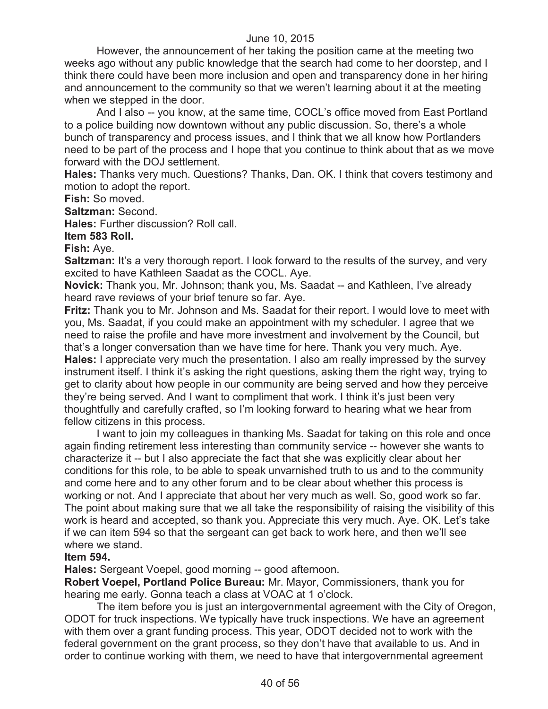However, the announcement of her taking the position came at the meeting two weeks ago without any public knowledge that the search had come to her doorstep, and I think there could have been more inclusion and open and transparency done in her hiring and announcement to the community so that we weren't learning about it at the meeting when we stepped in the door.

And I also -- you know, at the same time, COCL's office moved from East Portland to a police building now downtown without any public discussion. So, there's a whole bunch of transparency and process issues, and I think that we all know how Portlanders need to be part of the process and I hope that you continue to think about that as we move forward with the DOJ settlement.

**Hales:** Thanks very much. Questions? Thanks, Dan. OK. I think that covers testimony and motion to adopt the report.

**Fish:** So moved.

**Saltzman:** Second.

**Hales:** Further discussion? Roll call.

**Item 583 Roll.**

**Fish:** Aye.

**Saltzman:** It's a very thorough report. I look forward to the results of the survey, and very excited to have Kathleen Saadat as the COCL. Aye.

**Novick:** Thank you, Mr. Johnson; thank you, Ms. Saadat -- and Kathleen, I've already heard rave reviews of your brief tenure so far. Aye.

**Fritz:** Thank you to Mr. Johnson and Ms. Saadat for their report. I would love to meet with you, Ms. Saadat, if you could make an appointment with my scheduler. I agree that we need to raise the profile and have more investment and involvement by the Council, but that's a longer conversation than we have time for here. Thank you very much. Aye. **Hales:** I appreciate very much the presentation. I also am really impressed by the survey instrument itself. I think it's asking the right questions, asking them the right way, trying to get to clarity about how people in our community are being served and how they perceive they're being served. And I want to compliment that work. I think it's just been very thoughtfully and carefully crafted, so I'm looking forward to hearing what we hear from fellow citizens in this process.

I want to join my colleagues in thanking Ms. Saadat for taking on this role and once again finding retirement less interesting than community service -- however she wants to characterize it -- but I also appreciate the fact that she was explicitly clear about her conditions for this role, to be able to speak unvarnished truth to us and to the community and come here and to any other forum and to be clear about whether this process is working or not. And I appreciate that about her very much as well. So, good work so far. The point about making sure that we all take the responsibility of raising the visibility of this work is heard and accepted, so thank you. Appreciate this very much. Aye. OK. Let's take if we can item 594 so that the sergeant can get back to work here, and then we'll see where we stand.

#### **Item 594.**

**Hales:** Sergeant Voepel, good morning -- good afternoon.

**Robert Voepel, Portland Police Bureau:** Mr. Mayor, Commissioners, thank you for hearing me early. Gonna teach a class at VOAC at 1 o'clock.

The item before you is just an intergovernmental agreement with the City of Oregon, ODOT for truck inspections. We typically have truck inspections. We have an agreement with them over a grant funding process. This year, ODOT decided not to work with the federal government on the grant process, so they don't have that available to us. And in order to continue working with them, we need to have that intergovernmental agreement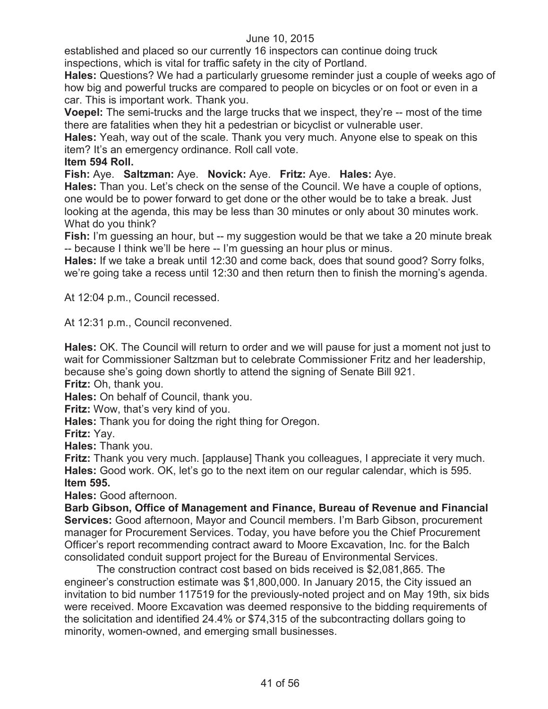established and placed so our currently 16 inspectors can continue doing truck inspections, which is vital for traffic safety in the city of Portland.

**Hales:** Questions? We had a particularly gruesome reminder just a couple of weeks ago of how big and powerful trucks are compared to people on bicycles or on foot or even in a car. This is important work. Thank you.

**Voepel:** The semi-trucks and the large trucks that we inspect, they're -- most of the time there are fatalities when they hit a pedestrian or bicyclist or vulnerable user.

**Hales:** Yeah, way out of the scale. Thank you very much. Anyone else to speak on this item? It's an emergency ordinance. Roll call vote.

# **Item 594 Roll.**

**Fish:** Aye. **Saltzman:** Aye. **Novick:** Aye. **Fritz:** Aye. **Hales:** Aye.

**Hales:** Than you. Let's check on the sense of the Council. We have a couple of options, one would be to power forward to get done or the other would be to take a break. Just looking at the agenda, this may be less than 30 minutes or only about 30 minutes work. What do you think?

**Fish:** I'm guessing an hour, but -- my suggestion would be that we take a 20 minute break -- because I think we'll be here -- I'm guessing an hour plus or minus.

**Hales:** If we take a break until 12:30 and come back, does that sound good? Sorry folks, we're going take a recess until 12:30 and then return then to finish the morning's agenda.

At 12:04 p.m., Council recessed.

At 12:31 p.m., Council reconvened.

**Hales:** OK. The Council will return to order and we will pause for just a moment not just to wait for Commissioner Saltzman but to celebrate Commissioner Fritz and her leadership, because she's going down shortly to attend the signing of Senate Bill 921.

**Fritz:** Oh, thank you.

**Hales:** On behalf of Council, thank you.

**Fritz:** Wow, that's very kind of you.

**Hales:** Thank you for doing the right thing for Oregon.

**Fritz:** Yay.

**Hales:** Thank you.

**Fritz:** Thank you very much. [applause] Thank you colleagues, I appreciate it very much. **Hales:** Good work. OK, let's go to the next item on our regular calendar, which is 595. **Item 595.**

**Hales:** Good afternoon.

**Barb Gibson, Office of Management and Finance, Bureau of Revenue and Financial Services:** Good afternoon, Mayor and Council members. I'm Barb Gibson, procurement manager for Procurement Services. Today, you have before you the Chief Procurement Officer's report recommending contract award to Moore Excavation, Inc. for the Balch consolidated conduit support project for the Bureau of Environmental Services.

The construction contract cost based on bids received is \$2,081,865. The engineer's construction estimate was \$1,800,000. In January 2015, the City issued an invitation to bid number 117519 for the previously-noted project and on May 19th, six bids were received. Moore Excavation was deemed responsive to the bidding requirements of the solicitation and identified 24.4% or \$74,315 of the subcontracting dollars going to minority, women-owned, and emerging small businesses.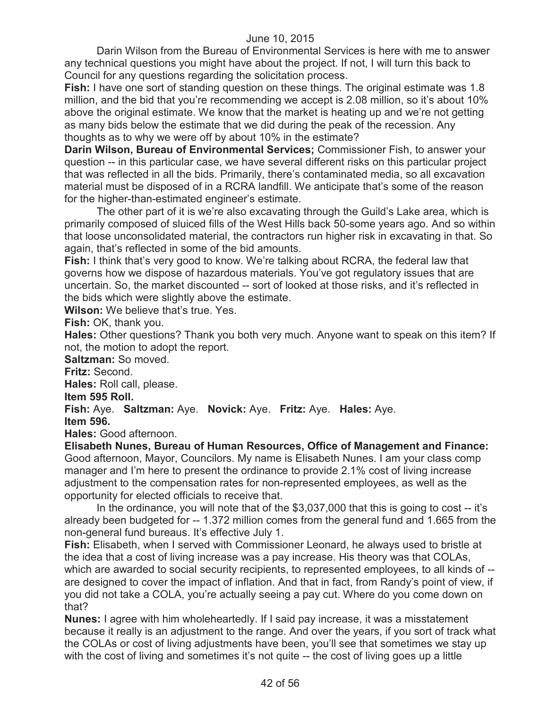Darin Wilson from the Bureau of Environmental Services is here with me to answer any technical questions you might have about the project. If not, I will turn this back to Council for any questions regarding the solicitation process.

**Fish:** I have one sort of standing question on these things. The original estimate was 1.8 million, and the bid that you're recommending we accept is 2.08 million, so it's about 10% above the original estimate. We know that the market is heating up and we're not getting as many bids below the estimate that we did during the peak of the recession. Any thoughts as to why we were off by about 10% in the estimate?

**Darin Wilson, Bureau of Environmental Services;** Commissioner Fish, to answer your question -- in this particular case, we have several different risks on this particular project that was reflected in all the bids. Primarily, there's contaminated media, so all excavation material must be disposed of in a RCRA landfill. We anticipate that's some of the reason for the higher-than-estimated engineer's estimate.

The other part of it is we're also excavating through the Guild's Lake area, which is primarily composed of sluiced fills of the West Hills back 50-some years ago. And so within that loose unconsolidated material, the contractors run higher risk in excavating in that. So again, that's reflected in some of the bid amounts.

**Fish:** I think that's very good to know. We're talking about RCRA, the federal law that governs how we dispose of hazardous materials. You've got regulatory issues that are uncertain. So, the market discounted -- sort of looked at those risks, and it's reflected in the bids which were slightly above the estimate.

**Wilson:** We believe that's true. Yes.

**Fish:** OK, thank you.

**Hales:** Other questions? Thank you both very much. Anyone want to speak on this item? If not, the motion to adopt the report.

**Saltzman:** So moved.

**Fritz:** Second.

**Hales:** Roll call, please.

**Item 595 Roll.**

**Fish:** Aye. **Saltzman:** Aye. **Novick:** Aye. **Fritz:** Aye. **Hales:** Aye. **Item 596.**

**Hales:** Good afternoon.

**Elisabeth Nunes, Bureau of Human Resources, Office of Management and Finance:** Good afternoon, Mayor, Councilors. My name is Elisabeth Nunes. I am your class comp manager and I'm here to present the ordinance to provide 2.1% cost of living increase adjustment to the compensation rates for non-represented employees, as well as the opportunity for elected officials to receive that.

In the ordinance, you will note that of the \$3,037,000 that this is going to cost -- it's already been budgeted for -- 1.372 million comes from the general fund and 1.665 from the non-general fund bureaus. It's effective July 1.

**Fish:** Elisabeth, when I served with Commissioner Leonard, he always used to bristle at the idea that a cost of living increase was a pay increase. His theory was that COLAs, which are awarded to social security recipients, to represented employees, to all kinds of -are designed to cover the impact of inflation. And that in fact, from Randy's point of view, if you did not take a COLA, you're actually seeing a pay cut. Where do you come down on that?

**Nunes:** I agree with him wholeheartedly. If I said pay increase, it was a misstatement because it really is an adjustment to the range. And over the years, if you sort of track what the COLAs or cost of living adjustments have been, you'll see that sometimes we stay up with the cost of living and sometimes it's not quite -- the cost of living goes up a little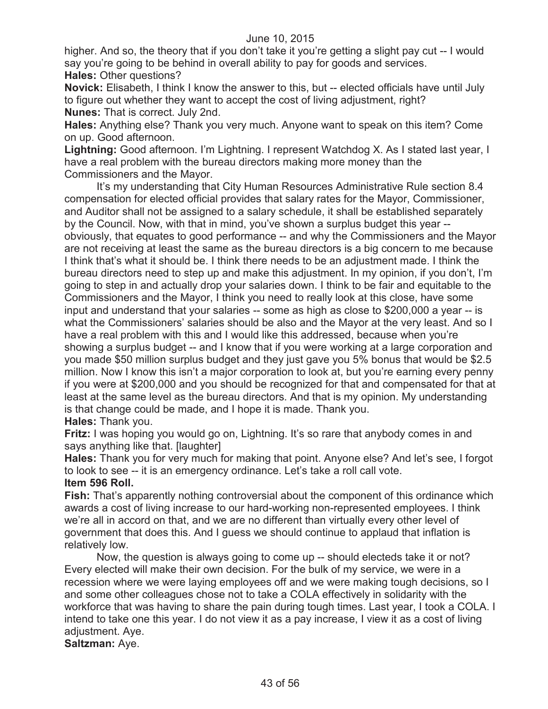higher. And so, the theory that if you don't take it you're getting a slight pay cut -- I would say you're going to be behind in overall ability to pay for goods and services. **Hales:** Other questions?

**Novick:** Elisabeth, I think I know the answer to this, but -- elected officials have until July to figure out whether they want to accept the cost of living adjustment, right? **Nunes:** That is correct. July 2nd.

**Hales:** Anything else? Thank you very much. Anyone want to speak on this item? Come on up. Good afternoon.

**Lightning:** Good afternoon. I'm Lightning. I represent Watchdog X. As I stated last year, I have a real problem with the bureau directors making more money than the Commissioners and the Mayor.

It's my understanding that City Human Resources Administrative Rule section 8.4 compensation for elected official provides that salary rates for the Mayor, Commissioner, and Auditor shall not be assigned to a salary schedule, it shall be established separately by the Council. Now, with that in mind, you've shown a surplus budget this year - obviously, that equates to good performance -- and why the Commissioners and the Mayor are not receiving at least the same as the bureau directors is a big concern to me because I think that's what it should be. I think there needs to be an adjustment made. I think the bureau directors need to step up and make this adjustment. In my opinion, if you don't, I'm going to step in and actually drop your salaries down. I think to be fair and equitable to the Commissioners and the Mayor, I think you need to really look at this close, have some input and understand that your salaries -- some as high as close to \$200,000 a year -- is what the Commissioners' salaries should be also and the Mayor at the very least. And so I have a real problem with this and I would like this addressed, because when you're showing a surplus budget -- and I know that if you were working at a large corporation and you made \$50 million surplus budget and they just gave you 5% bonus that would be \$2.5 million. Now I know this isn't a major corporation to look at, but you're earning every penny if you were at \$200,000 and you should be recognized for that and compensated for that at least at the same level as the bureau directors. And that is my opinion. My understanding is that change could be made, and I hope it is made. Thank you.

**Hales:** Thank you.

**Fritz:** I was hoping you would go on, Lightning. It's so rare that anybody comes in and says anything like that. [laughter]

**Hales:** Thank you for very much for making that point. Anyone else? And let's see, I forgot to look to see -- it is an emergency ordinance. Let's take a roll call vote.

# **Item 596 Roll.**

**Fish:** That's apparently nothing controversial about the component of this ordinance which awards a cost of living increase to our hard-working non-represented employees. I think we're all in accord on that, and we are no different than virtually every other level of government that does this. And I guess we should continue to applaud that inflation is relatively low.

Now, the question is always going to come up -- should electeds take it or not? Every elected will make their own decision. For the bulk of my service, we were in a recession where we were laying employees off and we were making tough decisions, so I and some other colleagues chose not to take a COLA effectively in solidarity with the workforce that was having to share the pain during tough times. Last year, I took a COLA. I intend to take one this year. I do not view it as a pay increase, I view it as a cost of living adjustment. Aye.

**Saltzman:** Aye.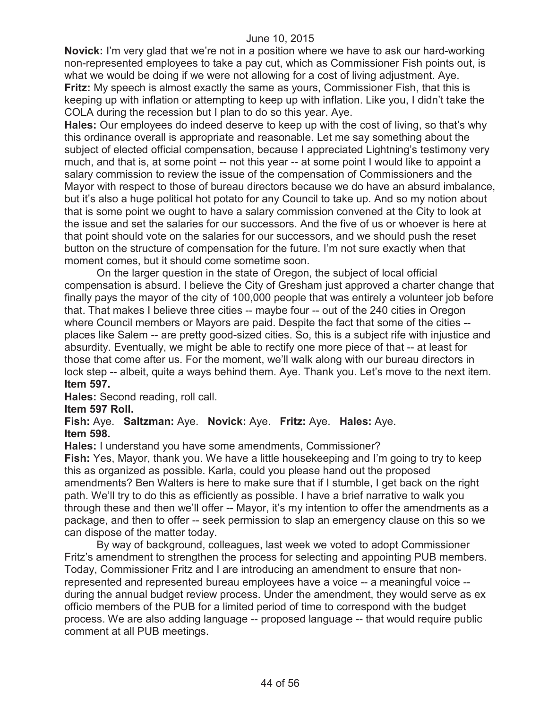**Novick:** I'm very glad that we're not in a position where we have to ask our hard-working non-represented employees to take a pay cut, which as Commissioner Fish points out, is what we would be doing if we were not allowing for a cost of living adjustment. Aye. **Fritz:** My speech is almost exactly the same as yours, Commissioner Fish, that this is keeping up with inflation or attempting to keep up with inflation. Like you, I didn't take the COLA during the recession but I plan to do so this year. Aye.

**Hales:** Our employees do indeed deserve to keep up with the cost of living, so that's why this ordinance overall is appropriate and reasonable. Let me say something about the subject of elected official compensation, because I appreciated Lightning's testimony very much, and that is, at some point -- not this year -- at some point I would like to appoint a salary commission to review the issue of the compensation of Commissioners and the Mayor with respect to those of bureau directors because we do have an absurd imbalance, but it's also a huge political hot potato for any Council to take up. And so my notion about that is some point we ought to have a salary commission convened at the City to look at the issue and set the salaries for our successors. And the five of us or whoever is here at that point should vote on the salaries for our successors, and we should push the reset button on the structure of compensation for the future. I'm not sure exactly when that moment comes, but it should come sometime soon.

On the larger question in the state of Oregon, the subject of local official compensation is absurd. I believe the City of Gresham just approved a charter change that finally pays the mayor of the city of 100,000 people that was entirely a volunteer job before that. That makes I believe three cities -- maybe four -- out of the 240 cities in Oregon where Council members or Mayors are paid. Despite the fact that some of the cities - places like Salem -- are pretty good-sized cities. So, this is a subject rife with injustice and absurdity. Eventually, we might be able to rectify one more piece of that -- at least for those that come after us. For the moment, we'll walk along with our bureau directors in lock step -- albeit, quite a ways behind them. Aye. Thank you. Let's move to the next item. **Item 597.**

**Hales:** Second reading, roll call.

# **Item 597 Roll.**

# **Fish:** Aye. **Saltzman:** Aye. **Novick:** Aye. **Fritz:** Aye. **Hales:** Aye. **Item 598.**

**Hales:** I understand you have some amendments, Commissioner?

**Fish:** Yes, Mayor, thank you. We have a little housekeeping and I'm going to try to keep this as organized as possible. Karla, could you please hand out the proposed amendments? Ben Walters is here to make sure that if I stumble, I get back on the right path. We'll try to do this as efficiently as possible. I have a brief narrative to walk you through these and then we'll offer -- Mayor, it's my intention to offer the amendments as a package, and then to offer -- seek permission to slap an emergency clause on this so we can dispose of the matter today.

By way of background, colleagues, last week we voted to adopt Commissioner Fritz's amendment to strengthen the process for selecting and appointing PUB members. Today, Commissioner Fritz and I are introducing an amendment to ensure that nonrepresented and represented bureau employees have a voice -- a meaningful voice - during the annual budget review process. Under the amendment, they would serve as ex officio members of the PUB for a limited period of time to correspond with the budget process. We are also adding language -- proposed language -- that would require public comment at all PUB meetings.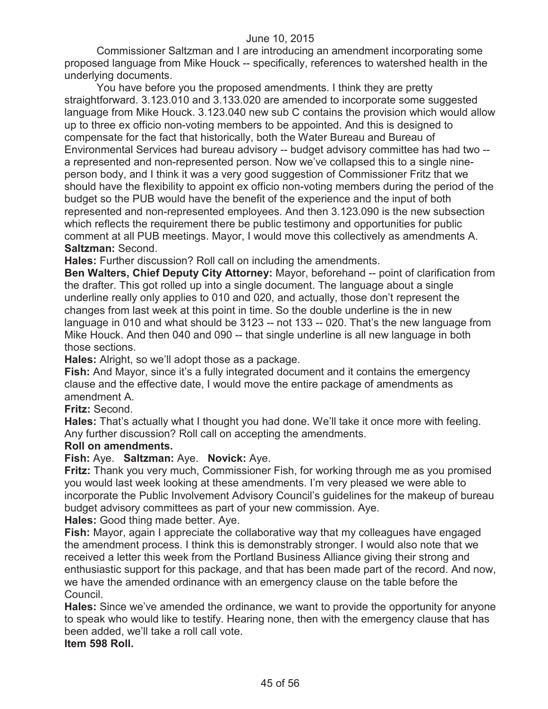Commissioner Saltzman and I are introducing an amendment incorporating some proposed language from Mike Houck -- specifically, references to watershed health in the underlying documents.

You have before you the proposed amendments. I think they are pretty straightforward. 3.123.010 and 3.133.020 are amended to incorporate some suggested language from Mike Houck. 3.123.040 new sub C contains the provision which would allow up to three ex officio non-voting members to be appointed. And this is designed to compensate for the fact that historically, both the Water Bureau and Bureau of Environmental Services had bureau advisory -- budget advisory committee has had two - a represented and non-represented person. Now we've collapsed this to a single nineperson body, and I think it was a very good suggestion of Commissioner Fritz that we should have the flexibility to appoint ex officio non-voting members during the period of the budget so the PUB would have the benefit of the experience and the input of both represented and non-represented employees. And then 3.123.090 is the new subsection which reflects the requirement there be public testimony and opportunities for public comment at all PUB meetings. Mayor, I would move this collectively as amendments A. **Saltzman:** Second.

**Hales:** Further discussion? Roll call on including the amendments.

**Ben Walters, Chief Deputy City Attorney:** Mayor, beforehand -- point of clarification from the drafter. This got rolled up into a single document. The language about a single underline really only applies to 010 and 020, and actually, those don't represent the changes from last week at this point in time. So the double underline is the in new language in 010 and what should be 3123 -- not 133 -- 020. That's the new language from Mike Houck. And then 040 and 090 -- that single underline is all new language in both those sections.

**Hales:** Alright, so we'll adopt those as a package.

**Fish:** And Mayor, since it's a fully integrated document and it contains the emergency clause and the effective date, I would move the entire package of amendments as amendment A.

**Fritz:** Second.

**Hales:** That's actually what I thought you had done. We'll take it once more with feeling. Any further discussion? Roll call on accepting the amendments.

# **Roll on amendments.**

**Fish:** Aye. **Saltzman:** Aye. **Novick:** Aye.

**Fritz:** Thank you very much, Commissioner Fish, for working through me as you promised you would last week looking at these amendments. I'm very pleased we were able to incorporate the Public Involvement Advisory Council's guidelines for the makeup of bureau budget advisory committees as part of your new commission. Aye.

**Hales:** Good thing made better. Aye.

**Fish:** Mayor, again I appreciate the collaborative way that my colleagues have engaged the amendment process. I think this is demonstrably stronger. I would also note that we received a letter this week from the Portland Business Alliance giving their strong and enthusiastic support for this package, and that has been made part of the record. And now, we have the amended ordinance with an emergency clause on the table before the Council.

**Hales:** Since we've amended the ordinance, we want to provide the opportunity for anyone to speak who would like to testify. Hearing none, then with the emergency clause that has been added, we'll take a roll call vote.

**Item 598 Roll.**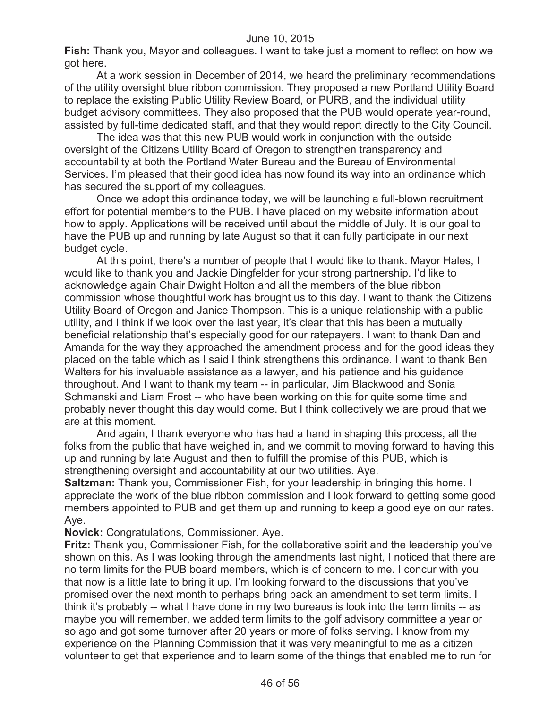**Fish:** Thank you, Mayor and colleagues. I want to take just a moment to reflect on how we got here.

At a work session in December of 2014, we heard the preliminary recommendations of the utility oversight blue ribbon commission. They proposed a new Portland Utility Board to replace the existing Public Utility Review Board, or PURB, and the individual utility budget advisory committees. They also proposed that the PUB would operate year-round, assisted by full-time dedicated staff, and that they would report directly to the City Council.

The idea was that this new PUB would work in conjunction with the outside oversight of the Citizens Utility Board of Oregon to strengthen transparency and accountability at both the Portland Water Bureau and the Bureau of Environmental Services. I'm pleased that their good idea has now found its way into an ordinance which has secured the support of my colleagues.

Once we adopt this ordinance today, we will be launching a full-blown recruitment effort for potential members to the PUB. I have placed on my website information about how to apply. Applications will be received until about the middle of July. It is our goal to have the PUB up and running by late August so that it can fully participate in our next budget cycle.

At this point, there's a number of people that I would like to thank. Mayor Hales, I would like to thank you and Jackie Dingfelder for your strong partnership. I'd like to acknowledge again Chair Dwight Holton and all the members of the blue ribbon commission whose thoughtful work has brought us to this day. I want to thank the Citizens Utility Board of Oregon and Janice Thompson. This is a unique relationship with a public utility, and I think if we look over the last year, it's clear that this has been a mutually beneficial relationship that's especially good for our ratepayers. I want to thank Dan and Amanda for the way they approached the amendment process and for the good ideas they placed on the table which as I said I think strengthens this ordinance. I want to thank Ben Walters for his invaluable assistance as a lawyer, and his patience and his guidance throughout. And I want to thank my team -- in particular, Jim Blackwood and Sonia Schmanski and Liam Frost -- who have been working on this for quite some time and probably never thought this day would come. But I think collectively we are proud that we are at this moment.

And again, I thank everyone who has had a hand in shaping this process, all the folks from the public that have weighed in, and we commit to moving forward to having this up and running by late August and then to fulfill the promise of this PUB, which is strengthening oversight and accountability at our two utilities. Aye.

**Saltzman:** Thank you, Commissioner Fish, for your leadership in bringing this home. I appreciate the work of the blue ribbon commission and I look forward to getting some good members appointed to PUB and get them up and running to keep a good eye on our rates. Aye.

**Novick:** Congratulations, Commissioner. Aye.

**Fritz:** Thank you, Commissioner Fish, for the collaborative spirit and the leadership you've shown on this. As I was looking through the amendments last night, I noticed that there are no term limits for the PUB board members, which is of concern to me. I concur with you that now is a little late to bring it up. I'm looking forward to the discussions that you've promised over the next month to perhaps bring back an amendment to set term limits. I think it's probably -- what I have done in my two bureaus is look into the term limits -- as maybe you will remember, we added term limits to the golf advisory committee a year or so ago and got some turnover after 20 years or more of folks serving. I know from my experience on the Planning Commission that it was very meaningful to me as a citizen volunteer to get that experience and to learn some of the things that enabled me to run for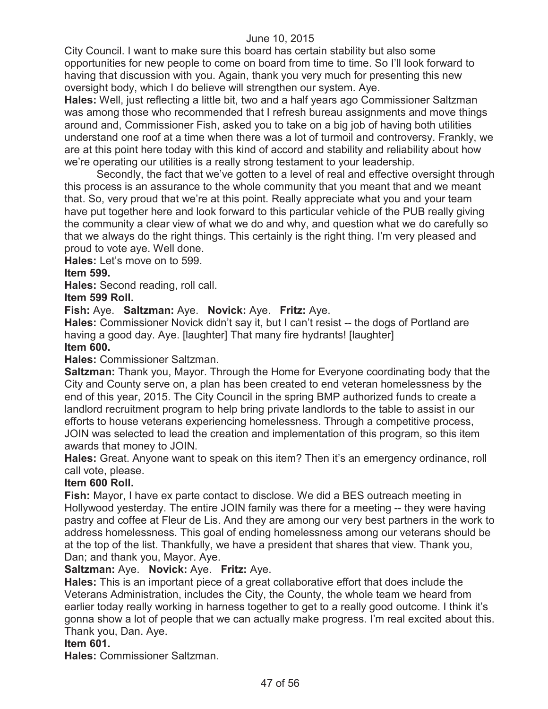City Council. I want to make sure this board has certain stability but also some opportunities for new people to come on board from time to time. So I'll look forward to having that discussion with you. Again, thank you very much for presenting this new oversight body, which I do believe will strengthen our system. Aye.

**Hales:** Well, just reflecting a little bit, two and a half years ago Commissioner Saltzman was among those who recommended that I refresh bureau assignments and move things around and, Commissioner Fish, asked you to take on a big job of having both utilities understand one roof at a time when there was a lot of turmoil and controversy. Frankly, we are at this point here today with this kind of accord and stability and reliability about how we're operating our utilities is a really strong testament to your leadership.

Secondly, the fact that we've gotten to a level of real and effective oversight through this process is an assurance to the whole community that you meant that and we meant that. So, very proud that we're at this point. Really appreciate what you and your team have put together here and look forward to this particular vehicle of the PUB really giving the community a clear view of what we do and why, and question what we do carefully so that we always do the right things. This certainly is the right thing. I'm very pleased and proud to vote aye. Well done.

**Hales:** Let's move on to 599.

# **Item 599.**

**Hales:** Second reading, roll call.

**Item 599 Roll.**

# **Fish:** Aye. **Saltzman:** Aye. **Novick:** Aye. **Fritz:** Aye.

**Hales:** Commissioner Novick didn't say it, but I can't resist -- the dogs of Portland are having a good day. Aye. [laughter] That many fire hydrants! [laughter] **Item 600.**

# **Hales:** Commissioner Saltzman.

**Saltzman:** Thank you, Mayor. Through the Home for Everyone coordinating body that the City and County serve on, a plan has been created to end veteran homelessness by the end of this year, 2015. The City Council in the spring BMP authorized funds to create a landlord recruitment program to help bring private landlords to the table to assist in our efforts to house veterans experiencing homelessness. Through a competitive process, JOIN was selected to lead the creation and implementation of this program, so this item awards that money to JOIN.

**Hales:** Great. Anyone want to speak on this item? Then it's an emergency ordinance, roll call vote, please.

# **Item 600 Roll.**

**Fish:** Mayor, I have ex parte contact to disclose. We did a BES outreach meeting in Hollywood yesterday. The entire JOIN family was there for a meeting -- they were having pastry and coffee at Fleur de Lis. And they are among our very best partners in the work to address homelessness. This goal of ending homelessness among our veterans should be at the top of the list. Thankfully, we have a president that shares that view. Thank you, Dan; and thank you, Mayor. Aye.

# **Saltzman:** Aye. **Novick:** Aye. **Fritz:** Aye.

**Hales:** This is an important piece of a great collaborative effort that does include the Veterans Administration, includes the City, the County, the whole team we heard from earlier today really working in harness together to get to a really good outcome. I think it's gonna show a lot of people that we can actually make progress. I'm real excited about this. Thank you, Dan. Aye.

# **Item 601.**

**Hales:** Commissioner Saltzman.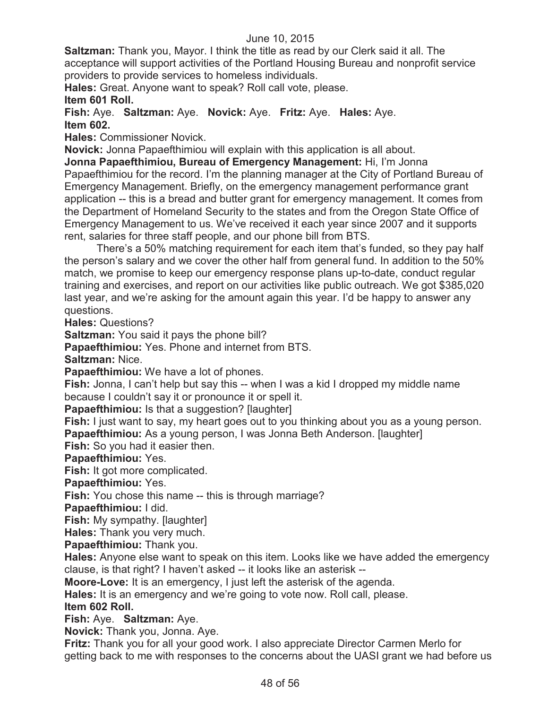**Saltzman:** Thank you, Mayor. I think the title as read by our Clerk said it all. The acceptance will support activities of the Portland Housing Bureau and nonprofit service providers to provide services to homeless individuals.

**Hales:** Great. Anyone want to speak? Roll call vote, please.

# **Item 601 Roll.**

**Fish:** Aye. **Saltzman:** Aye. **Novick:** Aye. **Fritz:** Aye. **Hales:** Aye. **Item 602.**

**Hales:** Commissioner Novick.

**Novick:** Jonna Papaefthimiou will explain with this application is all about.

**Jonna Papaefthimiou, Bureau of Emergency Management:** Hi, I'm Jonna Papaefthimiou for the record. I'm the planning manager at the City of Portland Bureau of Emergency Management. Briefly, on the emergency management performance grant application -- this is a bread and butter grant for emergency management. It comes from the Department of Homeland Security to the states and from the Oregon State Office of Emergency Management to us. We've received it each year since 2007 and it supports rent, salaries for three staff people, and our phone bill from BTS.

There's a 50% matching requirement for each item that's funded, so they pay half the person's salary and we cover the other half from general fund. In addition to the 50% match, we promise to keep our emergency response plans up-to-date, conduct regular training and exercises, and report on our activities like public outreach. We got \$385,020 last year, and we're asking for the amount again this year. I'd be happy to answer any questions.

**Hales:** Questions?

**Saltzman:** You said it pays the phone bill?

**Papaefthimiou:** Yes. Phone and internet from BTS.

**Saltzman:** Nice.

**Papaefthimiou:** We have a lot of phones.

**Fish:** Jonna, I can't help but say this -- when I was a kid I dropped my middle name because I couldn't say it or pronounce it or spell it.

**Papaefthimiou:** Is that a suggestion? [laughter]

**Fish:** I just want to say, my heart goes out to you thinking about you as a young person.

**Papaefthimiou:** As a young person, I was Jonna Beth Anderson. [laughter]

**Fish:** So you had it easier then.

**Papaefthimiou:** Yes.

**Fish:** It got more complicated.

**Papaefthimiou:** Yes.

**Fish:** You chose this name -- this is through marriage?

**Papaefthimiou:** I did.

**Fish:** My sympathy. [laughter]

**Hales:** Thank you very much.

**Papaefthimiou:** Thank you.

**Hales:** Anyone else want to speak on this item. Looks like we have added the emergency clause, is that right? I haven't asked -- it looks like an asterisk --

**Moore-Love:** It is an emergency, I just left the asterisk of the agenda.

**Hales:** It is an emergency and we're going to vote now. Roll call, please.

# **Item 602 Roll.**

# **Fish:** Aye. **Saltzman:** Aye.

**Novick:** Thank you, Jonna. Aye.

**Fritz:** Thank you for all your good work. I also appreciate Director Carmen Merlo for getting back to me with responses to the concerns about the UASI grant we had before us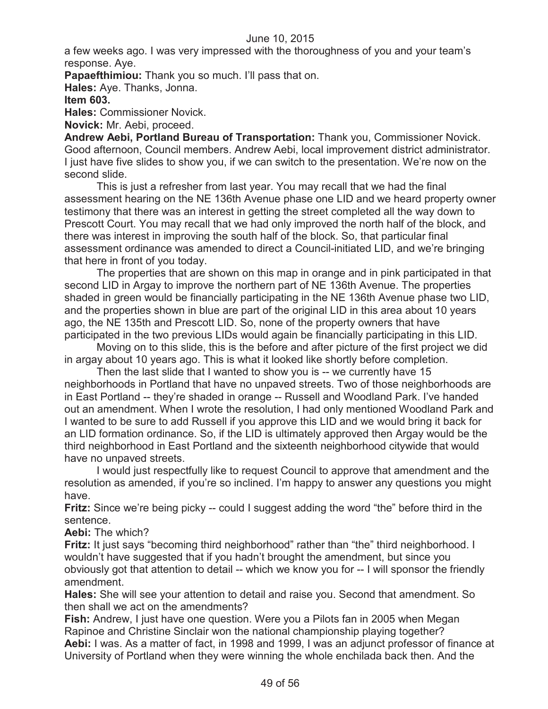a few weeks ago. I was very impressed with the thoroughness of you and your team's response. Aye.

**Papaefthimiou:** Thank you so much. I'll pass that on.

**Hales:** Aye. Thanks, Jonna.

# **Item 603.**

**Hales:** Commissioner Novick.

**Novick:** Mr. Aebi, proceed.

**Andrew Aebi, Portland Bureau of Transportation:** Thank you, Commissioner Novick. Good afternoon, Council members. Andrew Aebi, local improvement district administrator. I just have five slides to show you, if we can switch to the presentation. We're now on the second slide.

This is just a refresher from last year. You may recall that we had the final assessment hearing on the NE 136th Avenue phase one LID and we heard property owner testimony that there was an interest in getting the street completed all the way down to Prescott Court. You may recall that we had only improved the north half of the block, and there was interest in improving the south half of the block. So, that particular final assessment ordinance was amended to direct a Council-initiated LID, and we're bringing that here in front of you today.

The properties that are shown on this map in orange and in pink participated in that second LID in Argay to improve the northern part of NE 136th Avenue. The properties shaded in green would be financially participating in the NE 136th Avenue phase two LID, and the properties shown in blue are part of the original LID in this area about 10 years ago, the NE 135th and Prescott LID. So, none of the property owners that have participated in the two previous LIDs would again be financially participating in this LID.

Moving on to this slide, this is the before and after picture of the first project we did in argay about 10 years ago. This is what it looked like shortly before completion.

Then the last slide that I wanted to show you is -- we currently have 15 neighborhoods in Portland that have no unpaved streets. Two of those neighborhoods are in East Portland -- they're shaded in orange -- Russell and Woodland Park. I've handed out an amendment. When I wrote the resolution, I had only mentioned Woodland Park and I wanted to be sure to add Russell if you approve this LID and we would bring it back for an LID formation ordinance. So, if the LID is ultimately approved then Argay would be the third neighborhood in East Portland and the sixteenth neighborhood citywide that would have no unpaved streets.

I would just respectfully like to request Council to approve that amendment and the resolution as amended, if you're so inclined. I'm happy to answer any questions you might have.

**Fritz:** Since we're being picky -- could I suggest adding the word "the" before third in the sentence.

# **Aebi:** The which?

**Fritz:** It just says "becoming third neighborhood" rather than "the" third neighborhood. I wouldn't have suggested that if you hadn't brought the amendment, but since you obviously got that attention to detail -- which we know you for -- I will sponsor the friendly amendment.

**Hales:** She will see your attention to detail and raise you. Second that amendment. So then shall we act on the amendments?

**Fish:** Andrew, I just have one question. Were you a Pilots fan in 2005 when Megan Rapinoe and Christine Sinclair won the national championship playing together? **Aebi:** I was. As a matter of fact, in 1998 and 1999, I was an adjunct professor of finance at University of Portland when they were winning the whole enchilada back then. And the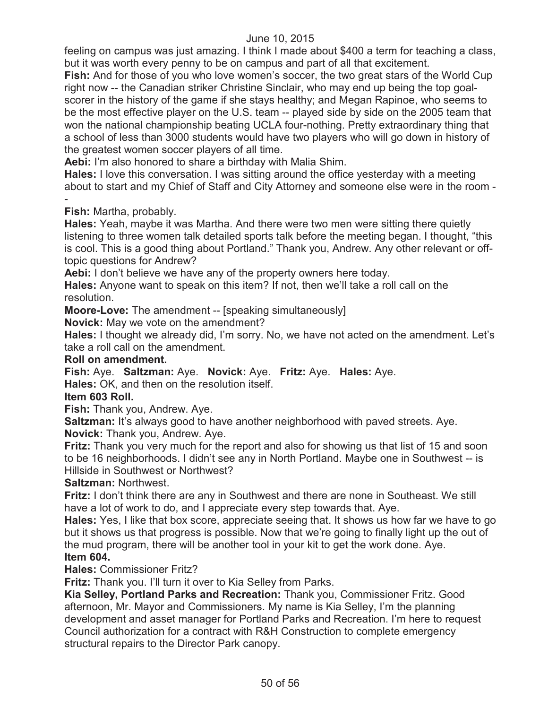feeling on campus was just amazing. I think I made about \$400 a term for teaching a class, but it was worth every penny to be on campus and part of all that excitement.

**Fish:** And for those of you who love women's soccer, the two great stars of the World Cup right now -- the Canadian striker Christine Sinclair, who may end up being the top goalscorer in the history of the game if she stays healthy; and Megan Rapinoe, who seems to be the most effective player on the U.S. team -- played side by side on the 2005 team that won the national championship beating UCLA four-nothing. Pretty extraordinary thing that a school of less than 3000 students would have two players who will go down in history of the greatest women soccer players of all time.

**Aebi:** I'm also honored to share a birthday with Malia Shim.

**Hales:** I love this conversation. I was sitting around the office yesterday with a meeting about to start and my Chief of Staff and City Attorney and someone else were in the room - -

**Fish:** Martha, probably.

**Hales:** Yeah, maybe it was Martha. And there were two men were sitting there quietly listening to three women talk detailed sports talk before the meeting began. I thought, "this is cool. This is a good thing about Portland." Thank you, Andrew. Any other relevant or offtopic questions for Andrew?

**Aebi:** I don't believe we have any of the property owners here today.

**Hales:** Anyone want to speak on this item? If not, then we'll take a roll call on the resolution.

**Moore-Love:** The amendment -- [speaking simultaneously]

**Novick:** May we vote on the amendment?

**Hales:** I thought we already did, I'm sorry. No, we have not acted on the amendment. Let's take a roll call on the amendment.

#### **Roll on amendment.**

**Fish:** Aye. **Saltzman:** Aye. **Novick:** Aye. **Fritz:** Aye. **Hales:** Aye. **Hales:** OK, and then on the resolution itself.

# **Item 603 Roll.**

**Fish:** Thank you, Andrew. Aye.

**Saltzman:** It's always good to have another neighborhood with paved streets. Aye. **Novick:** Thank you, Andrew. Aye.

**Fritz:** Thank you very much for the report and also for showing us that list of 15 and soon to be 16 neighborhoods. I didn't see any in North Portland. Maybe one in Southwest -- is Hillside in Southwest or Northwest?

**Saltzman:** Northwest.

**Fritz:** I don't think there are any in Southwest and there are none in Southeast. We still have a lot of work to do, and I appreciate every step towards that. Aye.

**Hales:** Yes, I like that box score, appreciate seeing that. It shows us how far we have to go but it shows us that progress is possible. Now that we're going to finally light up the out of the mud program, there will be another tool in your kit to get the work done. Aye. **Item 604.**

# **Hales:** Commissioner Fritz?

**Fritz:** Thank you. I'll turn it over to Kia Selley from Parks.

**Kia Selley, Portland Parks and Recreation:** Thank you, Commissioner Fritz. Good afternoon, Mr. Mayor and Commissioners. My name is Kia Selley, I'm the planning development and asset manager for Portland Parks and Recreation. I'm here to request Council authorization for a contract with R&H Construction to complete emergency structural repairs to the Director Park canopy.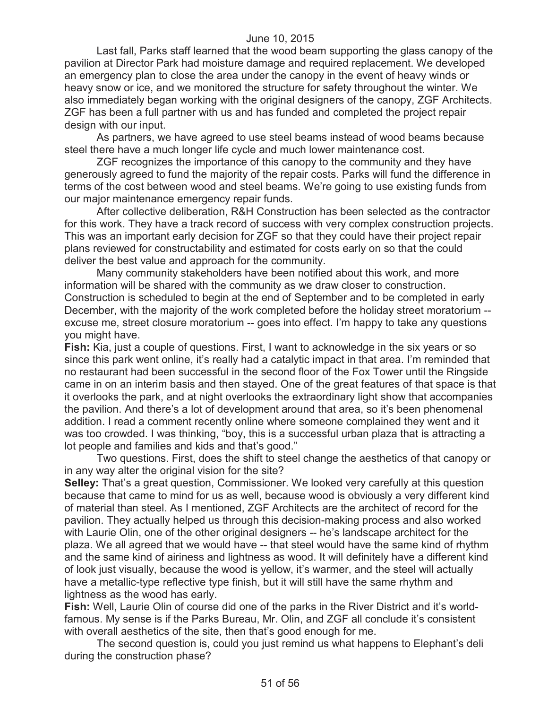Last fall, Parks staff learned that the wood beam supporting the glass canopy of the pavilion at Director Park had moisture damage and required replacement. We developed an emergency plan to close the area under the canopy in the event of heavy winds or heavy snow or ice, and we monitored the structure for safety throughout the winter. We also immediately began working with the original designers of the canopy, ZGF Architects. ZGF has been a full partner with us and has funded and completed the project repair design with our input.

As partners, we have agreed to use steel beams instead of wood beams because steel there have a much longer life cycle and much lower maintenance cost.

ZGF recognizes the importance of this canopy to the community and they have generously agreed to fund the majority of the repair costs. Parks will fund the difference in terms of the cost between wood and steel beams. We're going to use existing funds from our major maintenance emergency repair funds.

After collective deliberation, R&H Construction has been selected as the contractor for this work. They have a track record of success with very complex construction projects. This was an important early decision for ZGF so that they could have their project repair plans reviewed for constructability and estimated for costs early on so that the could deliver the best value and approach for the community.

Many community stakeholders have been notified about this work, and more information will be shared with the community as we draw closer to construction. Construction is scheduled to begin at the end of September and to be completed in early December, with the majority of the work completed before the holiday street moratorium - excuse me, street closure moratorium -- goes into effect. I'm happy to take any questions you might have.

**Fish:** Kia, just a couple of questions. First, I want to acknowledge in the six years or so since this park went online, it's really had a catalytic impact in that area. I'm reminded that no restaurant had been successful in the second floor of the Fox Tower until the Ringside came in on an interim basis and then stayed. One of the great features of that space is that it overlooks the park, and at night overlooks the extraordinary light show that accompanies the pavilion. And there's a lot of development around that area, so it's been phenomenal addition. I read a comment recently online where someone complained they went and it was too crowded. I was thinking, "boy, this is a successful urban plaza that is attracting a lot people and families and kids and that's good."

Two questions. First, does the shift to steel change the aesthetics of that canopy or in any way alter the original vision for the site?

**Selley:** That's a great question, Commissioner. We looked very carefully at this question because that came to mind for us as well, because wood is obviously a very different kind of material than steel. As I mentioned, ZGF Architects are the architect of record for the pavilion. They actually helped us through this decision-making process and also worked with Laurie Olin, one of the other original designers -- he's landscape architect for the plaza. We all agreed that we would have -- that steel would have the same kind of rhythm and the same kind of airiness and lightness as wood. It will definitely have a different kind of look just visually, because the wood is yellow, it's warmer, and the steel will actually have a metallic-type reflective type finish, but it will still have the same rhythm and lightness as the wood has early.

**Fish:** Well, Laurie Olin of course did one of the parks in the River District and it's worldfamous. My sense is if the Parks Bureau, Mr. Olin, and ZGF all conclude it's consistent with overall aesthetics of the site, then that's good enough for me.

The second question is, could you just remind us what happens to Elephant's deli during the construction phase?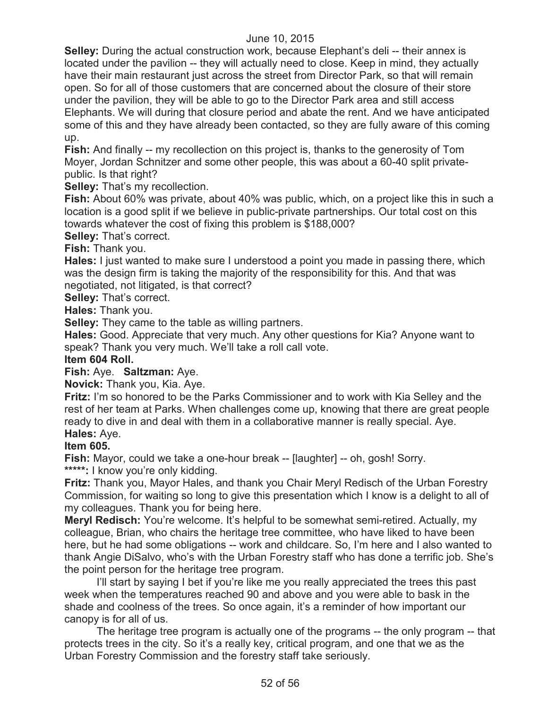**Selley:** During the actual construction work, because Elephant's deli -- their annex is located under the pavilion -- they will actually need to close. Keep in mind, they actually have their main restaurant just across the street from Director Park, so that will remain open. So for all of those customers that are concerned about the closure of their store under the pavilion, they will be able to go to the Director Park area and still access Elephants. We will during that closure period and abate the rent. And we have anticipated some of this and they have already been contacted, so they are fully aware of this coming up.

**Fish:** And finally -- my recollection on this project is, thanks to the generosity of Tom Moyer, Jordan Schnitzer and some other people, this was about a 60-40 split privatepublic. Is that right?

**Selley:** That's my recollection.

**Fish:** About 60% was private, about 40% was public, which, on a project like this in such a location is a good split if we believe in public-private partnerships. Our total cost on this towards whatever the cost of fixing this problem is \$188,000?

**Selley:** That's correct.

**Fish:** Thank you.

**Hales:** I just wanted to make sure I understood a point you made in passing there, which was the design firm is taking the majority of the responsibility for this. And that was negotiated, not litigated, is that correct?

**Selley:** That's correct.

**Hales:** Thank you.

**Selley:** They came to the table as willing partners.

**Hales:** Good. Appreciate that very much. Any other questions for Kia? Anyone want to speak? Thank you very much. We'll take a roll call vote.

#### **Item 604 Roll.**

**Fish:** Aye. **Saltzman:** Aye.

**Novick:** Thank you, Kia. Aye.

**Fritz:** I'm so honored to be the Parks Commissioner and to work with Kia Selley and the rest of her team at Parks. When challenges come up, knowing that there are great people ready to dive in and deal with them in a collaborative manner is really special. Aye. **Hales:** Aye.

**Item 605.**

**Fish:** Mayor, could we take a one-hour break -- [laughter] -- oh, gosh! Sorry. \*\*\*\*\*: I know you're only kidding.

**Fritz:** Thank you, Mayor Hales, and thank you Chair Meryl Redisch of the Urban Forestry Commission, for waiting so long to give this presentation which I know is a delight to all of my colleagues. Thank you for being here.

**Meryl Redisch:** You're welcome. It's helpful to be somewhat semi-retired. Actually, my colleague, Brian, who chairs the heritage tree committee, who have liked to have been here, but he had some obligations -- work and childcare. So, I'm here and I also wanted to thank Angie DiSalvo, who's with the Urban Forestry staff who has done a terrific job. She's the point person for the heritage tree program.

I'll start by saying I bet if you're like me you really appreciated the trees this past week when the temperatures reached 90 and above and you were able to bask in the shade and coolness of the trees. So once again, it's a reminder of how important our canopy is for all of us.

The heritage tree program is actually one of the programs -- the only program -- that protects trees in the city. So it's a really key, critical program, and one that we as the Urban Forestry Commission and the forestry staff take seriously.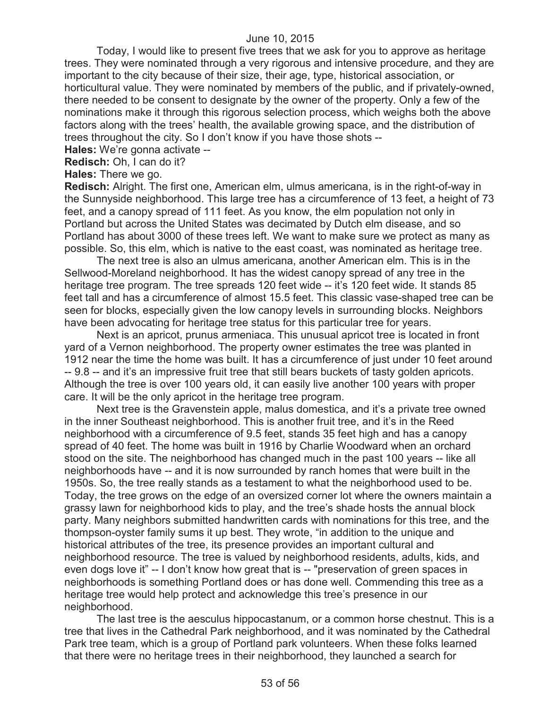Today, I would like to present five trees that we ask for you to approve as heritage trees. They were nominated through a very rigorous and intensive procedure, and they are important to the city because of their size, their age, type, historical association, or horticultural value. They were nominated by members of the public, and if privately-owned, there needed to be consent to designate by the owner of the property. Only a few of the nominations make it through this rigorous selection process, which weighs both the above factors along with the trees' health, the available growing space, and the distribution of trees throughout the city. So I don't know if you have those shots --

**Hales:** We're gonna activate --

**Redisch:** Oh, I can do it?

**Hales:** There we go.

**Redisch:** Alright. The first one, American elm, ulmus americana, is in the right-of-way in the Sunnyside neighborhood. This large tree has a circumference of 13 feet, a height of 73 feet, and a canopy spread of 111 feet. As you know, the elm population not only in Portland but across the United States was decimated by Dutch elm disease, and so Portland has about 3000 of these trees left. We want to make sure we protect as many as possible. So, this elm, which is native to the east coast, was nominated as heritage tree.

The next tree is also an ulmus americana, another American elm. This is in the Sellwood-Moreland neighborhood. It has the widest canopy spread of any tree in the heritage tree program. The tree spreads 120 feet wide -- it's 120 feet wide. It stands 85 feet tall and has a circumference of almost 15.5 feet. This classic vase-shaped tree can be seen for blocks, especially given the low canopy levels in surrounding blocks. Neighbors have been advocating for heritage tree status for this particular tree for years.

Next is an apricot, prunus armeniaca. This unusual apricot tree is located in front yard of a Vernon neighborhood. The property owner estimates the tree was planted in 1912 near the time the home was built. It has a circumference of just under 10 feet around -- 9.8 -- and it's an impressive fruit tree that still bears buckets of tasty golden apricots. Although the tree is over 100 years old, it can easily live another 100 years with proper care. It will be the only apricot in the heritage tree program.

Next tree is the Gravenstein apple, malus domestica, and it's a private tree owned in the inner Southeast neighborhood. This is another fruit tree, and it's in the Reed neighborhood with a circumference of 9.5 feet, stands 35 feet high and has a canopy spread of 40 feet. The home was built in 1916 by Charlie Woodward when an orchard stood on the site. The neighborhood has changed much in the past 100 years -- like all neighborhoods have -- and it is now surrounded by ranch homes that were built in the 1950s. So, the tree really stands as a testament to what the neighborhood used to be. Today, the tree grows on the edge of an oversized corner lot where the owners maintain a grassy lawn for neighborhood kids to play, and the tree's shade hosts the annual block party. Many neighbors submitted handwritten cards with nominations for this tree, and the thompson-oyster family sums it up best. They wrote, "in addition to the unique and historical attributes of the tree, its presence provides an important cultural and neighborhood resource. The tree is valued by neighborhood residents, adults, kids, and even dogs love it" -- I don't know how great that is -- "preservation of green spaces in neighborhoods is something Portland does or has done well. Commending this tree as a heritage tree would help protect and acknowledge this tree's presence in our neighborhood.

The last tree is the aesculus hippocastanum, or a common horse chestnut. This is a tree that lives in the Cathedral Park neighborhood, and it was nominated by the Cathedral Park tree team, which is a group of Portland park volunteers. When these folks learned that there were no heritage trees in their neighborhood, they launched a search for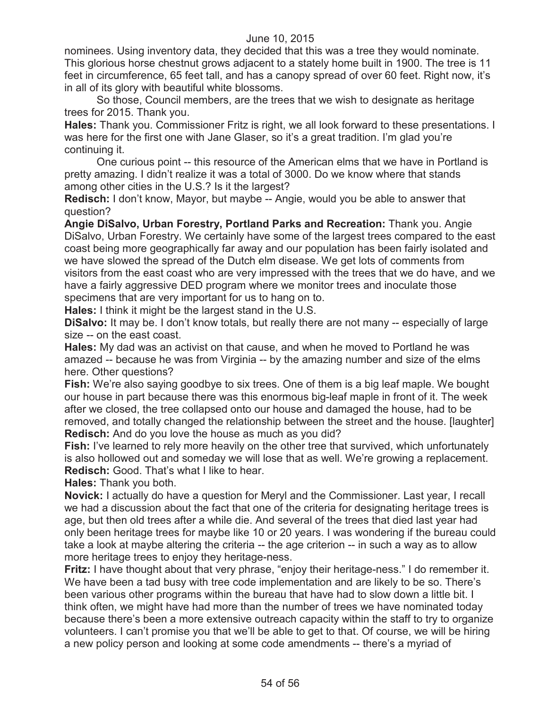nominees. Using inventory data, they decided that this was a tree they would nominate. This glorious horse chestnut grows adjacent to a stately home built in 1900. The tree is 11 feet in circumference, 65 feet tall, and has a canopy spread of over 60 feet. Right now, it's in all of its glory with beautiful white blossoms.

So those, Council members, are the trees that we wish to designate as heritage trees for 2015. Thank you.

**Hales:** Thank you. Commissioner Fritz is right, we all look forward to these presentations. I was here for the first one with Jane Glaser, so it's a great tradition. I'm glad you're continuing it.

One curious point -- this resource of the American elms that we have in Portland is pretty amazing. I didn't realize it was a total of 3000. Do we know where that stands among other cities in the U.S.? Is it the largest?

**Redisch:** I don't know, Mayor, but maybe -- Angie, would you be able to answer that question?

**Angie DiSalvo, Urban Forestry, Portland Parks and Recreation:** Thank you. Angie DiSalvo, Urban Forestry. We certainly have some of the largest trees compared to the east coast being more geographically far away and our population has been fairly isolated and we have slowed the spread of the Dutch elm disease. We get lots of comments from visitors from the east coast who are very impressed with the trees that we do have, and we have a fairly aggressive DED program where we monitor trees and inoculate those specimens that are very important for us to hang on to.

**Hales:** I think it might be the largest stand in the U.S.

**DiSalvo:** It may be. I don't know totals, but really there are not many -- especially of large size -- on the east coast.

**Hales:** My dad was an activist on that cause, and when he moved to Portland he was amazed -- because he was from Virginia -- by the amazing number and size of the elms here. Other questions?

**Fish:** We're also saying goodbye to six trees. One of them is a big leaf maple. We bought our house in part because there was this enormous big-leaf maple in front of it. The week after we closed, the tree collapsed onto our house and damaged the house, had to be removed, and totally changed the relationship between the street and the house. [laughter] **Redisch:** And do you love the house as much as you did?

**Fish:** I've learned to rely more heavily on the other tree that survived, which unfortunately is also hollowed out and someday we will lose that as well. We're growing a replacement. **Redisch:** Good. That's what I like to hear.

**Hales:** Thank you both.

**Novick:** I actually do have a question for Meryl and the Commissioner. Last year, I recall we had a discussion about the fact that one of the criteria for designating heritage trees is age, but then old trees after a while die. And several of the trees that died last year had only been heritage trees for maybe like 10 or 20 years. I was wondering if the bureau could take a look at maybe altering the criteria -- the age criterion -- in such a way as to allow more heritage trees to enjoy they heritage-ness.

**Fritz:** I have thought about that very phrase, "enjoy their heritage-ness." I do remember it. We have been a tad busy with tree code implementation and are likely to be so. There's been various other programs within the bureau that have had to slow down a little bit. I think often, we might have had more than the number of trees we have nominated today because there's been a more extensive outreach capacity within the staff to try to organize volunteers. I can't promise you that we'll be able to get to that. Of course, we will be hiring a new policy person and looking at some code amendments -- there's a myriad of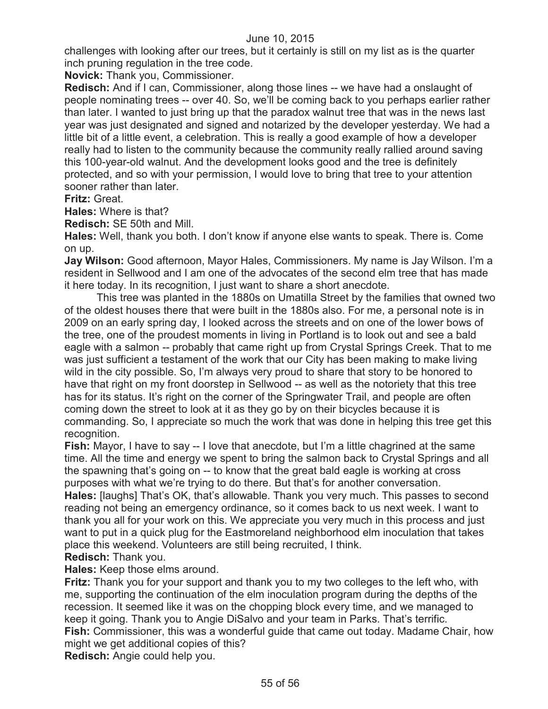challenges with looking after our trees, but it certainly is still on my list as is the quarter inch pruning regulation in the tree code.

**Novick:** Thank you, Commissioner.

**Redisch:** And if I can, Commissioner, along those lines -- we have had a onslaught of people nominating trees -- over 40. So, we'll be coming back to you perhaps earlier rather than later. I wanted to just bring up that the paradox walnut tree that was in the news last year was just designated and signed and notarized by the developer yesterday. We had a little bit of a little event, a celebration. This is really a good example of how a developer really had to listen to the community because the community really rallied around saving this 100-year-old walnut. And the development looks good and the tree is definitely protected, and so with your permission, I would love to bring that tree to your attention sooner rather than later.

**Fritz:** Great.

**Hales:** Where is that?

**Redisch:** SE 50th and Mill.

**Hales:** Well, thank you both. I don't know if anyone else wants to speak. There is. Come on up.

**Jay Wilson:** Good afternoon, Mayor Hales, Commissioners. My name is Jay Wilson. I'm a resident in Sellwood and I am one of the advocates of the second elm tree that has made it here today. In its recognition, I just want to share a short anecdote.

This tree was planted in the 1880s on Umatilla Street by the families that owned two of the oldest houses there that were built in the 1880s also. For me, a personal note is in 2009 on an early spring day, I looked across the streets and on one of the lower bows of the tree, one of the proudest moments in living in Portland is to look out and see a bald eagle with a salmon -- probably that came right up from Crystal Springs Creek. That to me was just sufficient a testament of the work that our City has been making to make living wild in the city possible. So, I'm always very proud to share that story to be honored to have that right on my front doorstep in Sellwood -- as well as the notoriety that this tree has for its status. It's right on the corner of the Springwater Trail, and people are often coming down the street to look at it as they go by on their bicycles because it is commanding. So, I appreciate so much the work that was done in helping this tree get this recognition.

**Fish:** Mayor, I have to say -- I love that anecdote, but I'm a little chagrined at the same time. All the time and energy we spent to bring the salmon back to Crystal Springs and all the spawning that's going on -- to know that the great bald eagle is working at cross purposes with what we're trying to do there. But that's for another conversation.

**Hales:** [laughs] That's OK, that's allowable. Thank you very much. This passes to second reading not being an emergency ordinance, so it comes back to us next week. I want to thank you all for your work on this. We appreciate you very much in this process and just want to put in a quick plug for the Eastmoreland neighborhood elm inoculation that takes place this weekend. Volunteers are still being recruited, I think.

# **Redisch:** Thank you.

**Hales:** Keep those elms around.

**Fritz:** Thank you for your support and thank you to my two colleges to the left who, with me, supporting the continuation of the elm inoculation program during the depths of the recession. It seemed like it was on the chopping block every time, and we managed to keep it going. Thank you to Angie DiSalvo and your team in Parks. That's terrific. **Fish:** Commissioner, this was a wonderful guide that came out today. Madame Chair, how might we get additional copies of this?

**Redisch:** Angie could help you.